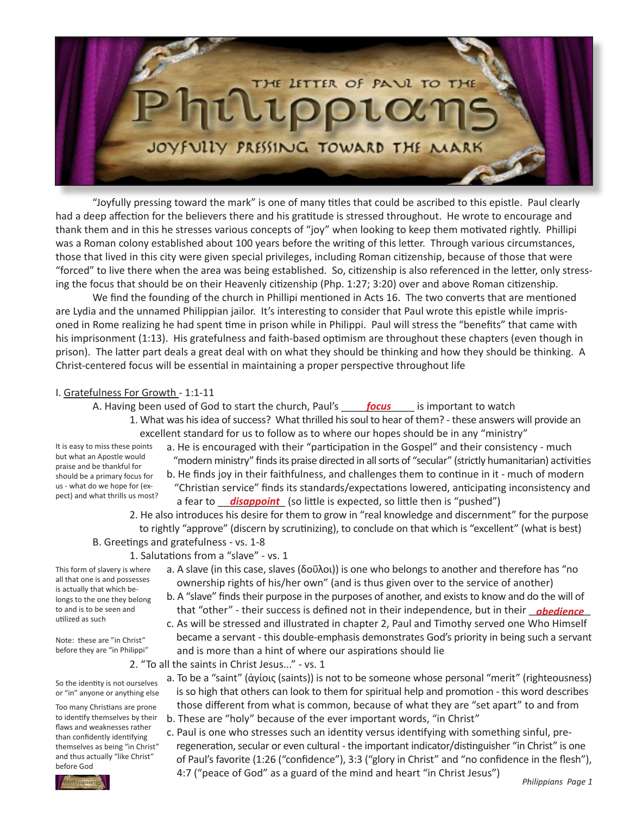

 "Joyfully pressing toward the mark" is one of many titles that could be ascribed to this epistle. Paul clearly had a deep affection for the believers there and his gratitude is stressed throughout. He wrote to encourage and thank them and in this he stresses various concepts of "joy" when looking to keep them motivated rightly. Phillipi was a Roman colony established about 100 years before the writing of this letter. Through various circumstances, those that lived in this city were given special privileges, including Roman citizenship, because of those that were "forced" to live there when the area was being established. So, citizenship is also referenced in the letter, only stressing the focus that should be on their Heavenly citizenship (Php. 1:27; 3:20) over and above Roman citizenship.

 We find the founding of the church in Phillipi mentioned in Acts 16. The two converts that are mentioned are Lydia and the unnamed Philippian jailor. It's interesting to consider that Paul wrote this epistle while imprisoned in Rome realizing he had spent time in prison while in Philippi. Paul will stress the "benefits" that came with his imprisonment (1:13). His gratefulness and faith-based optimism are throughout these chapters (even though in prison). The latter part deals a great deal with on what they should be thinking and how they should be thinking. A Christ-centered focus will be essential in maintaining a proper perspective throughout life

## I. Gratefulness For Growth - 1:1-11

A. Having been used of God to start the church, Paul's **focus** but important to watch

1. What was his idea of success? What thrilled his soul to hear of them? - these answers will provide an excellent standard for us to follow as to where our hopes should be in any "ministry"

It is easy to miss these points but what an Apostle would praise and be thankful for should be a primary focus for us - what do we hope for (expect) and what thrills us most?

- a. He is encouraged with their "participation in the Gospel" and their consistency much "modern ministry" finds its praise directed in all sorts of "secular" (strictly humanitarian) activities
- b. He finds joy in their faithfulness, and challenges them to continue in it much of modern "Christian service" finds its standards/expectations lowered, anticipating inconsistency and pect) and what thrillis us most! a fear to <u>aisappoint</u> (so little is expected, so little then is "pushed")
	- 2. He also introduces his desire for them to grow in "real knowledge and discernment" for the purpose to rightly "approve" (discern by scrutinizing), to conclude on that which is "excellent" (what is best)

# B. Greetings and gratefulness - vs. 1-8

- 1. Salutations from a "slave" vs. 1
	- a. A slave (in this case, slaves (δοῦλοι)) is one who belongs to another and therefore has "no ownership rights of his/her own" (and is thus given over to the service of another)
- b. A "slave" finds their purpose in the purposes of another, and exists to know and do the will of to and is to be seen and **that "other" - their success is defined not in their independence, but in their** *obedience* 
	- c. As will be stressed and illustrated in chapter 2, Paul and Timothy served one Who Himself became a servant - this double-emphasis demonstrates God's priority in being such a servant and is more than a hint of where our aspirations should lie
	- 2. "To all the saints in Christ Jesus..." vs. 1
		- a. To be a "saint" (ἁγίοις (saints)) is not to be someone whose personal "merit" (righteousness) is so high that others can look to them for spiritual help and promotion - this word describes those different from what is common, because of what they are "set apart" to and from
			- b. These are "holy" because of the ever important words, "in Christ"
	- c. Paul is one who stresses such an identity versus identifying with something sinful, pre regeneration, secular or even cultural - the important indicator/distinguisher "in Christ" is one of Paul's favorite (1:26 ("confidence"), 3:3 ("glory in Christ" and "no confidence in the flesh"),  $\frac{1}{\sqrt{2\pi}}$  4:7 ("peace of God" as a guard of the mind and heart "in Christ Jesus")

Note: these are "in Christ" before they are "in Philippi"

This form of slavery is where all that one is and possesses is actually that which belongs to the one they belong to and is to be seen and utilized as such

So the identity is not ourselves or "in" anyone or anything else

Too many Christians are prone to identify themselves by their flaws and weaknesses rather than confidently identifying themselves as being "in Christ" and thus actually "like Christ" before God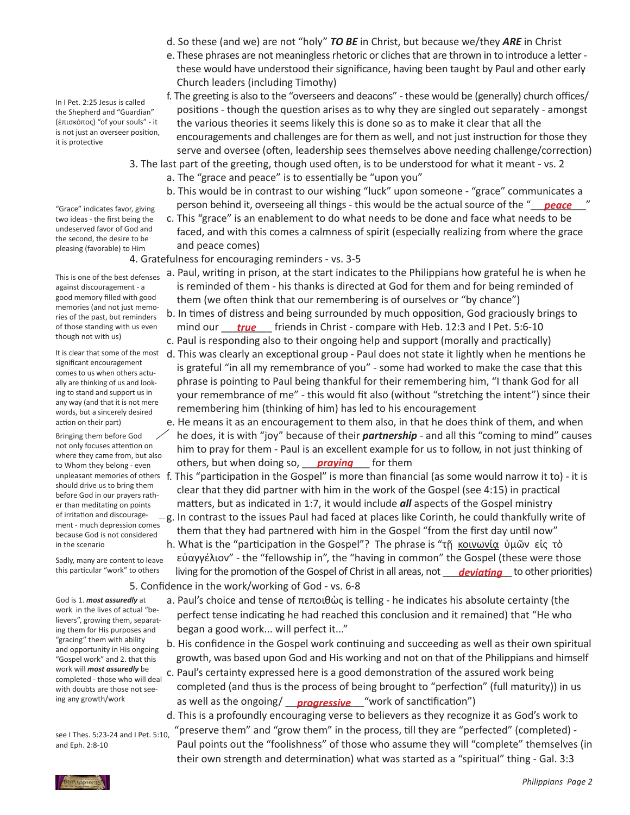- d. So these (and we) are not "holy" *TO BE* in Christ, but because we/they *ARE* in Christ
- e. These phrases are not meaningless rhetoric or cliches that are thrown in to introduce a letter - these would have understood their significance, having been taught by Paul and other early Church leaders (including Timothy)
- f. The greeting is also to the "overseers and deacons" these would be (generally) church offices/ positions - though the question arises as to why they are singled out separately - amongst the various theories it seems likely this is done so as to make it clear that all the encouragements and challenges are for them as well, and not just instruction for those they serve and oversee (often, leadership sees themselves above needing challenge/correction) 3. The last part of the greeting, though used often, is to be understood for what it meant - vs. 2
	- a. The "grace and peace" is to essentially be "upon you"
- b. This would be in contrast to our wishing "luck" upon someone "grace" communicates a "Grace" indicates favor, giving **person behind it, overseeing all things - this would be the actual source of the "***peace* **"** 
	- c. This "grace" is an enablement to do what needs to be done and face what needs to be faced, and with this comes a calmness of spirit (especially realizing from where the grace and peace comes)

 4. Gratefulness for encouraging reminders - vs. 3-5

- a. Paul, writing in prison, at the start indicates to the Philippians how grateful he is when he is reminded of them - his thanks is directed at God for them and for being reminded of them (we often think that our remembering is of ourselves or "by chance")
- b. In times of distress and being surrounded by much opposition, God graciously brings to of those standing with us even mind our <u>true</u> friends in Christ - compare with Heb. 12:3 and I Pet. 5:6-10
	- c. Paul is responding also to their ongoing help and support (morally and practically) d. This was clearly an exceptional group - Paul does not state it lightly when he mentions he is grateful "in all my remembrance of you" - some had worked to make the case that this phrase is pointing to Paul being thankful for their remembering him, "I thank God for all your remembrance of me" - this would fit also (without "stretching the intent") since their remembering him (thinking of him) has led to his encouragement
- e. He means it as an encouragement to them also, in that he does think of them, and when he does, it is with "joy" because of their *partnership* - and all this "coming to mind" causes him to pray for them - Paul is an excellent example for us to follow, in not just thinking of to Whom they belong - even **but a contrary of the respect to the contrary of them contrary of them** *praying* for them
	- This "participation in the Gospel" is more than financial (as some would narrow it to) it is clear that they did partner with him in the work of the Gospel (see 4:15) in practical matters, but as indicated in 1:7, it would include *all* aspects of the Gospel ministry -g. In contrast to the issues Paul had faced at places like Corinth, he could thankfully write of
		- them that they had partnered with him in the Gospel "from the first day until now" h. What is the "participation in the Gospel"? The phrase is "τῆ κοινωνία ὑμῶν εἰς τὸ
- εὐαγγέλιον" the "fellowship in", the "having in common" the Gospel (these were those this particular "work" to others living for the promotion of the Gospel of Christ in all areas, not <u>leviating</u> to other priorities) 5. Confidence in the work/working of God - vs. 6-8
	- a. Paul's choice and tense of πεποιθὼς is telling he indicates his absolute certainty (the perfect tense indicating he had reached this conclusion and it remained) that "He who began a good work... will perfect it..."
	- b. His confidence in the Gospel work continuing and succeeding as well as their own spiritual growth, was based upon God and His working and not on that of the Philippians and himself
- c. Paul's certainty expressed here is a good demonstration of the assured work being completed (and thus is the process of being brought to "perfection" (full maturity)) in us ing any growth/work **come and same as well as the ongoing/** \_\_\_**progressive** \_\_\_"work of sanctification")
	- d. This is a profoundly encouraging verse to believers as they recognize it as God's work to "preserve them" and "grow them" in the process, till they are "perfected" (completed) - Paul points out the "foolishness" of those who assume they will "complete" themselves (in their own strength and determination) what was started as a "spiritual" thing - Gal. 3:3

In I Pet. 2:25 Jesus is called the Shepherd and "Guardian" (ἐπισκόπος) "of your souls" - it is not just an overseer position, it is protective

"Grace" indicates favor, giving two ideas - the first being the undeserved favor of God and the second, the desire to be pleasing (favorable) to Him

This is one of the best defenses against discouragement - a good memory filled with good memories (and not just memories of the past, but reminders of those standing with us even though not with us)

It is clear that some of the most significant encouragement comes to us when others actually are thinking of us and looking to stand and support us in any way (and that it is not mere words, but a sincerely desired action on their part)

Bringing them before God not only focuses attention on where they came from, but also to Whom they belong - even unpleasant memories of others f. should drive us to bring them before God in our prayers rather than meditating on points of irritation and discouragement - much depression comes because God is not considered in the scenario

Sadly, many are content to leave this particular "work" to others

God is 1. *most assuredly* at work in the lives of actual "believers", growing them, separating them for His purposes and "gracing" them with ability and opportunity in His ongoing "Gospel work" and 2. that this work will *most assuredly* be completed - those who will deal with doubts are those not seeing any growth/work

see I Thes. 5:23-24 and I Pet. 5:10, and Eph. 2:8-10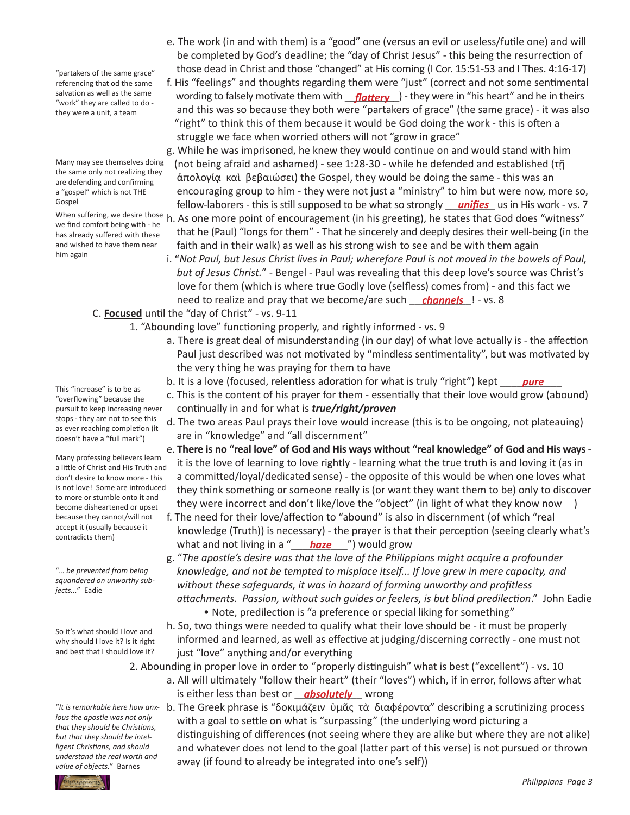"partakers of the same grace" referencing that od the same salvation as well as the same "work" they are called to do they were a unit, a team

Many may see themselves doing the same only not realizing they are defending and confirming a "gospel" which is not THE Gospel

we find comfort being with - he has already suffered with these and wished to have them near him again

This "increase" is to be as "overflowing" because the pursuit to keep increasing never as ever reaching completion (it

Many professing believers learn a little of Christ and His Truth and don't desire to know more - this is not love! Some are introduced to more or stumble onto it and become disheartened or upset because they cannot/will not

"... *be prevented from being squandered on unworthy sub-*

So it's what should I love and why should I love it? Is it right and best that I should love it?

*ious the apostle was not only that they should be Christians, but that they should be intelligent Christians, and should understand the real worth and value of objects.*" Barnes

- e. The work (in and with them) is a "good" one (versus an evil or useless/futile one) and will be completed by God's deadline; the "day of Christ Jesus" - this being the resurrection of those dead in Christ and those "changed" at His coming (I Cor. 15:51-53 and I Thes. 4:16-17)
- f. His "feelings" and thoughts regarding them were "just" (correct and not some sentimental salvation as well as the same wording to falsely motivate them with **\_\_<u>flattery</u>** \_) - they were in "his heart" and he in theirs and this was so because they both were "partakers of grace" (the same grace) - it was also "right" to think this of them because it would be God doing the work - this is often a struggle we face when worried others will not "grow in grace"

 g. While he was imprisoned, he knew they would continue on and would stand with him (not being afraid and ashamed) - see 1:28-30 - while he defended and established (τῇ ἀπολογίᾳ καὶ βεβαιώσει) the Gospel, they would be doing the same - this was an encouraging group to him - they were not just a "ministry" to him but were now, more so, fellow-laborers - this is still supposed to be what so strongly \_\_\_\_\_\_\_\_\_ us in His work - vs. 7 *unifies*

- When suffering, we desire those h. As one more point of encouragement (in his greeting), he states that God does "witness" that he (Paul) "longs for them" - That he sincerely and deeply desires their well-being (in the faith and in their walk) as well as his strong wish to see and be with them again
- i. "*Not Paul, but Jesus Christ lives in Paul; wherefore Paul is not moved in the bowels of Paul, but of Jesus Christ.*" - Bengel - Paul was revealing that this deep love's source was Christ's love for them (which is where true Godly love (selfless) comes from) - and this fact we need to realize and pray that we become/are such <u>channels</u> l - vs. 8

## C. **Focused** until the "day of Christ" - vs. 9-11

 1. "Abounding love" functioning properly, and rightly informed - vs. 9

- a. There is great deal of misunderstanding (in our day) of what love actually is the affection Paul just described was not motivated by "mindless sentimentality", but was motivated by the very thing he was praying for them to have
- b. It is a love (focused, relentless adoration for what is truly "right") kept \_\_\_\_\_\_\_\_\_\_\_ *pure*
	- c. This is the content of his prayer for them essentially that their love would grow (abound) continually in and for what is *true/right/proven*
- stops they are not to see this —d. The two areas Paul prays their love would increase (this is to be ongoing, not plateauing) are in "knowledge" and "all discernment"
	- e. **There is no "real love" of God and His ways without "real knowledge" of God and His ways** it is the love of learning to love rightly - learning what the true truth is and loving it (as in a committed/loyal/dedicated sense) - the opposite of this would be when one loves what they think something or someone really is (or want they want them to be) only to discover they were incorrect and don't like/love the "object" (in light of what they know now )
- f. The need for their love/affection to "abound" is also in discernment (of which "real knowledge (Truth)) is necessary) - the prayer is that their perception (seeing clearly what's what and not living in a "**\_\_\_\_<mark>haze</mark>** \_\_") would grow
	- g. "*The apostle's desire was that the love of the Philippians might acquire a profounder knowledge, and not be tempted to misplace itself... If love grew in mere capacity, and without these safeguards, it was in hazard of forming unworthy and profitless attachments. Passion, without such guides or feelers, is but blind predilection*." John Eadie • Note, predilection is "a preference or special liking for something"
	- h. So, two things were needed to qualify what their love should be it must be properly informed and learned, as well as effective at judging/discerning correctly - one must not just "love" anything and/or everything
	- 2. Abounding in proper love in order to "properly distinguish" what is best ("excellent") vs. 10
- a. All will ultimately "follow their heart" (their "loves") which, if in error, follows after what is either less than best or **\_\_\_absolutely** \_\_\_ wrong
- "It is remarkable here how anx- b. The Greek phrase is "δοκιμάζειν ὑμᾶς τὰ διαφέροντα" describing a scrutinizing process with a goal to settle on what is "surpassing" (the underlying word picturing a distinguishing of differences (not seeing where they are alike but where they are not alike) and whatever does not lend to the goal (latter part of this verse) is not pursued or thrown away (if found to already be integrated into one's self))

doesn't have a "full mark")

accept it (usually because it contradicts them)

*jects...*" Eadie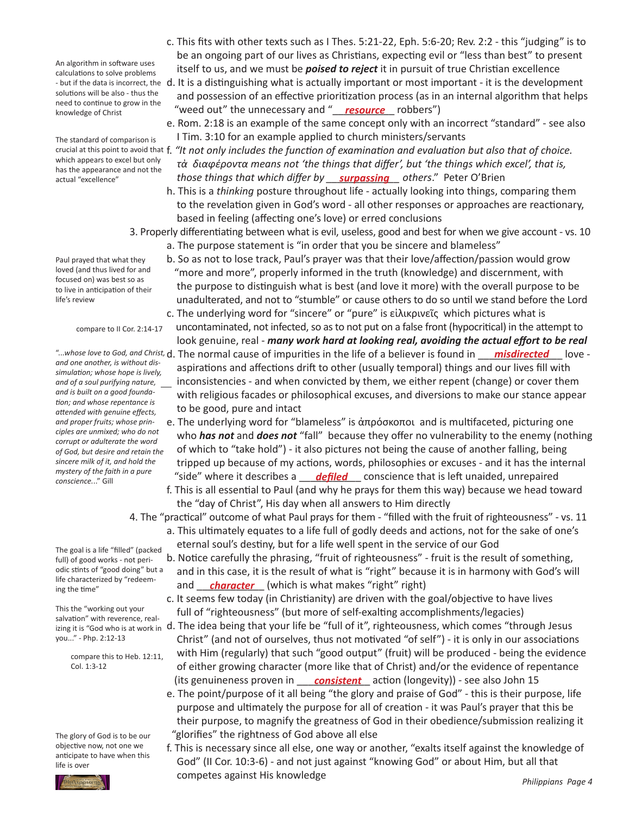An algorithm in software uses calculations to solve problems solutions will be also - thus the need to continue to grow in the knowledge of Christ

The standard of comparison is which appears to excel but only has the appearance and not the actual "excellence"

Paul prayed that what they loved (and thus lived for and focused on) was best so as to live in anticipation of their life's review

compare to II Cor. 2:14-17

*and one another, is without dissimulation; whose hope is lively, and of a soul purifying nature, and is built on a good foundation; and whose repentance is attended with genuine effects, and proper fruits; whose principles are unmixed; who do not corrupt or adulterate the word of God, but desire and retain the sincere milk of it, and hold the mystery of the faith in a pure conscience.*.." Gill

The goal is a life "filled" (packed full) of good works - not periodic stints of "good doing" but a life characterized by "redeeming the time"

This the "working out your salvation" with reverence, realyou..." - Php. 2:12-13

> compare this to Heb. 12:11, Col. 1:3-12

The glory of God is to be our objective now, not one we anticipate to have when this life is over



- c. This fits with other texts such as I Thes. 5:21-22, Eph. 5:6-20; Rev. 2:2 this "judging" is to be an ongoing part of our lives as Christians, expecting evil or "less than best" to present itself to us, and we must be *poised to reject* it in pursuit of true Christian excellence
- but if the data is incorrect, the d. It is a distinguishing what is actually important or most important it is the development and possession of an effective prioritization process (as in an internal algorithm that helps knowledge of Christ **the Conduct of Christ** "weed out" the unnecessary and "**\_\_\_<u>resource</u>** \_\_\_ robbers")
	- e. Rom. 2:18 is an example of the same concept only with an incorrect "standard" see also I Tim. 3:10 for an example applied to church ministers/servants
- crucial at this point to avoid that f. "It not only includes the function of examination and evaluation but also that of choice.  *τὰ διαφέροντα means not 'the things that differ', but 'the things which excel', that is, those things that which differ by \_\_\_\_\_\_\_\_\_\_\_\_\_ others*." Peter O'Brien *surpassing*
	- h. This is a *thinking* posture throughout life actually looking into things, comparing them to the revelation given in God's word - all other responses or approaches are reactionary, based in feeling (affecting one's love) or erred conclusions
	- 3. Properly differentiating between what is evil, useless, good and best for when we give account vs. 10
		- a. The purpose statement is "in order that you be sincere and blameless"
		- b. So as not to lose track, Paul's prayer was that their love/affection/passion would grow "more and more", properly informed in the truth (knowledge) and discernment, with the purpose to distinguish what is best (and love it more) with the overall purpose to be unadulterated, and not to "stumble" or cause others to do so until we stand before the Lord
		- c. The underlying word for "sincere" or "pure" is εἰλικρινεῖς which pictures what is uncontaminated, not infected, so as to not put on a false front (hypocritical) in the attempt to look genuine, real - *many work hard at looking real, avoiding the actual effort to be real*
- "...whose love to God, and Christ, d. The normal cause of impurities in the life of a believer is found in <u>\_\_\_\_**misdirected**</u> \_\_\_\_love - aspirations and affections drift to other (usually temporal) things and our lives fill with inconsistencies - and when convicted by them, we either repent (change) or cover them with religious facades or philosophical excuses, and diversions to make our stance appear to be good, pure and intact
- e. The underlying word for "blameless" is ἀπρόσκοποι and is multifaceted, picturing one who *has not* and *does not* "fall" because they offer no vulnerability to the enemy (nothing of which to "take hold") - it also pictures not being the cause of another falling, being tripped up because of my actions, words, philosophies or excuses - and it has the internal *defiled* where it describes a <u>conscience</u> that is left unaided, unrepaired conscience that is left unaided, unrepaired conscience..." Gill
	- f. This is all essential to Paul (and why he prays for them this way) because we head toward the "day of Christ", His day when all answers to Him directly

 4. The "practical" outcome of what Paul prays for them - "filled with the fruit of righteousness" - vs. 11

- a. This ultimately equates to a life full of godly deeds and actions, not for the sake of one's eternal soul's destiny, but for a life well spent in the service of our God
- b. Notice carefully the phrasing, "fruit of righteousness" fruit is the result of something, and in this case, it is the result of what is "right" because it is in harmony with God's will and \_\_\_\_\_\_\_\_\_\_\_\_ (which is what makes "right" right) *character*
	- c. It seems few today (in Christianity) are driven with the goal/objective to have lives full of "righteousness" (but more of self-exalting accomplishments/legacies)
- izing it is "God who is at work in d. The idea being that your life be "full of it", righteousness, which comes "through Jesus Christ" (and not of ourselves, thus not motivated "of self") - it is only in our associations with Him (regularly) that such "good output" (fruit) will be produced - being the evidence of either growing character (more like that of Christ) and/or the evidence of repentance (its genuineness proven in \_\_\_\_<u>consistent</u>\_\_ action (longevity)) - see also John 15
	- e. The point/purpose of it all being "the glory and praise of God" this is their purpose, life purpose and ultimately the purpose for all of creation - it was Paul's prayer that this be their purpose, to magnify the greatness of God in their obedience/submission realizing it "glorifies" the rightness of God above all else
	- f. This is necessary since all else, one way or another, "exalts itself against the knowledge of God" (II Cor. 10:3-6) - and not just against "knowing God" or about Him, but all that competes against His knowledge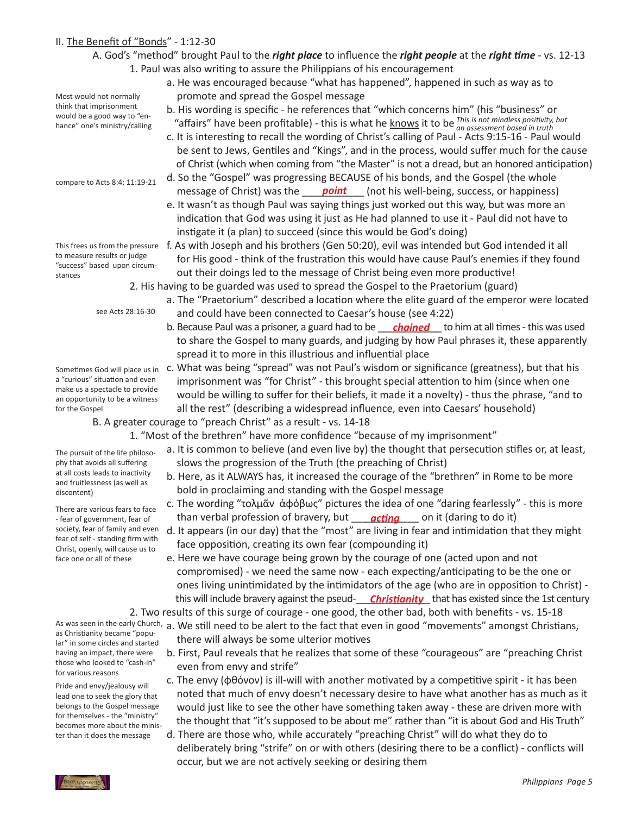## II. The Benefit of "Bonds" - 1:12-30

## A. God's "method" brought Paul to the *right place* to influence the *right people* at the *right time* - vs. 12-13 1. Paul was also writing to assure the Philippians of his encouragement

- a. He was encouraged because "what has happened", happened in such as way as to promote and spread the Gospel message
- b. His wording is specific he references that "which concerns him" (his "business" or would be a good way to en-<br>hance" one's ministry/calling **the affairs**" have been profitable) - this is what he knows it to be *This is not mindless positivity, but an assessment based in truth*
	- c. It is interesting to recall the wording of Christ's calling of Paul Acts 9:15-16 Paul would be sent to Jews, Gentiles and "Kings", and in the process, would suffer much for the cause of Christ (which when coming from "the Master" is not a dread, but an honored anticipation)
- d. So the "Gospel" was progressing BECAUSE of his bonds, and the Gospel (the whole message of Christ) was the **point** (not his well-being, success, or happiness)
	- e. It wasn't as though Paul was saying things just worked out this way, but was more an indication that God was using it just as He had planned to use it - Paul did not have to instigate it (a plan) to succeed (since this would be God's doing)
- This frees us from the pressure f. As with Joseph and his brothers (Gen 50:20), evil was intended but God intended it all for His good - think of the frustration this would have cause Paul's enemies if they found out their doings led to the message of Christ being even more productive!
	- 2. His having to be guarded was used to spread the Gospel to the Praetorium (guard) a. The "Praetorium" described a location where the elite guard of the emperor were located
		- and could have been connected to Caesar's house (see 4:22)
- b. Because Paul was a prisoner, a guard had to be \_\_\_\_<mark>chained</mark> \_\_ to him at all times this was used to share the Gospel to many guards, and judging by how Paul phrases it, these apparently spread it to more in this illustrious and influential place
	- c. What was being "spread" was not Paul's wisdom or significance (greatness), but that his imprisonment was "for Christ" - this brought special attention to him (since when one would be willing to suffer for their beliefs, it made it a novelty) - thus the phrase, "and to all the rest" (describing a widespread influence, even into Caesars' household)

 B. A greater courage to "preach Christ" as a result - vs. 14-18

 1. "Most of the brethren" have more confidence "because of my imprisonment"

- a. It is common to believe (and even live by) the thought that persecution stifles or, at least, slows the progression of the Truth (the preaching of Christ)
- b. Here, as it ALWAYS has, it increased the courage of the "brethren" in Rome to be more bold in proclaiming and standing with the Gospel message
- c. The wording "τολμᾶν ἀφόβως" pictures the idea of one "daring fearlessly" this is more -fear of government, fear of han verbal profession of bravery, but http://www.comediatedoit)
	- d. It appears (in our day) that the "most" are living in fear and intimidation that they might face opposition, creating its own fear (compounding it)
- e. Here we have courage being grown by the courage of one (acted upon and not compromised) - we need the same now - each expecting/anticipating to be the one or ones living unintimidated by the intimidators of the age (who are in opposition to Christ) this will include bravery against the pseud-**\_\_\_\_Christianity\_\_** that has existed since the 1st century

 2. Two results of this surge of courage - one good, the other bad, both with benefits - vs. 15-18 As was seen in the early Church, a. We still need to be alert to the fact that even in good "movements" amongst Christians,

- there will always be some ulterior motives
- b. First, Paul reveals that he realizes that some of these "courageous" are "preaching Christ even from envy and strife"
- c. The envy (φθόνον) is ill-will with another motivated by a competitive spirit it has been noted that much of envy doesn't necessary desire to have what another has as much as it would just like to see the other have something taken away - these are driven more with the thought that "it's supposed to be about me" rather than "it is about God and His Truth"
- d. There are those who, while accurately "preaching Christ" will do what they do to deliberately bring "strife" on or with others (desiring there to be a conflict) - conflicts will occur, but we are not actively seeking or desiring them

compare to Acts 8:4; 11:19-21

Most would not normally think that imprisonment would be a good way to "enhance" one's ministry/calling

to measure results or judge "success" based upon circumstances

see Acts 28:16-30

Sometimes God will place us in a "curious" situation and even make us a spectacle to provide an opportunity to be a witness for the Gospel

The pursuit of the life philosophy that avoids all suffering at all costs leads to inactivity and fruitlessness (as well as discontent)

There are various fears to face - fear of government, fear of society, fear of family and even fear of self - standing firm with Christ, openly, will cause us to face one or all of these

as Christianity became "popular" in some circles and started having an impact, there were those who looked to "cash-in" for various reasons

Pride and envy/jealousy will lead one to seek the glory that belongs to the Gospel message for themselves - the "ministry" becomes more about the minister than it does the message

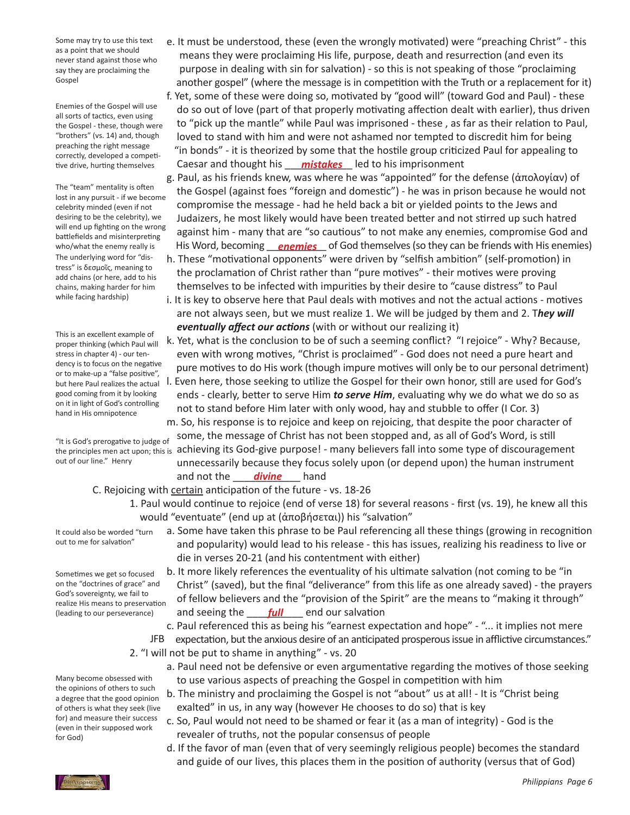Some may try to use this text as a point that we should never stand against those who say they are proclaiming the Gospel

Enemies of the Gospel will use all sorts of tactics, even using the Gospel - these, though were "brothers" (vs. 14) and, though preaching the right message correctly, developed a competitive drive, hurting themselves

The "team" mentality is often lost in any pursuit - if we become celebrity minded (even if not desiring to be the celebrity), we will end up fighting on the wrong battlefields and misinterpreting who/what the enemy really is The underlying word for "distress" is δεσμοῖς, meaning to add chains (or here, add to his chains, making harder for him while facing hardship)

This is an excellent example of proper thinking (which Paul will stress in chapter 4) - our tendency is to focus on the negative or to make-up a "false positive", but here Paul realizes the actual good coming from it by looking on it in light of God's controlling hand in His omnipotence

"It is God's prerogative to judge of out of our line." Henry

- e. It must be understood, these (even the wrongly motivated) were "preaching Christ" this means they were proclaiming His life, purpose, death and resurrection (and even its purpose in dealing with sin for salvation) - so this is not speaking of those "proclaiming another gospel" (where the message is in competition with the Truth or a replacement for it)
- f. Yet, some of these were doing so, motivated by "good will" (toward God and Paul) these do so out of love (part of that properly motivating affection dealt with earlier), thus driven to "pick up the mantle" while Paul was imprisoned - these , as far as their relation to Paul, loved to stand with him and were not ashamed nor tempted to discredit him for being "in bonds" - it is theorized by some that the hostile group criticized Paul for appealing to tive drive, hurting themselves **Caesar and thought his <u>mistakes</u>** led to his imprisonment
- g. Paul, as his friends knew, was where he was "appointed" for the defense (ἀπολογίαν) of the Gospel (against foes "foreign and domestic") - he was in prison because he would not compromise the message - had he held back a bit or yielded points to the Jews and Judaizers, he most likely would have been treated better and not stirred up such hatred against him - many that are "so cautious" to not make any enemies, compromise God and who/what the enemy really is <sup>This</sup> Word, becoming <u>Penemies</u> of God themselves (so they can be friends with His enemies)
	- h. These "motivational opponents" were driven by "selfish ambition" (self-promotion) in the proclamation of Christ rather than "pure motives" - their motives were proving themselves to be infected with impurities by their desire to "cause distress" to Paul
	- i. It is key to observe here that Paul deals with motives and not the actual actions motives are not always seen, but we must realize 1. We will be judged by them and 2. T*hey will eventually affect our actions* (with or without our realizing it)
	- k. Yet, what is the conclusion to be of such a seeming conflict? "I rejoice" Why? Because, even with wrong motives, "Christ is proclaimed" - God does not need a pure heart and pure motives to do His work (though impure motives will only be to our personal detriment)
	- l. Even here, those seeking to utilize the Gospel for their own honor, still are used for God's ends - clearly, better to serve Him *to serve Him*, evaluating why we do what we do so as not to stand before Him later with only wood, hay and stubble to offer (I Cor. 3)

 m. So, his response is to rejoice and keep on rejoicing, that despite the poor character of some, the message of Christ has not been stopped and, as all of God's Word, is still the principles men act upon; this is achieving its God-give purpose! - many believers fall into some type of discouragement unnecessarily because they focus solely upon (or depend upon) the human instrument and not the <u>divine</u> hand

## C. Rejoicing with certain anticipation of the future - vs. 18-26

 1. Paul would continue to rejoice (end of verse 18) for several reasons - first (vs. 19), he knew all this would "eventuate" (end up at (ἀποβήσεται)) his "salvation"

It could also be worded "turn out to me for salvation"

Sometimes we get so focused on the "doctrines of grace" and God's sovereignty, we fail to realize His means to preservation (leading to our perseverance)

- a. Some have taken this phrase to be Paul referencing all these things (growing in recognition and popularity) would lead to his release - this has issues, realizing his readiness to live or die in verses 20-21 (and his contentment with either)
- b. It more likely references the eventuality of his ultimate salvation (not coming to be "in Christ" (saved), but the final "deliverance" from this life as one already saved) - the prayers of fellow believers and the "provision of the Spirit" are the means to "making it through" (leading to our perseverance) and seeing the setall condition and our salvation
	- c. Paul referenced this as being his "earnest expectation and hope" "... it implies not mere

expectation, but the anxious desire of an anticipated prosperous issue in afflictive circumstances." 2. "I will not be put to shame in anything" - vs. 20 JFB

- a. Paul need not be defensive or even argumentative regarding the motives of those seeking to use various aspects of preaching the Gospel in competition with him
- b. The ministry and proclaiming the Gospel is not "about" us at all! It is "Christ being exalted" in us, in any way (however He chooses to do so) that is key
- c. So, Paul would not need to be shamed or fear it (as a man of integrity) God is the revealer of truths, not the popular consensus of people
- d. If the favor of man (even that of very seemingly religious people) becomes the standard and guide of our lives, this places them in the position of authority (versus that of God)

Many become obsessed with the opinions of others to such a degree that the good opinion of others is what they seek (live for) and measure their success (even in their supposed work for God)

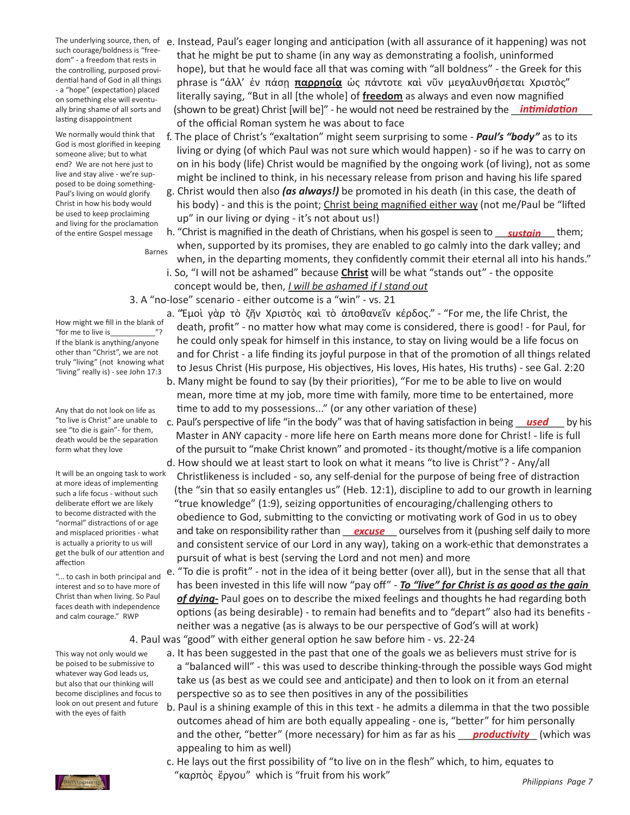such courage/boldness is "freedom" - a freedom that rests in the controlling, purposed providential hand of God in all things - a "hope" (expectation) placed on something else will eventually bring shame of all sorts and lasting disappointment

We normally would think that God is most glorified in keeping someone alive; but to what end? We are not here just to live and stay alive - we're supposed to be doing something-Paul's living on would glorify Christ in how his body would be used to keep proclaiming and living for the proclamation of the entire Gospel message

Barnes

- The underlying source, then, of e. Instead, Paul's eager longing and anticipation (with all assurance of it happening) was not that he might be put to shame (in any way as demonstrating a foolish, uninformed hope), but that he would face all that was coming with "all boldness" - the Greek for this phrase is "ἀλλ' ἐν πάσῃ **παρρησίᾳ** ὡς πάντοτε καὶ νῦν μεγαλυνθήσεται Χριστὸς" literally saying, "But in all [the whole] of **freedom** as always and even now magnified ally bring shame of all sorts and (shown to be great) Christ [will be]" - he would not need be restrained by the *\_\_intimidation*  of the official Roman system he was about to face
	- f. The place of Christ's "exaltation" might seem surprising to some *Paul's "body"* as to its living or dying (of which Paul was not sure which would happen) - so if he was to carry on on in his body (life) Christ would be magnified by the ongoing work (of living), not as some might be inclined to think, in his necessary release from prison and having his life spared
	- g. Christ would then also *(as always!)* be promoted in his death (in this case, the death of his body) - and this is the point; Christ being magnified either way (not me/Paul be "lifted up" in our living or dying - it's not about us!)
- of the entire Gospel message h. "Christ is magnified in the death of Christians, when his gospel is seen to <u>sustain</u> them; when, supported by its promises, they are enabled to go calmly into the dark valley; and when, in the departing moments, they confidently commit their eternal all into his hands." i. So, "I will not be ashamed" because **Christ** will be what "stands out" - the opposite
	- concept would be, then, *I will be ashamed if I stand out*

 3. A "no-lose" scenario - either outcome is a "win" - vs. 21

How might we fill in the blank of "for me to live is If the blank is anything/anyone other than "Christ", we are not truly "living" (not knowing what "living" really is) - see John 17:3

Any that do not look on life as "to live is Christ" are unable to see "to die is gain"- for them, death would be the separation form what they love

It will be an ongoing task to work at more ideas of implementing such a life focus - without such deliberate effort we are likely to become distracted with the "normal" distractions of or age and misplaced priorities - what is actually a priority to us will get the bulk of our attention and affection

"... to cash in both principal and interest and so to have more of Christ than when living. So Paul faces death with independence and calm courage." RWP

This way not only would we be poised to be submissive to whatever way God leads us, but also that our thinking will become disciplines and focus to look on out present and future with the eyes of faith

- a. "Ἐμοὶ γὰρ τὸ ζῆν Χριστὸς καὶ τὸ ἀποθανεῖν κέρδος." "For me, the life Christ, the  $\frac{100}{n^2}$  death, profit" - no matter how what may come is considered, there is good! - for Paul, for he could only speak for himself in this instance, to stay on living would be a life focus on and for Christ - a life finding its joyful purpose in that of the promotion of all things related to Jesus Christ (His purpose, His objectives, His loves, His hates, His truths) - see Gal. 2:20
	- b. Many might be found to say (by their priorities), "For me to be able to live on would mean, more time at my job, more time with family, more time to be entertained, more time to add to my possessions..." (or any other variation of these)
- "to live is Christ" are unable to c. Paul's perspective of life "in the body" was that of having satisfaction in being <u>sed</u> by his Master in ANY capacity - more life here on Earth means more done for Christ! - life is full of the pursuit to "make Christ known" and promoted - itsthought/motive is a life companion d. How should we at least start to look on what it means "to live is Christ"? - Any/all
- Christlikeness is included so, any self-denial for the purpose of being free of distraction (the "sin that so easily entangles us" (Heb. 12:1), discipline to add to our growth in learning "true knowledge" (1:9), seizing opportunities of encouraging/challenging others to obedience to God, submitting to the convicting or motivating work of God in us to obey and misplaced priorities - what and take on responsibility rather than <u>excuse</u> ourselves from it (pushing self daily to more and consistent service of our Lord in any way), taking on a work-ethic that demonstrates a pursuit of what is best (serving the Lord and not men) and more
	- e. "To die is profit" not in the idea of it being better (over all), but in the sense that all that has been invested in this life will now "pay off" - *To "live" for Christ is as good as the gain of dying-* Paul goes on to describe the mixed feelings and thoughts he had regarding both options (as being desirable) - to remain had benefits and to "depart" also had its benefits - neither was a negative (as is always to be our perspective of God's will at work)

 4. Paul was "good" with either general option he saw before him - vs. 22-24

- a. It has been suggested in the past that one of the goals we as believers must strive for is a "balanced will" - this was used to describe thinking-through the possible ways God might take us (as best as we could see and anticipate) and then to look on it from an eternal perspective so as to see then positives in any of the possibilities
- b. Paul is a shining example of this in this text he admits a dilemma in that the two possible outcomes ahead of him are both equally appealing - one is, "better" for him personally and the other, "better" (more necessary) for him as far as his <u>productivity</u> (which was appealing to him as well)
	- c. He lays out the first possibility of "to live on in the flesh" which, to him, equates to "καρπὸς ἔργου" which is "fruit from his work"

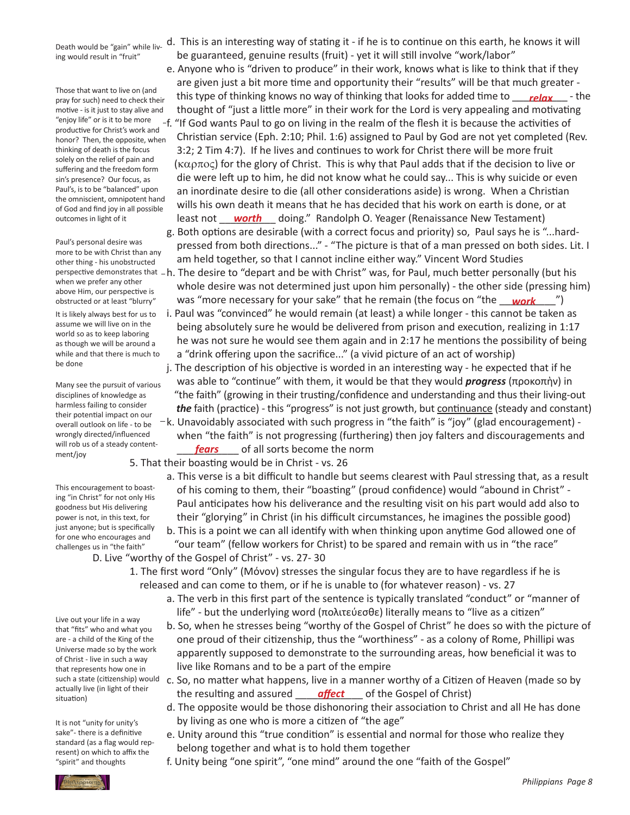Death would be "gain" while living would result in "fruit"

Those that want to live on (and pray for such) need to check their motive - is it just to stayalive and "enjoy life" or is it to be more productive for Christ's work and honor? Then, the opposite, when thinking of death is the focus solely on the relief of pain and suffering and the freedom form sin's presence? Our focus, as Paul's, is to be "balanced" upon the omniscient, omnipotent hand of God and find joy in all possible outcomes in light of it

Paul's personal desire was more to be with Christ than any other thing - his unobstructed when we prefer any other above Him, our perspective is obstructed or at least "blurry"

It is likely always best for us to assume we will live on in the world so as to keep laboring as though we will be around a while and that there is much to be done

Many see the pursuit of various disciplines of knowledge as harmless failing to consider their potential impact on our overall outlook on life - to be wrongly directed/influenced will rob us of a steady contentment/joy

This encouragement to boasting "in Christ" for not only His goodness but His delivering power is not, in this text, for just anyone; but is specifically for one who encourages and challenges us in "the faith"

Live out your life in a way that "fits" who and what you are - a child of the King of the Universe made so by the work of Christ - live in such a way that represents how one in such a state (citizenship) would actually live (in light of their situation)

It is not "unity for unity's sake"- there is a definitive standard (as a flag would represent) on which to affix the "spirit" and thoughts

- d. This is an interesting way of stating it if he is to continue on this earth, he knows it will be guaranteed, genuine results (fruit) - yet it will still involve "work/labor"
- e. Anyone who is "driven to produce" in their work, knows what is like to think that if they are given just a bit more time and opportunity their "results" will be that much greater this that want to live of tand<br>pray for such) need to check their this type of thinking knows no way of thinking that looks for added time to <u>relax</u> - the thought of "just a little more" in their work for the Lord is very appealing and motivating f. "If God wants Paul to go on living in the realm of the flesh it is because the activities of Christian service (Eph. 2:10; Phil. 1:6) assigned to Paul by God are not yet completed (Rev. 3:2; 2 Tim 4:7). If he lives and continues to work for Christ there will be more fruit  $(\kappa\alpha\rho\pi\alpha\varsigma)$  for the glory of Christ. This is why that Paul adds that if the decision to live or die were left up to him, he did not know what he could say... This is why suicide or even an inordinate desire to die (all other considerations aside) is wrong. When a Christian wills his own death it means that he has decided that his work on earth is done, or at outcomes in light of it **content of the astem of the other of the wares** doing." Randolph O. Yeager (Renaissance New Testament)
	- g. Both options are desirable (with a correct focus and priority) so, Paul says he is "...hard- pressed from both directions..." - "The picture is that of a man pressed on both sides. Lit. I am held together, so that I cannot incline either way." Vincent Word Studies
- perspective demonstrates that  $-$ h. The desire to "depart and be with Christ" was, for Paul, much better personally (but his whole desire was not determined just upon him personally) - the other side (pressing him) obstructed or at least "blurry" was <mark>"more necessary for your sake" that he remain (the focus on "the <u>work "</u>)</mark>
	- i. Paul was "convinced" he would remain (at least) a while longer this cannot be taken as being absolutely sure he would be delivered from prison and execution, realizing in 1:17 he was not sure he would see them again and in 2:17 he mentions the possibility of being a "drink offering upon the sacrifice..." (a vivid picture of an act of worship)
	- j. The description of his objective is worded in an interesting way he expected that if he was able to "continue" with them, it would be that they would *progress* (προκοπὴν) in "the faith" (growing in their trusting/confidence and understanding and thus their living-out *the* faith (practice) - this "progress" is not just growth, but continuance (steady and constant)  $-k$ . Unavoidably associated with such progress in "the faith" is "joy" (glad encouragement) - when "the faith" is not progressing (furthering) then joy falters and discouragements and

will rob us of a steady content-<br>ment/ioversity of all sorts become the norm 5. That their boasting would be in Christ - vs. 26

> a. This verse is a bit difficult to handle but seems clearest with Paul stressing that, as a result of his coming to them, their "boasting" (proud confidence) would "abound in Christ" - Paul anticipates how his deliverance and the resulting visit on his part would add also to their "glorying" in Christ (in his difficult circumstances, he imagines the possible good)

 b. This is a point we can all identify with when thinking upon anytime God allowed one of "our team" (fellow workers for Christ) to be spared and remain with us in "the race"

 D. Live "worthy of the Gospel of Christ" - vs. 27- 30

- 1. The first word "Only" (Μόνον) stresses the singular focus they are to have regardless if he is released and can come to them, or if he is unable to (for whatever reason) - vs. 27
	- a. The verb in this first part of the sentence is typically translated "conduct" or "manner of life" - but the underlying word (πολιτεύεσθε) literally means to "live as a citizen"
	- b. So, when he stresses being "worthy of the Gospel of Christ" he does so with the picture of one proud of their citizenship, thus the "worthiness" - as a colony of Rome, Phillipi was apparently supposed to demonstrate to the surrounding areas, how beneficial it was to live like Romans and to be a part of the empire
- c. So, no matter what happens, live in a manner worthy of a Citizen of Heaven (made so by actually live (in light of their the resulting and assured <u>eaffect</u> of the Gospel of Christ)
	- d. The opposite would be those dishonoring their association to Christ and all He has done by living as one who is more a citizen of "the age"
	- e. Unity around this "true condition" is essential and normal for those who realize they belong together and what is to hold them together
	- f. Unity being "one spirit", "one mind" around the one "faith of the Gospel"

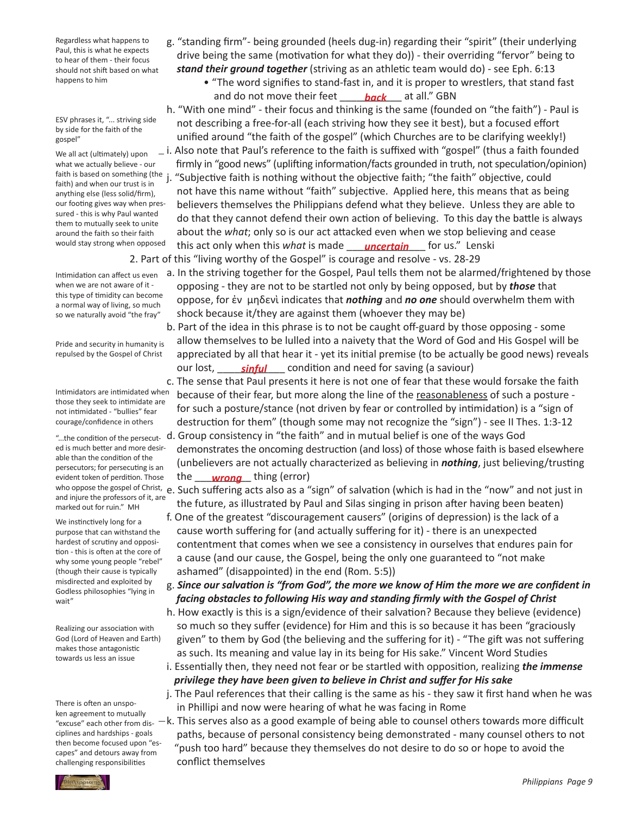Regardless what happens to Paul, this is what he expects to hear of them - their focus should not shift based on what happens to him

ESV phrases it, "... striving side by side for the faith of the gospel"

We all act (ultimately) upon what we actually believe - our faith) and when our trust is in anything else (less solid/firm), our footing gives way when pressured - this is why Paul wanted them to mutually seek to unite around the faith so their faith would stay strong when opposed

Intimidation can affect us even when we are not aware of it this type of timidity can become a normal way of living, so much so we naturally avoid "the fray"

Pride and security in humanity is repulsed by the Gospel of Christ

Intimidators are intimidated when those they seek to intimidate are not intimidated - "bullies" fear courage/confidence in others

ed is much better and more desirable than the condition of the persecutors; for persecuting is an evident token of perdition. Those and injure the professors of it, are marked out for ruin." MH

We instinctively long for a purpose that can withstand the hardest of scrutiny and opposition - this is often at the core of why some young people "rebel" (though their cause is typically misdirected and exploited by Godless philosophies "lying in wait"

Realizing our association with God (Lord of Heaven and Earth) makes those antagonistic towards us less an issue

There is often an unspoken agreement to mutually "excuse" each other from disciplines and hardships - goals then become focused upon "escapes" and detours away from

- g. "standing firm"- being grounded (heels dug-in) regarding their "spirit" (their underlying drive being the same (motivation for what they do)) - their overriding "fervor" being to *stand their ground together* (striving as an athletic team would do) - see Eph. 6:13
- "The word signifies to stand-fast in, and it is proper to wrestlers, that stand fast and do not move their feet \_\_\_\_\_\_\_\_\_\_\_ at all." GBN *back*
- h. "With one mind" their focus and thinking is the same (founded on "the faith") Paul is not describing a free-for-all (each striving how they see it best), but a focused effort unified around "the faith of the gospel" (which Churches are to be clarifying weekly!)  $\_$  i. Also note that Paul's reference to the faith is suffixed with "gospel" (thus a faith founded firmly in "good news" (uplifting information/facts grounded in truth, not speculation/opinion) faith is based on something (the j. "Subjective faith is nothing without the objective faith; "the faith" objective, could not have this name without "faith" subjective. Applied here, this means that as being believers themselves the Philippians defend what they believe. Unless they are able to do that they cannot defend their own action of believing. To this day the battle is always about the *what*; only so is our act attacked even when we stop believing and cease would stay strong when opposed this act only when this what is made <u>sancertain</u> for us." Lenski 2. Part of this "living worthy of the Gospel" is courage and resolve - vs. 28-29
	- a. In the striving together for the Gospel, Paul tells them not be alarmed/frightened by those opposing - they are not to be startled not only by being opposed, but by *those* that oppose, for ἐν μηδενὶ indicates that *nothing* and *no one* should overwhelm them with shock because it/they are against them (whoever they may be)
- b. Part of the idea in this phrase is to not be caught off-guard by those opposing some allow themselves to be lulled into a naivety that the Word of God and His Gospel will be appreciated by all that hear it - yet its initial premise (to be actually be good news) reveals our lost, <u>sinful</u> condition and need for saving (a saviour)
	- c. The sense that Paul presents it here is not one of fear that these would forsake the faith because of their fear, but more along the line of the reasonableness of such a posture - for such a posture/stance (not driven by fear or controlled by intimidation) is a "sign of destruction for them" (though some may not recognize the "sign") - see II Thes. 1:3-12
- "...the condition of the persecut- d. Group consistency in "the faith" and in mutual belief is one of the ways God demonstrates the oncoming destruction (and loss) of those whose faith is based elsewhere (unbelievers are not actually characterized as believing in *nothing*, just believing/trusting evident token of perdition. Those the \_\_\_\_\_ <mark>wrong</mark> \_\_ thing (error)

who oppose the gospel of Christ, e. Such suffering acts also as a "sign" of salvation (which is had in the "now" and not just in the future, as illustrated by Paul and Silas singing in prison after having been beaten)

- f. One of the greatest "discouragement causers" (origins of depression) is the lack of a cause worth suffering for (and actually suffering for it) - there is an unexpected contentment that comes when we see a consistency in ourselves that endures pain for a cause (and our cause, the Gospel, being the only one guaranteed to "not make ashamed" (disappointed) in the end (Rom. 5:5))
- g. *Since our salvation is "from God", the more we know of Him the more we are confident in facing obstacles to following His way and standing firmly with the Gospel of Christ*
- h. How exactly is this is a sign/evidence of their salvation? Because they believe (evidence) so much so they suffer (evidence) for Him and this is so because it has been "graciously given" to them by God (the believing and the suffering for it) - "The gift was not suffering as such. Its meaning and value lay in its being for His sake." Vincent Word Studies
- i. Essentially then, they need not fear or be startled with opposition, realizing *the immense privilege they have been given to believe in Christ and suffer for His sake*
- j. The Paul references that their calling is the same as his they saw it first hand when he was in Phillipi and now were hearing of what he was facing in Rome
- $-k$ . This serves also as a good example of being able to counsel others towards more difficult paths, because of personal consistency being demonstrated - many counsel others to not "push too hard" because they themselves do not desire to do so or hope to avoid the challenging responsibilities and conflict themselves

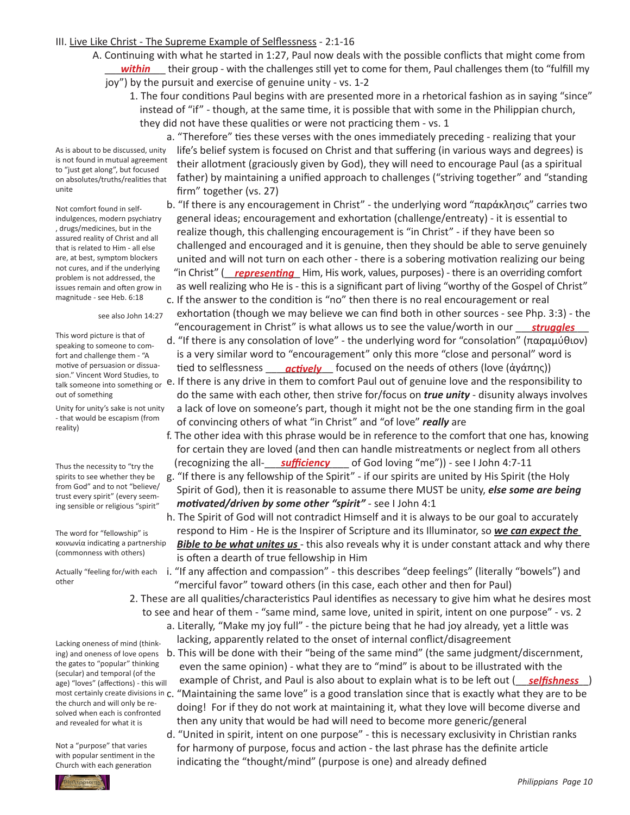## III. Live Like Christ - The Supreme Example of Selflessness - 2:1-16

- A. Continuing with what he started in 1:27, Paul now deals with the possible conflicts that might come from \_\_\_\_\_\_\_\_\_\_\_ their group - with the challenges still yet to come for them, Paul challenges them (to "fulfill my *within*
	- joy") by the pursuit and exercise of genuine unity vs. 1-2
		- 1. The four conditions Paul begins with are presented more in a rhetorical fashion as in saying "since" instead of "if" - though, at the same time, it is possible that with some in the Philippian church, they did not have these qualities or were not practicing them - vs. 1

As is about to be discussed, unity is not found in mutual agreement to "just get along", but focused on absolutes/truths/realities that unite

Not comfort found in selfindulgences, modern psychiatry , drugs/medicines, but in the assured reality of Christ and all that is related to Him - all else are, at best, symptom blockers not cures, and if the underlying problem is not addressed, the issues remain and often grow in magnitude - see Heb. 6:18

see also John 14:27

This word picture is that of speaking to someone to comfort and challenge them- "A motive of persuasion or dissuasion." Vincent Word Studies, to out of something

Unity for unity's sake is not unity - that would be escapism (from reality)

Thus the necessity to "try the spirits to see whether they be from God" and to not "believe/ trust every spirit" (every seeming sensible or religious "spirit"

The word for "fellowship" is κοινωνία indicating a partnership (commonness with others)

other

Lacking oneness of mind (thinking) and oneness of love opens the gates to "popular" thinking (secular) and temporal (of the age) "loves" (affections) - this will the church and will only be resolved when each is confronted and revealed for what it is

Not a "purpose" that varies with popular sentiment in the Church with each generation



- general ideas; encouragement and exhortation (challenge/entreaty) it is essential to realize though, this challenging encouragement is "in Christ" - if they have been so challenged and encouraged and it is genuine, then they should be able to serve genuinely united and will not turn on each other - there is a sobering motivation realizing our being not cures, and it the underlying "in Christ" (**\_\_<u>representing</u>** Him, His work, values, purposes) - there is an overriding comfort as well realizing who He is - this is a significant part of living "worthy of the Gospel of Christ"
- c. If the answer to the condition is "no" then there is no real encouragement or real exhortation (though we may believe we can find both in other sources - see Php. 3:3) - the "encouragement in Christ" is what allows us to see the value/worth in our \_\_\_\_\_\_\_\_\_\_\_\_\_ *struggles*
- d. "If there is any consolation of love" the underlying word for "consolation" (παραμύθιον) is a very similar word to "encouragement" only this more "close and personal" word is motive of persuasion or dissua-**lection to selflessness <u>actively</u> focused on the needs of others (love (ἀγάπης))**
- talk someone into something or e. If there is any drive in them to comfort Paul out of genuine love and the responsibility to do the same with each other, then strive for/focus on *true unity* - disunity always involves a lack of love on someone's part, though it might not be the one standing firm in the goal of convincing others of what "in Christ" and "of love" *really* are
- f. The other idea with this phrase would be in reference to the comfort that one has, knowing for certain they are loved (and then can handle mistreatments or neglect from all others Thus the necessity to "try the lime Cognizing the all-**sufficiency** of God loving "me")) - see I John 4:7-11
	- g. "If there is any fellowship of the Spirit" if our spirits are united by His Spirit (the Holy Spirit of God), then it is reasonable to assume there MUST be unity, *else some are being motivated/driven by some other "spirit"* - see I John 4:1
	- h. The Spirit of God will not contradict Himself and it is always to be our goal to accurately respond to Him - He is the Inspirer of Scripture and its Illuminator, so *we can expect the*  **Bible to be what unites us** - this also reveals why it is under constant attack and why there is often a dearth of true fellowship in Him
- Actually "feeling for/with each i. "If any affection and compassion" this describes "deep feelings" (literally "bowels") and "merciful favor" toward others (in this case, each other and then for Paul)
	- 2. These are all qualities/characteristics Paul identifies as necessary to give him what he desires most to see and hear of them - "same mind, same love, united in spirit, intent on one purpose" - vs. 2 a. Literally, "Make my joy full" - the picture being that he had joy already, yet a little was
		- lacking, apparently related to the onset of internal conflict/disagreement
- b. This will be done with their "being of the same mind" (the same judgment/discernment, even the same opinion) - what they are to "mind" is about to be illustrated with the age) "loves" (affections) - this will example of Christ, and Paul is also about to explain what is to be left out (<u>selfishness</u>) most certainly create divisions in c. "Maintaining the same love" is a good translation since that is exactly what they are to be doing! For if they do not work at maintaining it, what they love will become diverse and then any unity that would be had will need to become more generic/general
	- d. "United in spirit, intent on one purpose" this is necessary exclusivity in Christian ranks for harmony of purpose, focus and action - the last phrase has the definite article indicating the "thought/mind" (purpose is one) and already defined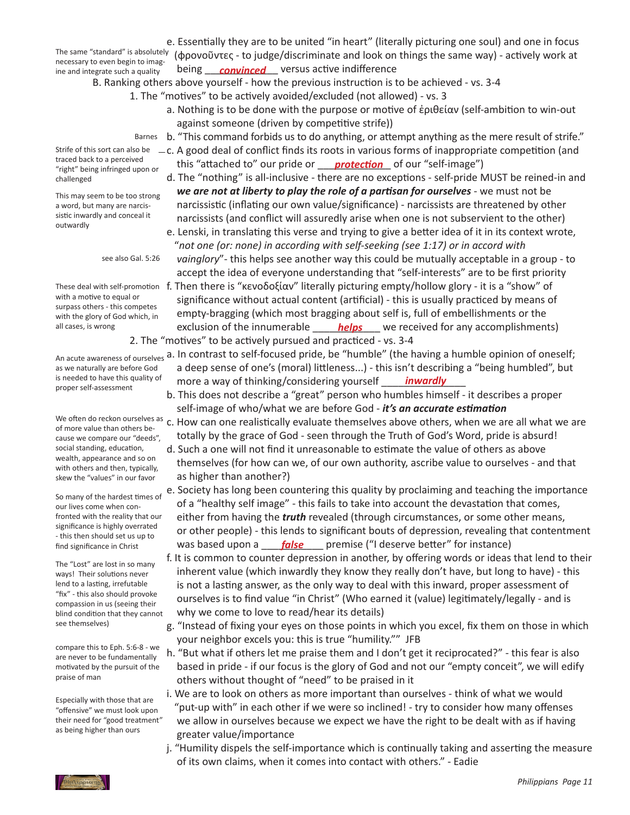necessary to even begin to imagine and integrate such a quality

 e. Essentially they are to be united "in heart" (literally picturing one soul) and one in focus The same "standard" is absolutely (φρονοῦντες - to judge/discriminate and look on things the same way) - actively work at ine and integrate such a quality being <u>convinced</u> versus active indifference

 B. Ranking others above yourself - how the previous instruction is to be achieved - vs. 3-4

- 1. The "motives" to be actively avoided/excluded (not allowed) vs. 3
	- a. Nothing is to be done with the purpose or motive of ἐριθείαν (self-ambition to win-out against someone (driven by competitive strife))
- Barnes b. "This command forbids us to do anything, or attempt anything as the mere result of strife."
- $-c$ . A good deal of conflict finds its roots in various forms of inappropriate competition (and <sup>rraced back to a perceived</sup> entity this "attached to" our pride or <u>protection</u> of our "self-image")
	- d. The "nothing" is all-inclusive there are no exceptions self-pride MUST be reined-in and *we are not at liberty to play the role of a partisan for ourselves* - we must not be narcissistic (inflating our own value/significance) - narcissists are threatened by other narcissists (and conflict will assuredly arise when one is not subservient to the other)
	- e. Lenski, in translating this verse and trying to give a better idea of it in its context wrote, "*not one (or: none) in according with self-seeking (see 1:17) or in accord with vainglory*"- this helps see another way this could be mutually acceptable in a group - to accept the idea of everyone understanding that "self-interests" are to be first priority
- These deal with self-promotion f. Then there is "κενοδοξίαν" literally picturing empty/hollow glory it is a "show" of significance without actual content (artificial) - this is usually practiced by means of empty-bragging (which most bragging about self is, full of embellishments or the all cases, is wrong **heaps and sexult container of the innumerable <u>helps</u>** we received for any accomplishments) 2. The "motives" to be actively pursued and practiced - vs. 3-4
- An acute awareness of ourselves **a. In contrast to self-focused pride, be "humble" (the having a humble opinion of oneself;**  a deep sense of one's (moral) littleness...) - this isn't describing a "being humbled", but is needed to have this quality of **comparise a** way of thinking/considering yourself *\_\_\_\_\_<mark>inwardly</mark>\_\_\_\_\_* 
	- b. This does not describe a "great" person who humbles himself it describes a proper self-image of who/what we are before God - *it's an accurate estimation*
	- c. How can one realistically evaluate themselves above others, when we are all what we are totally by the grace of God - seen through the Truth of God's Word, pride is absurd!
	- d. Such a one will not find it unreasonable to estimate the value of others as above themselves (for how can we, of our own authority, ascribe value to ourselves - and that as higher than another?)
- e. Society has long been countering this quality by proclaiming and teaching the importance of a "healthy self image" - this fails to take into account the devastation that comes, either from having the *truth* revealed (through circumstances, or some other means, or other people) - this lends to significant bouts of depression, revealing that contentment find significance in Christ **heating was based upon a** <u>false</u> premise ("I deserve better" for instance)
	- f. It is common to counter depression in another, by offering words or ideas that lend to their inherent value (which inwardly they know they really don't have, but long to have) - this is not a lasting answer, as the only way to deal with this inward, proper assessment of ourselves is to find value "in Christ" (Who earned it (value) legitimately/legally - and is why we come to love to read/hear its details)
	- g. "Instead of fixing your eyes on those points in which you excel, fix them on those in which your neighbor excels you: this is true "humility."" JFB
	- h. "But what if others let me praise them and I don't get it reciprocated?" this fear is also based in pride - if our focus is the glory of God and not our "empty conceit", we will edify others without thought of "need" to be praised in it
	- i. We are to look on others as more important than ourselves think of what we would "put-up with" in each other if we were so inclined! - try to consider how many offenses we allow in ourselves because we expect we have the right to be dealt with as if having greater value/importance
	- j. "Humility dispels the self-importance which is continually taking and asserting the measure of its own claims, when it comes into contact with others." - Eadie

Strife of this sort can also be traced back to a perceived "right" being infringed upon or challenged

This may seem to be too strong a word, but many are narcissistic inwardly and conceal it outwardly

see also Gal. 5:26

with a motive to equal or surpass others - this competes with the glory of God which, in all cases, is wrong

as we naturally are before God is needed to have this quality of proper self-assessment

We often do reckon ourselves as of more value than others because we compare our "deeds", social standing, education, wealth, appearance and so on with others and then, typically, skew the "values" in our favor

So many of the hardest times of our lives come when confronted with the reality that our significance is highly overrated - this then should set us up to find significance in Christ

The "Lost" are lost in so many ways! Their solutions never lend to a lasting, irrefutable "fix" - this also should provoke compassion in us (seeing their blind condition that they cannot see themselves)

compare this to Eph. 5:6-8 - we are never to be fundamentally motivated by the pursuit of the praise of man

Especially with those that are "offensive" we must look upon their need for "good treatment" as being higher than ours

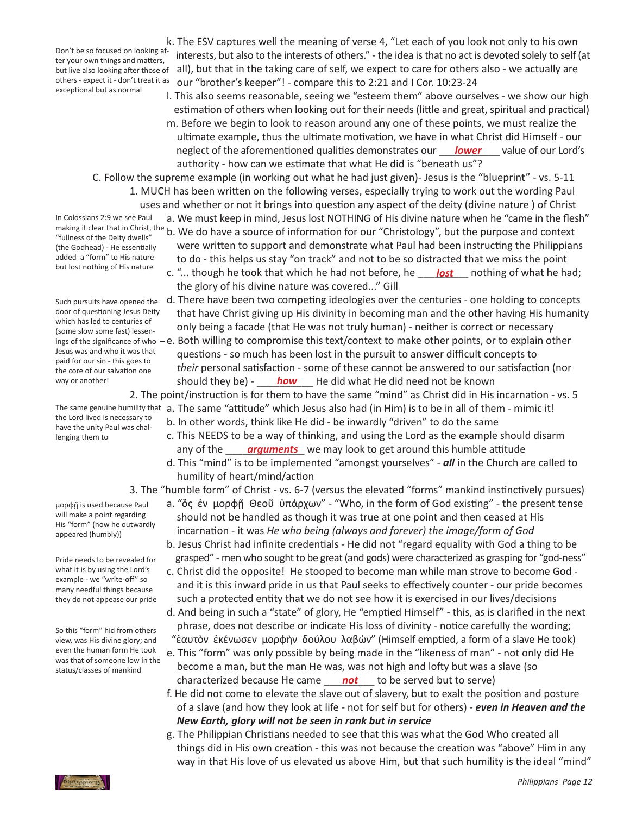Don't be so focused on looking after your own things and matters, others - expect it - don't treat it as exceptional but as normal

 k. The ESV captures well the meaning of verse 4, "Let each of you look not only to his own interests, but also to the interests of others." - the idea isthat no act is devoted solely to self (at but live also looking after those of all), but that in the taking care of self, we expect to care for others also - we actually are our "brother's keeper"! - compare this to 2:21 and I Cor. 10:23-24

 l. This also seems reasonable, seeing we "esteem them" above ourselves - we show our high estimation of others when looking out for their needs (little and great, spiritual and practical) m. Before we begin to look to reason around any one of these points, we must realize the ultimate example, thus the ultimate motivation, we have in what Christ did Himself - our neglect of the aforementioned qualities demonstrates our *\_\_\_<mark>lower</mark>\_\_\_\_* value of our Lord's authority - how can we estimate that what He did is "beneath us"?

 C. Follow the supreme example (in working out what he had just given)- Jesus is the "blueprint" - vs. 5-11

 1. MUCH has been written on the following verses, especially trying to work out the wording Paul uses and whether or not it brings into question any aspect of the deity (divine nature ) of Christ

In Colossians 2:9 we see Paul "fullness of the Deity dwells" (the Godhead) - He essentially added a "form" to His nature but lost nothing of His nature

Such pursuits have opened the door of questioning Jesus Deity which has led to centuries of (some slow some fast) lessen-Jesus was and who it was that paid for our sin - this goes to the core of our salvation one way or another!

the Lord lived is necessary to have the unity Paul was challenging them to

μορφῇ is used because Paul will make a point regarding His "form" (how he outwardly appeared (humbly))

Pride needs to be revealed for what it is by using the Lord's example - we "write-off" so many needful things because they do not appease our pride

So this "form" hid from others view, was His divine glory; and even the human form He took was that of someone low in the status/classes of mankind

.<br>Ρηπτρρίαη



- the glory of his divine nature was covered..." Gill d. There have been two competing ideologies over the centuries - one holding to concepts that have Christ giving up His divinity in becoming man and the other having His humanity only being a facade (that He was not truly human) - neither is correct or necessary
- ings of the significance of who  $-e$ . Both willing to compromise this text/context to make other points, or to explain other questions - so much has been lost in the pursuit to answer difficult concepts to *their* personal satisfaction - some of these cannot be answered to our satisfaction (nor way or another! **how** He did what He did need not be known

 2. The point/instruction is for them to have the same "mind" as Christ did in His incarnation - vs. 5

- The same genuine humility that a. The same "attitude" which Jesus also had (in Him) is to be in all of them mimic it!
	- b. In other words, think like He did be inwardly "driven" to do the same
- c. This NEEDS to be a way of thinking, and using the Lord as the example should disarm any of the *generalic we may look to get around this humble attitude* 
	- d. This "mind" is to be implemented "amongst yourselves" *all* in the Church are called to humility of heart/mind/action

 3. The "humble form" of Christ - vs. 6-7 (versus the elevated "forms" mankind instinctively pursues)

 a. "ὃς ἐν μορφῇ Θεοῦ ὑπάρχων" - "Who, in the form of God existing" - the present tense should not be handled as though it was true at one point and then ceased at His incarnation - it was *He who being (always and forever) the image/form of God* b. Jesus Christ had infinite credentials - He did not "regard equality with God a thing to be

grasped" - men who sought to be great (and gods) were characterized as grasping for "god-ness"

- c. Christ did the opposite! He stooped to become man while man strove to become God and it is this inward pride in us that Paul seeks to effectively counter - our pride becomes such a protected entity that we do not see how it is exercised in our lives/decisions
- d. And being in such a "state" of glory, He "emptied Himself" this, as is clarified in the next phrase, does not describe or indicate His loss of divinity - notice carefully the wording; "ἑαυτὸν ἐκένωσεν μορφὴν δούλου λαβών" (Himself emptied, a form of a slave He took)
- e. This "form" was only possible by being made in the "likeness of man" not only did He become a man, but the man He was, was not high and lofty but was a slave (so characterized because He came \_\_\_\_\_\_\_\_\_ to be served but to serve) *not*
	- f. He did not come to elevate the slave out of slavery, but to exalt the position and posture of a slave (and how they look at life - not for self but for others) - *even in Heaven and the New Earth, glory will not be seen in rank but in service*
	- g. The Philippian Christians needed to see that this was what the God Who created all things did in His own creation - this was not because the creation was "above" Him in any way in that His love of us elevated us above Him, but that such humility is the ideal "mind"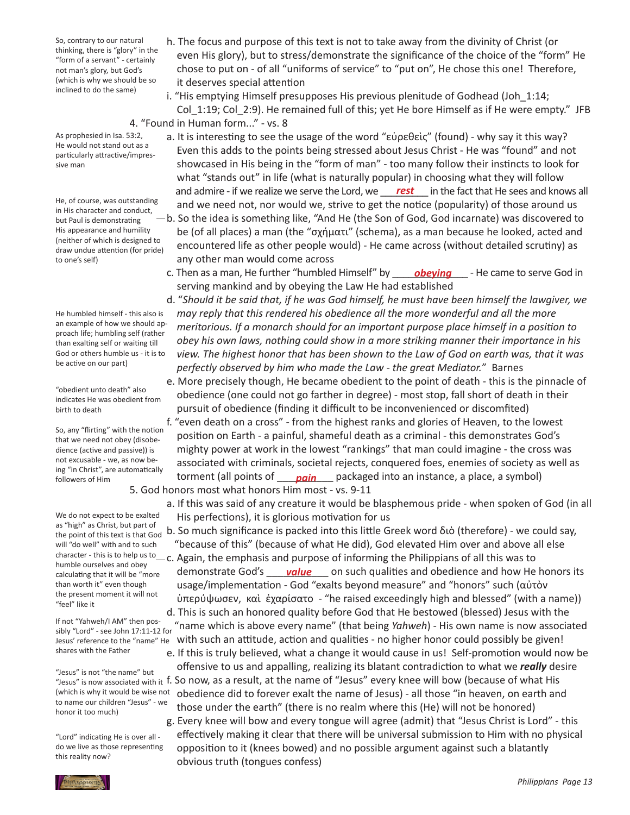So, contrary to our natural thinking, there is "glory" in the "form of a servant" - certainly not man's glory, but God's (which is why we should be so inclined to do the same)

- h. The focus and purpose of this text is not to take away from the divinity of Christ (or even His glory), but to stress/demonstrate the significance of the choice of the "form" He chose to put on - of all "uniforms of service" to "put on", He chose this one! Therefore, it deserves special attention
- i. "His emptying Himself presupposes His previous plenitude of Godhead (Joh 1:14; Col\_1:19; Col\_2:9). He remained full of this; yet He bore Himself as if He were empty." JFB 4. "Found in Human form..." - vs. 8
- As prophesied in Isa. 53:2, He would not stand out as a particularly attractive/impressive man

He, of course, was outstanding in His character and conduct, but Paul is demonstrating His appearance and humility (neither of which is designed to draw undue attention (for pride) to one's self)

He humbled himself - this also is an example of how we should approach life; humbling self (rather than exalting self or waiting till God or others humble us - it is to be active on our part)

"obedient unto death" also indicates He was obedient from birth to death

So, any "flirting" with the notion that we need not obey (disobedience (active and passive)) is not excusable - we, as now being "in Christ", are automatically followers of Him

We do not expect to be exalted as "high" as Christ, but part of the point of this text is that God will "do well" with and to such humble ourselves and obey calculating that it will be "more than worth it" even though the present moment it will not "feel" like it

If not "Yahweh/I AM" then possibly "Lord" - see John 17:11-12 for Jesus' reference to the "name" He shares with the Father

"Jesus" is not "the name" but (which is why it would be wise not to name our children "Jesus" - we honor it too much)

"Lord" indicating He is over all do we live as those representing this reality now?

- a. It is interesting to see the usage of the word "εὑρεθεὶς" (found) why say it this way? Even this adds to the points being stressed about Jesus Christ - He was "found" and not showcased in His being in the "form of man" - too many follow their instincts to look for what "stands out" in life (what is naturally popular) in choosing what they will follow and admire - if we realize we serve the Lord, we \_\_\_\_<mark>rest</mark>\_\_\_\_ in the fact that He sees and knows all and we need not, nor would we, strive to get the notice (popularity) of those around us b. So the idea is something like, "And He (the Son of God, God incarnate) was discovered to be (of all places) a man (the "σχήματι" (schema), as a man because he looked, acted and encountered life as other people would) - He came across (without detailed scrutiny) as
- any other man would come across c. Then as a man, He further "humbled Himself" by \_\_\_\_\_*obeying*\_\_\_\_\_- He came to serve God in serving mankind and by obeying the Law He had established
	- d. "*Should it be said that, if he was God himself, he must have been himself the lawgiver, we may reply that this rendered his obedience all the more wonderful and all the more meritorious. If a monarch should for an important purpose place himself in a position to obey his own laws, nothing could show in a more striking manner their importance in his view. The highest honor that has been shown to the Law of God on earth was, that it was perfectly observed by him who made the Law - the great Mediator.*" Barnes
	- e. More precisely though, He became obedient to the point of death this is the pinnacle of obedience (one could not go farther in degree) - most stop, fall short of death in their pursuit of obedience (finding it difficult to be inconvenienced or discomfited)
- f. "even death on a cross" from the highest ranks and glories of Heaven, to the lowest position on Earth - a painful, shameful death as a criminal - this demonstrates God's mighty power at work in the lowest "rankings" that man could imagine - the cross was associated with criminals, societal rejects, conquered foes, enemies of society as well as followers of Him **torment (all points of <u>pain</u>** packaged into an instance, a place, a symbol)
	- 5. God honors most what honors Him most vs. 9-11
		- a. If this was said of any creature it would be blasphemous pride when spoken of God (in all His perfections), it is glorious motivation for us

 b. So much significance is packed into this little Greek word διὸ (therefore) - we could say, "because of this" (because of what He did), God elevated Him over and above all else

character - this is to help us to \_\_ c. Again, the emphasis and purpose of informing the Philippians of all this was to ratities existives and sec<sub>1</sub>, the monstrate God's <u>value</u> on such qualities and obedience and how He honors its usage/implementation - God "exalts beyond measure" and "honors" such (αὐτὸν ὑπερύψωσεν, καὶ ἐχαρίσατο - "he raised exceedingly high and blessed" (with a name)) d. This is such an honored quality before God that He bestowed (blessed) Jesus with the

 "name which is above every name" (that being *Yahweh*) - His own name is now associated with such an attitude, action and qualities - no higher honor could possibly be given!

 e. If this is truly believed, what a change it would cause in us! Self-promotion would now be offensive to us and appalling, realizing its blatant contradiction to what we *really* desire Tesus" is now associated with it f. So now, as a result, at the name of "Jesus" every knee will bow (because of what His obedience did to forever exalt the name of Jesus) - all those "in heaven, on earth and those under the earth" (there is no realm where this (He) will not be honored)

 g. Every knee will bow and every tongue will agree (admit) that "Jesus Christ is Lord" - this effectively making it clear that there will be universal submission to Him with no physical opposition to it (knees bowed) and no possible argument against such a blatantly obvious truth (tongues confess)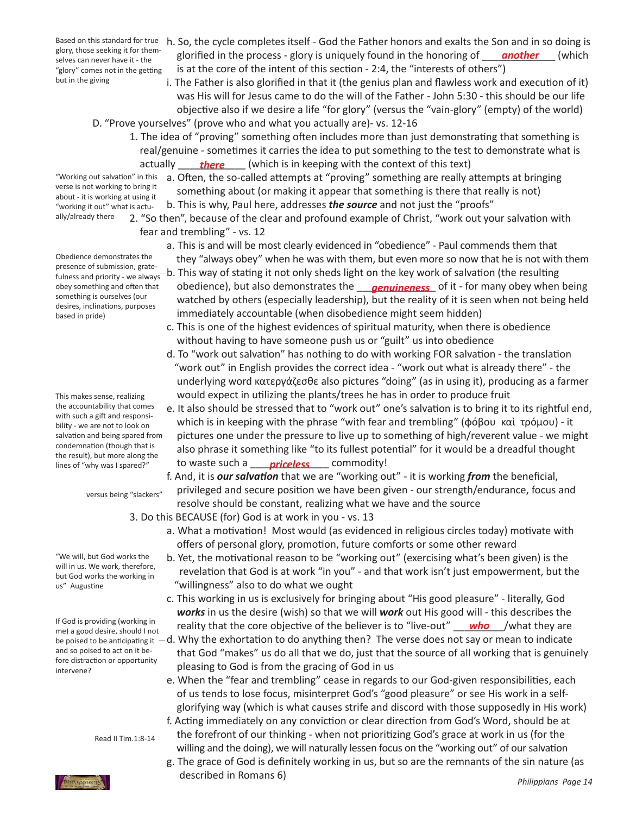glory, those seeking it for themselves can never have it - the "glory" comes not in the getting but in the giving

- Based on this standard for true h. So, the cycle completes itself God the Father honors and exalts the Son and in so doing is glory, those seeking it for them-<br>selves can never have it - the **glorified in the process** - glory is uniquely found in the honoring of <u>another</u> (which is at the core of the intent of this section - 2:4, the "interests of others")
	- i. The Father is also glorified in that it (the genius plan and flawless work and execution of it) was His will for Jesus came to do the will of the Father - John 5:30 - this should be our life objective also if we desire a life "for glory" (versus the "vain-glory" (empty) of the world)
	- 1. The idea of "proving" something often includes more than just demonstrating that something is real/genuine - sometimes it carries the idea to put something to the test to demonstrate what is
- "Working out salvation" in this verse is not working to bring it about - it is working at using it "working it out" what is actually/already there
- Obedience demonstrates the fulness and priority - we always obey something and often that something is ourselves (our desires, inclinations, purposes based in pride)

This makes sense, realizing the accountability that comes with such a gift and responsibility - we are not to look on condemnation (though that is the result), but more along the lines of "why was I spared?"

versus being "slackers"

"We will, but God works the will in us. We work, therefore, but God works the working in us" Augustine

If God is providing (working in me) a good desire, should I not and so poised to act on it before distraction or opportunity intervene?

Read II Tim.1:8-14



- D. "Prove yourselves" (prove who and what you actually are)- vs. 12-16
- actually <u>\_\_\_\_\_\_\_there</u> \_\_\_\_\_ (which is in keeping with the context of this text)
	- a. Often, the so-called attempts at "proving" something are really attempts at bringing something about (or making it appear that something is there that really is not) b. This is why, Paul here, addresses *the source* and not just the "proofs"
	- 2. "So then", because of the clear and profound example of Christ, "work out your salvation with fear and trembling" - vs. 12
- a. This is and will be most clearly evidenced in "obedience" Paul commends them that Obedience demonstrates the they "always obey" when he was with them, but even more so now that he is not with them presence of submission, grate-
- presence of submission, grate-<br>fulness and priority we always b. This way of stating it not only sheds light on the key work of salvation (the resulting obey something and often that cobedience), but also demonstrates the <u>canuineness</u> of it - for many obey when being watched by others (especially leadership), but the reality of it is seen when not being held immediately accountable (when disobedience might seem hidden)
	- c. This is one of the highest evidences of spiritual maturity, when there is obedience without having to have someone push us or "guilt" us into obedience
	- d. To "work out salvation" has nothing to do with working FOR salvation the translation "work out" in English provides the correct idea - "work out what is already there" - the underlying word κατεργάζεσθε also pictures "doing" (as in using it), producing as a farmer would expect in utilizing the plants/trees he has in order to produce fruit
- e. It also should be stressed that to "work out" one's salvation is to bring it to its rightful end, which is in keeping with the phrase "with fear and trembling" (φόβου καὶ τρόμου) - it pictures one under the pressure to live up to something of high/reverent value - we might also phrase it something like "to its fullest potential" for it would be a dreadful thought lines of "why was I spared?" **but a to waste such a** <u>priceless</u> commodity!
	- f. And, it is *our salvation* that we are "working out" it is working *from* the beneficial, privileged and secure position we have been given - our strength/endurance, focus and resolve should be constant, realizing what we have and the source
	- 3. Do this BECAUSE (for) God is at work in you vs. 13
		- a. What a motivation! Most would (as evidenced in religious circles today) motivate with offers of personal glory, promotion, future comforts or some other reward
		- b. Yet, the motivational reason to be "working out" (exercising what's been given) is the revelation that God is at work "in you" - and that work isn't just empowerment, but the "willingness" also to do what we ought
- c. This working in us is exclusively for bringing about "His good pleasure" literally, God *works* in us the desire (wish) so that we will *work* out His good will - this describes the If you is providing (working in eartity that the core objective of the believer is to "live-out" <u>who</u> /what they are
- be poised to be anticipating it  $-d$ . Why the exhortation to do anything then? The verse does not say or mean to indicate that God "makes" us do all that we do, just that the source of all working that is genuinely pleasing to God is from the gracing of God in us
	- e. When the "fear and trembling" cease in regards to our God-given responsibilities, each of us tends to lose focus, misinterpret God's "good pleasure" or see His work in a self- glorifying way (which is what causes strife and discord with those supposedly in His work)
	- f. Acting immediately on any conviction or clear direction from God's Word, should be at the forefront of our thinking - when not prioritizing God's grace at work in us (for the willing and the doing), we will naturally lessen focus on the "working out" of our salvation
	- *Philippians Page 14* g. The grace of God is definitely working in us, but so are the remnants of the sin nature (as described in Romans 6)

salvation and being spared from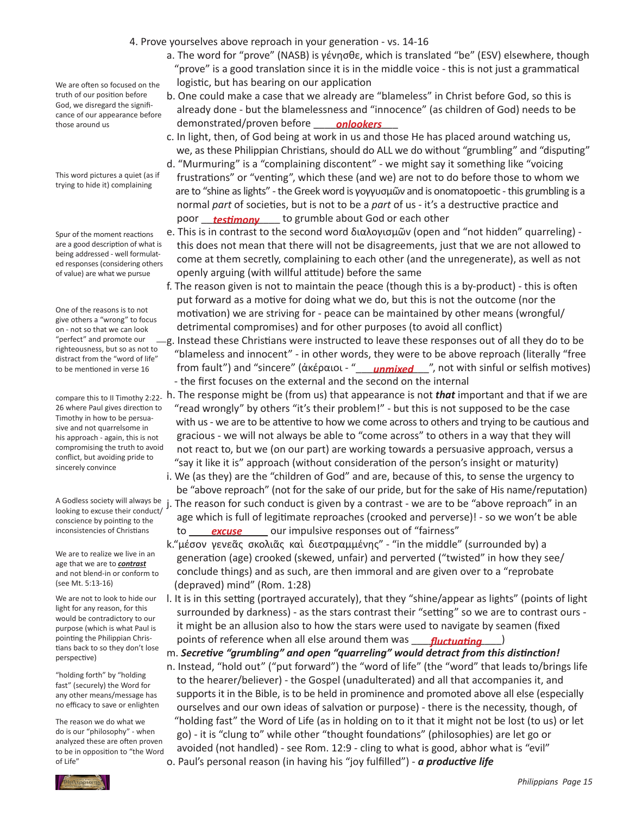- 4. Prove yourselves above reproach in your generation vs. 14-16
	- a. The word for "prove" (NASB) is γένησθε, which is translated "be" (ESV) elsewhere, though "prove" is a good translation since it is in the middle voice - this is not just a grammatical logistic, but has bearing on our application
- We are often so focused on the truth of our position before God, we disregard the significance of our appearance before those around us

This word pictures a quiet (as if trying to hide it) complaining

Spur of the moment reactions are a good description of what is being addressed - well formulated responses (considering others of value) are what we pursue

One of the reasons is to not give others a "wrong" to focus on - not so that we can look "perfect" and promote our righteousness, but so as not to distract from the "word of life" to be mentioned in verse 16

26 where Paul gives direction to Timothy in how to be persuasive and not quarrelsome in his approach - again, this is not compromising the truth to avoid conflict, but avoiding pride to sincerely convince

looking to excuse their conduct/ conscience by pointing to the inconsistencies of Christians

We are to realize we live in an age that we are to *contrast* and not blend-in or conform to (see Mt. 5:13-16)

We are not to look to hide our light for any reason, for this would be contradictory to our purpose (which is what Paul is pointing the Philippian Christians back to so they don't lose perspective)

"holding forth" by "holding fast" (securely) the Word for any other means/message has no efficacy to save or enlighten

The reason we do what we do is our "philosophy" - when analyzed these are often proven to be in opposition to "the Word of Life"

- b. One could make a case that we already are "blameless" in Christ before God, so this is already done - but the blamelessness and "innocence" (as children of God) needs to be those around us **the set of the contract of the monstrated/proven before** *onlookers* 
	- c. In light, then, of God being at work in us and those He has placed around watching us, we, as these Philippian Christians, should do ALL we do without "grumbling" and "disputing"
- d. "Murmuring" is a "complaining discontent" we might say it something like "voicing frustrations" or "venting", which these (and we) are not to do before those to whom we are to "shine as lights" - the Greek word is γογγυσμῶν and is onomatopoetic - this grumbling is a normal *part* of societies, but is not to be a *part* of us - it's a destructive practice and poor <u>\_\_\_\_\_\_\_\_\_\_\_\_\_\_\_\_\_\_\_\_\_\_</u> to grumble about God or each other
	- e. This is in contrast to the second word διαλογισμῶν (open and "not hidden" quarreling) this does not mean that there will not be disagreements, just that we are not allowed to come at them secretly, complaining to each other (and the unregenerate), as well as not openly arguing (with willful attitude) before the same
	- f. The reason given is not to maintain the peace (though this is a by-product) this is often put forward as a motive for doing what we do, but this is not the outcome (nor the motivation) we are striving for - peace can be maintained by other means (wrongful/ detrimental compromises) and for other purposes (to avoid all conflict)
- $-g$ . Instead these Christians were instructed to leave these responses out of all they do to be "blameless and innocent" - in other words, they were to be above reproach (literally "free to be mentioned in verse 16 fr<mark>om fault") and "sincere" (ἀκέραιοι - "\_\_\_\_*unmixed\_\_\_*", not with sinful or selfish motives)</mark> - the first focuses on the external and the second on the internal
- compare this to II Timothy 2:22- h. The response might be (from us) that appearance is not *that* important and that if we are "read wrongly" by others "it's their problem!" - but this is not supposed to be the case with us - we are to be attentive to how we come across to others and trying to be cautious and gracious - we will not always be able to "come across" to others in a way that they will not react to, but we (on our part) are working towards a persuasive approach, versus a "say it like it is" approach (without consideration of the person's insight or maturity)
	- i. We (as they) are the "children of God" and are, because of this, to sense the urgency to be "above reproach" (not for the sake of our pride, but for the sake of His name/reputation)
- A Godless society will always be j. The reason for such conduct is given by a contrast we are to be "above reproach" in an age which is full of legitimate reproaches (crooked and perverse)! - so we won't be able inconsistencies of Christians  $\qquad \qquad \text{to} \qquad \qquad \text{excuse} \qquad \qquad \text{our}$  impulsive responses out of "fairness"
	- k."μέσον γενεᾶς σκολιᾶς καὶ διεστραμμένης" "in the middle" (surrounded by) a generation (age) crooked (skewed, unfair) and perverted ("twisted" in how they see/ conclude things) and as such, are then immoral and are given over to a "reprobate (depraved) mind" (Rom. 1:28)
- l. It is in this setting (portrayed accurately), that they "shine/appear as lights" (points of light surrounded by darkness) - as the stars contrast their "setting" so we are to contrast ours - it might be an allusion also to how the stars were used to navigate by seamen (fixed pointing the Philippian Chris-<br>tians bask to so thou don't lose **property** of reference when all else around them was **fluctuating** 
	- m. *Secretive "grumbling" and open "quarreling" would detract from this distinction!*
	- n. Instead, "hold out" ("put forward") the "word of life" (the "word" that leads to/brings life to the hearer/believer) - the Gospel (unadulterated) and all that accompanies it, and supports it in the Bible, is to be held in prominence and promoted above all else (especially ourselves and our own ideas of salvation or purpose) - there is the necessity, though, of "holding fast" the Word of Life (as in holding on to it that it might not be lost (to us) or let go) - it is "clung to" while other "thought foundations" (philosophies) are let go or avoided (not handled) - see Rom. 12:9 - cling to what is good, abhor what is "evil" o. Paul's personal reason (in having his "joy fulfilled") - *a productive life*

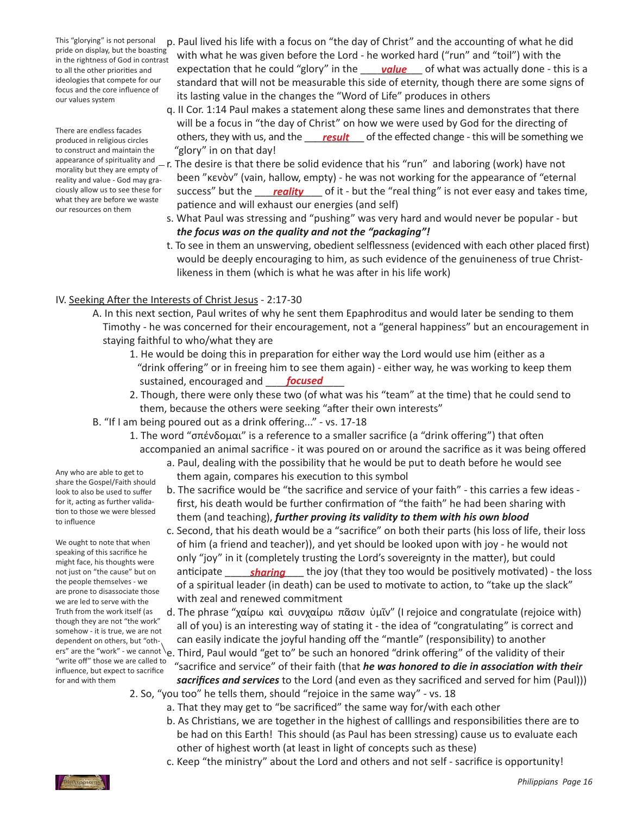This "glorying" is not personal pride on display, but the boasting in the rightness of God in contrast to all the other priorities and ideologies that compete for our focus and the core influence of our values system

There are endless facades produced in religious circles to construct and maintain the appearance of spirituality and morality but they are empty of reality and value - God may graciously allow us to see these for what they are before we waste our resources on them

- p. Paul lived his life with a focus on "the day of Christ" and the accounting of what he did with what he was given before the Lord - he worked hard ("run" and "toil") with the to all the other priorities and expectation that he could "glory" in the sandre saff what was actually done - this is a standard that will not be measurable this side of eternity, though there are some signs of its lasting value in the changes the "Word of Life" produces in others
- q. II Cor. 1:14 Paul makes a statement along these same lines and demonstrates that there will be a focus in "the day of Christ" on how we were used by God for the directing of produced in religious circles **they status** others, they with us, and the <u>result</u> of the effected change - this will be something we "glory" in on that day!
- r. The desire is that there be solid evidence that his "run" and laboring (work) have not been "κενὸν" (vain, hallow, empty) - he was not working for the appearance of "eternal ciously allow us to see these for success" but the <u>sal**ity**</u> of it - but the "real thing" is not ever easy and takes time, patience and will exhaust our energies (and self)
	- s. What Paul was stressing and "pushing" was very hard and would never be popular but *the focus was on the quality and not the "packaging"!*
	- t. To see in them an unswerving, obedient selflessness (evidenced with each other placed first) would be deeply encouraging to him, as such evidence of the genuineness of true Christ- likeness in them (which is what he was after in his life work)

## IV. Seeking After the Interests of Christ Jesus - 2:17-30

- A. In this next section, Paul writes of why he sent them Epaphroditus and would later be sending to them Timothy - he was concerned for their encouragement, not a "general happiness" but an encouragement in staying faithful to who/what they are
- 1. He would be doing this in preparation for either way the Lord would use him (either as a "drink offering" or in freeing him to see them again) - either way, he was working to keep them sustained, encouraged and **\_\_\_\_\_\_focused** \_\_\_\_\_
	- 2. Though, there were only these two (of what was his "team" at the time) that he could send to them, because the others were seeking "after their own interests"
	- B. "If I am being poured out as a drink offering..." vs. 17-18
		- 1. The word "σπένδομαι" is a reference to a smaller sacrifice (a "drink offering") that often accompanied an animal sacrifice - it was poured on or around the sacrifice as it was being offered
			- a. Paul, dealing with the possibility that he would be put to death before he would see them again, compares his execution to this symbol
			- b. The sacrifice would be "the sacrifice and service of your faith" this carries a few ideas first, his death would be further confirmation of "the faith" he had been sharing with them (and teaching), *further proving its validity to them with his own blood*
- c. Second, that his death would be a "sacrifice" on both their parts (his loss of life, their loss of him (a friend and teacher)), and yet should be looked upon with joy - he would not only "joy" in it (completely trusting the Lord's sovereignty in the matter), but could anticipate \_\_\_\_\_\_\_\_\_\_\_\_\_\_ the joy (that they too would be positively motivated) - the loss *sharing* of a spiritual leader (in death) can be used to motivate to action, to "take up the slack" with zeal and renewed commitment
	- d. The phrase "χαίρω καὶ συνχαίρω πᾶσιν ὑμῖν" (I rejoice and congratulate (rejoice with) all of you) is an interesting way of stating it - the idea of "congratulating" is correct and can easily indicate the joyful handing off the "mantle" (responsibility) to another
- ers" are the "work" we cannot \e. Third, Paul would "get to" be such an honored "drink offering" of the validity of their "sacrifice and service" of their faith (that *he was honored to die in association with their sacrifices and services* to the Lord (and even as they sacrificed and served for him (Paul)))
	- 2. So, "you too" he tells them, should "rejoice in the same way" vs. 18
		- a. That they may get to "be sacrificed" the same way for/with each other
			- b. As Christians, we are together in the highest of calllings and responsibilities there are to be had on this Earth! This should (as Paul has been stressing) cause us to evaluate each other of highest worth (at least in light of concepts such as these)
			- c. Keep "the ministry" about the Lord and others and not self sacrifice is opportunity!

Any who are able to get to share the Gospel/Faith should look to also be used to suffer for it, acting as further validation to those we were blessed to influence

We ought to note that when speaking of this sacrifice he might face, his thoughts were not just on "the cause" but on the people themselves - we are prone to disassociate those we are led to serve with the Truth from the work itself (as though they are not "the work" somehow - it is true, we are not dependent on others, but "oth-"write off" those we are called to influence, but expect to sacrifice for and with them

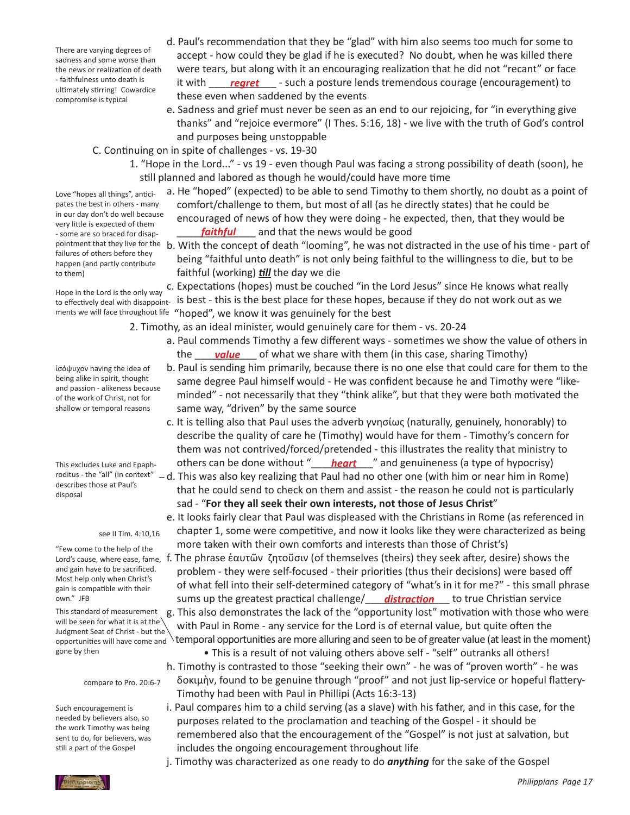There are varying degrees of sadness and some worse than the news or realization of death - faithfulness unto death is ultimately stirring! Cowardice compromise is typical

- d. Paul's recommendation that they be "glad" with him also seems too much for some to accept - how could they be glad if he is executed? No doubt, when he was killed there were tears, but along with it an encouraging realization that he did not "recant" or face <sup>- faithfulness unto death is **interpretic to the** *regret* contract a posture lends tremendous courage (encouragement) to</sup> these even when saddened by the events
	- e. Sadness and grief must never be seen as an end to our rejoicing, for "in everything give thanks" and "rejoice evermore" (I Thes. 5:16, 18) - we live with the truth of God's control and purposes being unstoppable
	- C. Continuing on in spite of challenges vs. 19-30
		- 1. "Hope in the Lord..." vs 19 even though Paul was facing a strong possibility of death (soon), he still planned and labored as though he would/could have more time
- a. He "hoped" (expected) to be able to send Timothy to them shortly, no doubt as a point of comfort/challenge to them, but most of all (as he directly states) that he could be encouraged of news of how they were doing - he expected, then, that they would be - some are so braced for disap-<br>**faithful** and that the news would be good
- pointment that they live for the b. With the concept of death "looming", he was not distracted in the use of his time part of being "faithful unto death" is not only being faithful to the willingness to die, but to be faithful (working) *till* the day we die

 c. Expectations (hopes) must be couched "in the Lord Jesus" since He knows what really to effectively deal with disappoint- is best - this is the best place for these hopes, because if they do not work out as we ments we will face throughout life "hoped", we know it was genuinely for the best

 2. Timothy, as an ideal minister, would genuinely care for them - vs. 20-24

- a. Paul commends Timothy a few different ways sometimes we show the value of others in the <u>sand walue</u> sof what we share with them (in this case, sharing Timothy)
	- b. Paul is sending him primarily, because there is no one else that could care for them to the same degree Paul himself would - He was confident because he and Timothy were "like- minded" - not necessarily that they "think alike", but that they were both motivated the same way, "driven" by the same source
- c. It is telling also that Paul uses the adverb γνησίως (naturally, genuinely, honorably) to describe the quality of care he (Timothy) would have for them - Timothy's concern for them was not contrived/forced/pretended - this illustrates the reality that ministry to This excludes Luke and Epaph-<br> **outhers can be done without "<u>\_\_\_\_\_\_\_\_\_\_\_\_\_\_</u>"** and genuineness (a type of hypocrisy)
	- $-d$ . This was also key realizing that Paul had no other one (with him or near him in Rome) that he could send to check on them and assist - the reason he could not is particularly sad - "**For they all seek their own interests, not those of Jesus Christ**"
		- e. It looks fairly clear that Paul was displeased with the Christians in Rome (as referenced in chapter 1, some were competitive, and now it looks like they were characterized as being more taken with their own comforts and interests than those of Christ's)
- ιord's cause, where ease, fame, f. The phrase ἑαυτῶν ζητοῦσιν (of themselves (theirs) they seek after, desire) shows the problem - they were self-focused - their priorities (thus their decisions) were based off of what fell into their self-determined category of "what's in it for me?" - this small phrase own." JFB **constand the statest practical challenge/ distraction** to true Christian service g. This also demonstrates the lack of the "opportunity lost" motivation with those who were with Paul in Rome - any service for the Lord is of eternal value, but quite often the temporal opportunities are more alluring and seen to be of greater value (at least in the moment)

 • This is a result of not valuing others above self - "self" outranks all others!

- h. Timothy is contrasted to those "seeking their own" he was of "proven worth" he was δοκιμὴν, found to be genuine through "proof" and not just lip-service or hopeful flattery- Timothy had been with Paul in Phillipi (Acts 16:3-13)
- i. Paul compares him to a child serving (as a slave) with his father, and in this case, for the purposes related to the proclamation and teaching of the Gospel - it should be remembered also that the encouragement of the "Gospel" is not just at salvation, but includes the ongoing encouragement throughout life
- j. Timothy was characterized as one ready to do *anything* for the sake of the Gospel

Love "hopes all things", anticipates the best in others - many in our day don't do well because very little is expected of them - some are so braced for disapfailures of others before they happen (and partly contribute to them)

Hope in the Lord is the only way

ἰσόψυχον having the idea of being alike in spirit, thought and passion - alikeness because of the work of Christ, not for shallow or temporal reasons

This excludes Luke and Epaphroditus - the "all" (in context" describes those at Paul's disposal

### see II Tim. 4:10,16

"Few come to the help of the and gain have to be sacrificed. Most help only when Christ's gain is compatible with their own." JFB

This standard of measurement will be seen for what it is at the Judgment Seat of Christ - but the opportunities will have come and gone by then

### compare to Pro. 20:6-7

Such encouragement is needed by believers also, so the work Timothy was being sent to do, for believers, was still a part of the Gospel

*Philippians Page 17*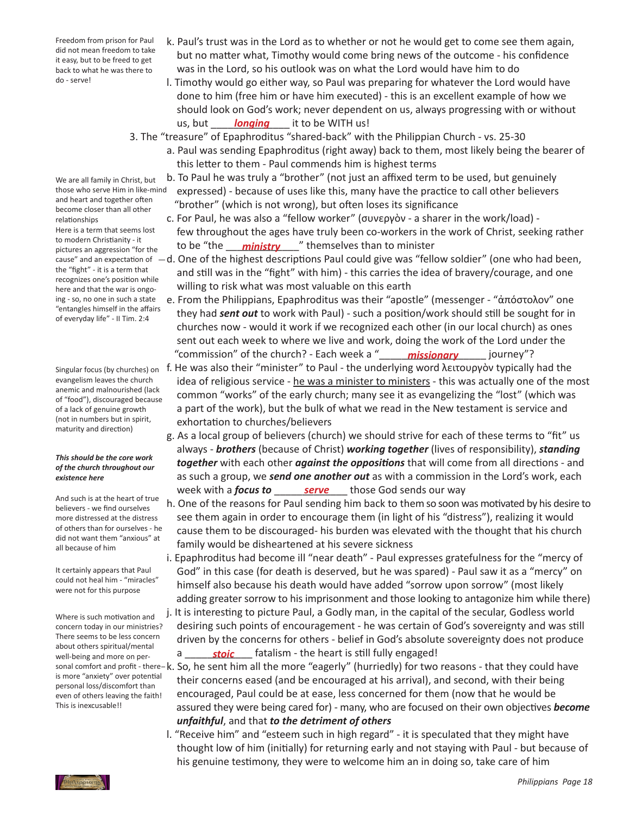Freedom from prison for Paul did not mean freedom to take it easy, but to be freed to get back to what he was there to do - serve!

We are all family in Christ, but those who serve Him in like-mind and heart and together often become closer than all other relationships Here is a term that seems lost to modern Christianity - it pictures an aggression "for the the "fight" - it is a term that recognizes one's position while here and that the war is ongoing - so, no one in such a state "entangles himself in the affairs of everyday life" - II Tim. 2:4

Singular focus (by churches) on evangelism leaves the church anemic and malnourished (lack of "food"), discouraged because of a lack of genuine growth (not in numbers but in spirit, maturity and direction)

### *This should be the core work of the church throughout our existence here*

And such is at the heart of true believers - we find ourselves more distressed at the distress of others than for ourselves - he did not want them "anxious" at all because of him

It certainly appears that Paul could not heal him - "miracles" were not for this purpose

 a \_\_\_\_\_\_\_\_\_\_\_\_ fatalism - the heart is still fully engaged! *stoic* Where is such motivation and concern today in our ministries? There seems to be less concern about others spiritual/mental well-being and more on peris more "anxiety" over potential personal loss/discomfort than even of others leaving the faith! This is inexcusable!!

- k. Paul's trust was in the Lord as to whether or not he would get to come see them again, but no matter what, Timothy would come bring news of the outcome - his confidence was in the Lord, so his outlook was on what the Lord would have him to do
- l. Timothy would go either way, so Paul was preparing for whatever the Lord would have done to him (free him or have him executed) - this is an excellent example of how we should look on God's work; never dependent on us, always progressing with or without us, but \_\_\_\_\_<mark>longing</mark> \_\_\_\_ it to be WITH us!

 3. The "treasure" of Epaphroditus "shared-back" with the Philippian Church - vs. 25-30

- a. Paul was sending Epaphroditus (right away) back to them, most likely being the bearer of this letter to them - Paul commends him is highest terms
- b. To Paul he was truly a "brother" (not just an affixed term to be used, but genuinely expressed) - because of uses like this, many have the practice to call other believers "brother" (which is not wrong), but often loses its significance
- c. For Paul, he was also a "fellow worker" (συνεργὸν a sharer in the work/load) few throughout the ages have truly been co-workers in the work of Christ, seeking rather pictures an aggression "for the to be "the **ministry** " themselves than to minister
- cause" and an expectation of  $-d.$  One of the highest descriptions Paul could give was "fellow soldier" (one who had been, and still was in the "fight" with him) - this carries the idea of bravery/courage, and one willing to risk what was most valuable on this earth
- e. From the Philippians, Epaphroditus was their "apostle" (messenger "ἀπόστολον" one they had *sent out* to work with Paul) - such a position/work should still be sought for in churches now - would it work if we recognized each other (in our local church) as ones sent out each week to where we live and work, doing the work of the Lord under the "commission" of the church? - Each week a "\_\_\_\_\_\_\_\_\_\_\_\_\_\_\_\_\_\_\_ journey"? *missionary*
	- f. He was also their "minister" to Paul the underlying word λειτουργὸν typically had the idea of religious service - he was a minister to ministers - this was actually one of the most common "works" of the early church; many see it as evangelizing the "lost" (which was a part of the work), but the bulk of what we read in the New testament is service and exhortation to churches/believers
- g. As a local group of believers (church) we should strive for each of these terms to "fit" us always - *brothers* (because of Christ) *working together* (lives of responsibility), *standing together* with each other *against the oppositions* that will come from all directions - and as such a group, we *send one another out* as with a commission in the Lord's work, each **Example 2** week with a *focus to* <u>*serve*</u> those God sends our way
	- h. One of the reasons for Paul sending him back to them so soon was motivated by his desire to see them again in order to encourage them (in light of his "distress"), realizing it would cause them to be discouraged- his burden was elevated with the thought that his church family would be disheartened at his severe sickness
	- i. Epaphroditus had become ill "near death" Paul expresses gratefulness for the "mercy of God" in this case (for death is deserved, but he was spared) - Paul saw it as a "mercy" on himself also because his death would have added "sorrow upon sorrow" (most likely adding greater sorrow to his imprisonment and those looking to antagonize him while there) j. It is interesting to picture Paul, a Godly man, in the capital of the secular, Godless world desiring such points of encouragement - he was certain of God's sovereignty and was still driven by the concerns for others - belief in God's absolute sovereignty does not produce
- sonal comfort and profit there–k. So, he sent him all the more "eagerly" (hurriedly) for two reasons that they could have their concerns eased (and be encouraged at his arrival), and second, with their being encouraged, Paul could be at ease, less concerned for them (now that he would be assured they were being cared for) - many, who are focused on their own objectives *become unfaithful*, and that *to the detriment of others*
	- l. "Receive him" and "esteem such in high regard" it is speculated that they might have thought low of him (initially) for returning early and not staying with Paul - but because of his genuine testimony, they were to welcome him an in doing so, take care of him

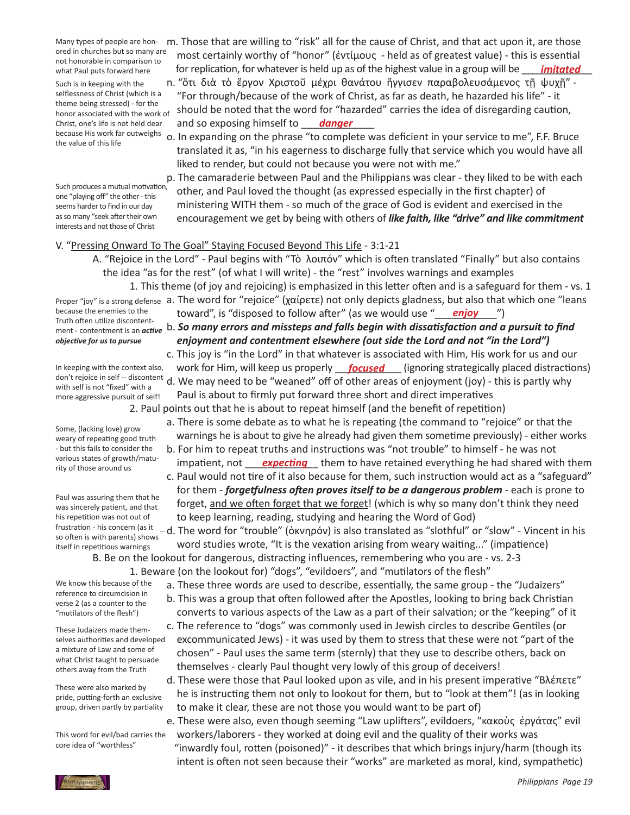ored in churches but so many are not honorable in comparison to what Paul puts forward here

Such is in keeping with the selflessness of Christ (which is a theme being stressed) - for the honor associated with the work of Christ, one's life is not held dear because His work far outweighs the value of this life

Such produces a mutual motivation, one "playing off" the other-this seems harder to find in our day as so many "seek after their own interests and not those of Christ

Many types of people are hon- m. Those that are willing to "risk" all for the cause of Christ, and that act upon it, are those most certainly worthy of "honor" (ἐντίμους - held as of greatest value) - this is essential what Paul puts forward here **inter the Preplication, for whatever is held up as of the highest value in a group will be <u>imitated</u>** 

 n. "ὅτι διὰ τὸ ἔργον Χριστοῦ μέχρι θανάτου ἤγγισεν παραβολευσάμενος τῇ ψυχῇ" - "For through/because of the work of Christ, as far as death, he hazarded his life" - it should be noted that the word for "hazarded" carries the idea of disregarding caution, Christ, one's life is not held dear and so exposing himself to **danger** 

> o. In expanding on the phrase "to complete was deficient in your service to me", F.F. Bruce translated it as, "in his eagerness to discharge fully that service which you would have all liked to render, but could not because you were not with me."

> p. The camaraderie between Paul and the Philippians was clear - they liked to be with each other, and Paul loved the thought (as expressed especially in the first chapter) of ministering WITH them - so much of the grace of God is evident and exercised in the encouragement we get by being with others of *like faith, like "drive" and like commitment*

## V. "Pressing Onward To The Goal" Staying Focused Beyond This Life - 3:1-21

 A. "Rejoice in the Lord" - Paul begins with "Τὸ λοιπόν" which is often translated "Finally" but also contains the idea "as for the rest" (of what I will write) - the "rest" involves warnings and examples

 1. This theme (of joy and rejoicing) is emphasized in this letter often and is a safeguard for them - vs. 1 Proper "joy" is a strong defense a. The word for "rejoice" (χαίρετε) not only depicts gladness, but also that which one "leans because the enemies to the **contact** toward", is "disposed to follow after" (as we would use "\_\_\_\_\_\_\_\_\_\_\_\_\_\_")

 b. *So many errors and missteps and falls begin with dissatisfaction and a pursuit to find*  ment - contentment is an *active enjoyment and contentment elsewhere (out side the Lord and not "in the Lord")*

 c. This joy is "in the Lord" in that whatever is associated with Him, His work for us and our In keeping with the context also, york for Him, will keep us properly **focused** (ignoring strategically placed distractions) d. We may need to be "weaned" off of other areas of enjoyment (joy) - this is partly why Paul is about to firmly put forward three short and direct imperatives

 2. Paul points out that he is about to repeat himself (and the benefit of repetition)

- a. There is some debate as to what he is repeating (the command to "rejoice" or that the warnings he is about to give he already had given them sometime previously) - either works
- b. For him to repeat truths and instructions was "not trouble" to himself he was not various states or growth/matu-<br>rity of those around us
	- c. Paul would not tire of it also because for them, such instruction would act as a "safeguard" for them - *forgetfulness often proves itself to be a dangerous problem* - each is prone to forget, and we often forget that we forget! (which is why so many don't think they need to keep learning, reading, studying and hearing the Word of God)
	- d. The word for "trouble" (ὀκνηρόν) is also translated as "slothful" or "slow" Vincent in his word studies wrote, "It is the vexation arising from weary waiting..." (impatience)

 B. Be on the lookout for dangerous, distracting influences, remembering who you are - vs. 2-3 1. Beware (on the lookout for) "dogs", "evildoers", and "mutilators of the flesh"

- a. These three words are used to describe, essentially, the same group the "Judaizers"
- b. This was a group that often followed after the Apostles, looking to bring back Christian converts to various aspects of the Law as a part of their salvation; or the "keeping" of it
- c. The reference to "dogs" was commonly used in Jewish circles to describe Gentiles (or excommunicated Jews) - it was used by them to stress that these were not "part of the chosen" - Paul uses the same term (sternly) that they use to describe others, back on themselves - clearly Paul thought very lowly of this group of deceivers!
- d. These were those that Paul looked upon as vile, and in his present imperative "Βλέπετε" he is instructing them not only to lookout for them, but to "look at them"! (as in looking to make it clear, these are not those you would want to be part of)
- e. These were also, even though seeming "Law uplifters", evildoers, "κακοὺς ἐργάτας" evil workers/laborers - they worked at doing evil and the quality of their works was "inwardly foul, rotten (poisoned)" - it describes that which brings injury/harm (though its intent is often not seen because their "works" are marketed as moral, kind, sympathetic)

because the enemies to the Truth often utilize discontent*objective for us to pursue*

In keeping with the context also, don't rejoice in self -- discontent with self is not "fixed" with a more aggressive pursuit of self!

Some, (lacking love) grow weary of repeating good truth - but this fails to consider the various states of growth/maturity of those around us

Paul was assuring them that he was sincerely patient, and that his repetition was not out of frustration - his concern (as it so often is with parents) shows itself in repetitious warnings

We know this because of the reference to circumcision in verse 2 (as a counter to the "mutilators of the flesh")

These Judaizers made themselves authorities and developed a mixture of Law and some of what Christ taught to persuade others away from the Truth

These were also marked by pride, putting-forth an exclusive group, driven partly by partiality

This word for evil/bad carries the core idea of "worthless"

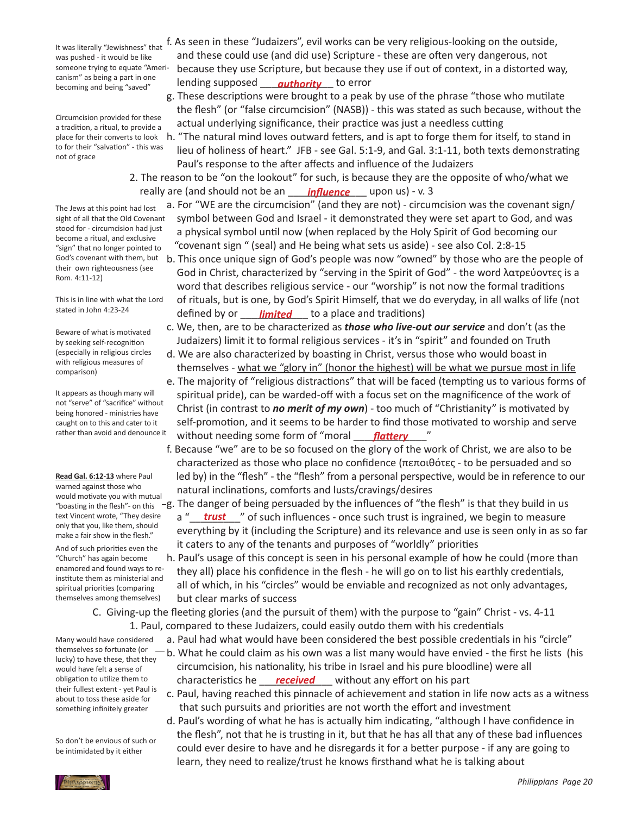It was literally "Jewishness" that was pushed - it would be like someone trying to equate "Americanism" as being a part in one becoming and being "saved"

Circumcision provided for these a tradition, a ritual, to provide a place for their converts to look to for their "salvation" - this was not of grace

The Jews at this point had lost sight of all that the Old Covenant stood for - circumcision had just become a ritual, and exclusive "sign" that no longer pointed to God's covenant with them, but their own righteousness (see Rom. 4:11-12)

This is in line with what the Lord stated in John 4:23-24

Beware of what is motivated by seeking self-recognition (especially in religious circles with religious measures of comparison)

It appears as though many will not "serve" of "sacrifice" without being honored - ministries have caught on to this and cater to it rather than avoid and denounce it

**Read Gal. 6:12-13** where Paul warned against those who would motivate you with mutual text Vincent wrote, "They desire only that you, like them, should make a fair show in the flesh." And of such priorities even the "Church" has again become enamored and found ways to reinstitute them as ministerial and spiritual priorities (comparing themselves among themselves)

Many would have considered themselves so fortunate (or lucky) to have these, that they would have felt a sense of obligation to utilize them to their fullest extent - yet Paul is about to toss these aside for something infinitely greater

So don't be envious of such or be intimidated by it either

- f. As seen in these "Judaizers", evil works can be very religious-looking on the outside, and these could use (and did use) Scripture - these are often very dangerous, not because they use Scripture, but because they use if out of context, in a distorted way, Lanishi as being a part in one<br>becoming and being "saved" lending supposed <u>authority</u> to error
	- g. These descriptions were brought to a peak by use of the phrase "those who mutilate the flesh" (or "false circumcision" (NASB)) - this was stated as such because, without the actual underlying significance, their practice was just a needless cutting
	- h. "The natural mind loves outward fetters, and is apt to forge them for itself, to stand in lieu of holiness of heart." JFB - see Gal. 5:1-9, and Gal. 3:1-11, both texts demonstrating Paul's response to the after affects and influence of the Judaizers
- 2. The reason to be "on the lookout" for such, is because they are the opposite of who/what we really are (and should not be an will anglean condus) - v. 3
	- a. For "WE are the circumcision" (and they are not) circumcision was the covenant sign/ symbol between God and Israel - it demonstrated they were set apart to God, and was a physical symbol until now (when replaced by the Holy Spirit of God becoming our "covenant sign " (seal) and He being what sets us aside) - see also Col. 2:8-15
- b. This once unique sign of God's people was now "owned" by those who are the people of God in Christ, characterized by "serving in the Spirit of God" - the word λατρεύοντες is a word that describes religious service - our "worship" is not now the formal traditions of rituals, but is one, by God's Spirit Himself, that we do everyday, in all walks of life (not <sup>stated in John 4:23-24</sup> **defined by or** <u>Jimited</u> to a place and traditions)
	- c. We, then, are to be characterized as *those who live-out our service* and don't (as the Judaizers) limit it to formal religious services - it's in "spirit" and founded on Truth
	- d. We are also characterized by boasting in Christ, versus those who would boast in themselves - what we "glory in" (honor the highest) will be what we pursue most in life
- e. The majority of "religious distractions" that will be faced (tempting us to various forms of spiritual pride), can be warded-off with a focus set on the magnificence of the work of Christ (in contrast to *no merit of my own*) - too much of "Christianity" is motivated by self-promotion, and it seems to be harder to find those motivated to worship and serve rather than avoid and denounce it without needing some form of "moral <u>flattery</u>"
	- f. Because "we" are to be so focused on the glory of the work of Christ, we are also to be characterized as those who place no confidence (πεποιθότες - to be persuaded and so led by) in the "flesh" - the "flesh" from a personal perspective, would be in reference to our natural inclinations, comforts and lusts/cravings/desires
- "boasting in the flesh"- on this  $-g$ . The danger of being persuaded by the influences of "the flesh" is that they build in us text Vincent wrote, "They desire a "**\_\_\_\_trust**\_\_\_" of such influences - once such trust is ingrained, we begin to measure everything by it (including the Scripture) and its relevance and use is seen only in as so far it caters to any of the tenants and purposes of "worldly" priorities
	- h. Paul's usage of this concept is seen in his personal example of how he could (more than they all) place his confidence in the flesh - he will go on to list his earthly credentials, all of which, in his "circles" would be enviable and recognized as not only advantages, but clear marks of success

 C. Giving-up the fleeting glories (and the pursuit of them) with the purpose to "gain" Christ - vs. 4-11 1. Paul, compared to these Judaizers, could easily outdo them with his credentials

- a. Paul had what would have been considered the best possible credentials in his "circle"
- b. What he could claim as his own was a list many would have envied the first he lists (his circumcision, his nationality, his tribe in Israel and his pure bloodline) were all obligation to utilize them to characteristics he <u>received</u> without any effort on his part
	- c. Paul, having reached this pinnacle of achievement and station in life now acts as a witness that such pursuits and priorities are not worth the effort and investment
	- d. Paul's wording of what he has is actually him indicating, "although I have confidence in the flesh", not that he is trusting in it, but that he has all that any of these bad influences could ever desire to have and he disregards it for a better purpose - if any are going to learn, they need to realize/trust he knows firsthand what he is talking about

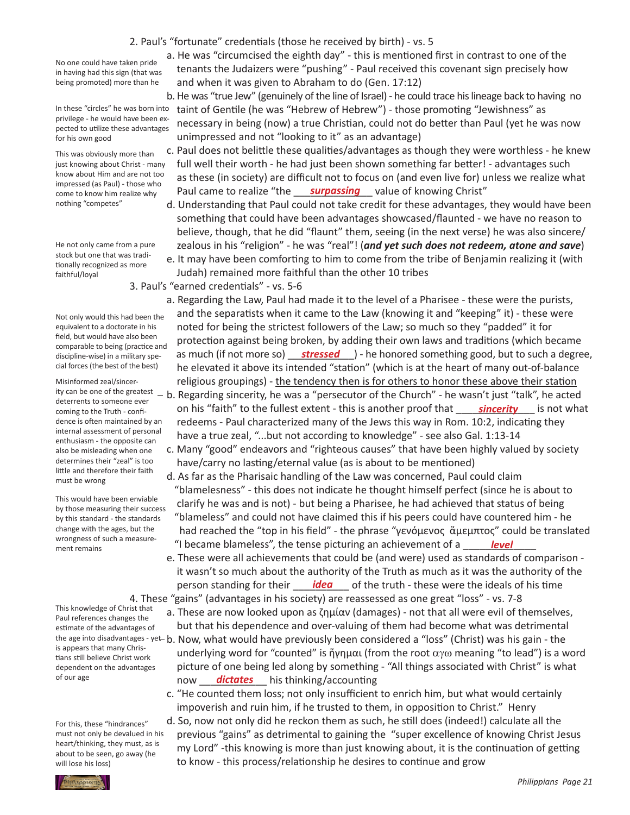*Philippians Page 21*

## 2. Paul's "fortunate" credentials (those he received by birth) - vs. 5

No one could have taken pride in having had this sign (that was being promoted) more than he

In these "circles" he was born into privilege - he would have been expected to utilize these advantages for his own good

This was obviously more than just knowing about Christ - many know about Him and are not too impressed (as Paul) - those who come to know him realize why nothing "competes"

He not only came from a pure stock but one that was traditionally recognized as more faithful/loyal

Not only would this had been the equivalent to a doctorate in his field, but would have also been comparable to being (practice and discipline-wise) in a military special forces (the best of the best)

Misinformed zeal/sincerdeterrents to someone ever coming to the Truth - confidence is often maintained by an internal assessment of personal enthusiasm - the opposite can also be misleading when one determines their "zeal" is too little and therefore their faith must be wrong

This would have been enviable by those measuring their success by this standard - the standards change with the ages, but the wrongness of such a measurement remains

This knowledge of Christ that Paul references changes the estimate of the advantages of is appears that many Christians still believe Christ work dependent on the advantages of our age

For this, these "hindrances" must not only be devalued in his heart/thinking, they must, as is about to be seen, go away (he will lose his loss)

 a. He was "circumcised the eighth day" - this is mentioned first in contrast to one of the tenants the Judaizers were "pushing" - Paul received this covenant sign precisely how and when it was given to Abraham to do (Gen. 17:12)

b. He was "true Jew" (genuinely of the line of Israel) - he could trace his lineage back to having no taint of Gentile (he was "Hebrew of Hebrew") - those promoting "Jewishness" as necessary in being (now) a true Christian, could not do better than Paul (yet he was now unimpressed and not "looking to it" as an advantage)

 c. Paul does not belittle these qualities/advantages as though they were worthless - he knew full well their worth - he had just been shown something far better! - advantages such as these (in society) are difficult not to focus on (and even live for) unless we realize what riplessed (as lad, ansse this the paul came to realize "the **surpassing** value of knowing Christ"

- d. Understanding that Paul could not take credit for these advantages, they would have been something that could have been advantages showcased/flaunted - we have no reason to believe, though, that he did "flaunt" them, seeing (in the next verse) he was also sincere/ zealous in his "religion" - he was "real"! (*and yet such does not redeem, atone and save*)
- e. It may have been comforting to him to come from the tribe of Benjamin realizing it (with Judah) remained more faithful than the other 10 tribes
- 3. Paul's "earned credentials" vs. 5-6

 a. Regarding the Law, Paul had made it to the level of a Pharisee - these were the purists, and the separatists when it came to the Law (knowing it and "keeping" it) - these were noted for being the strictest followers of the Law; so much so they "padded" it for protection against being broken, by adding their own laws and traditions (which became discipline-wise) in a military spe-**as much (if not more so)** stressed ) - he honored something good, but to such a degree, he elevated it above its intended "station" (which is at the heart of many out-of-balance religious groupings) - the tendency then is for others to honor these above their station

- ity can be one of the greatest b. Regarding sincerity, he was a "persecutor of the Church" he wasn't just "talk", he acted coming to the Truth - confi-**computation in the fullest extent** - this is another proof that <u>sincerity</u> signot what redeems - Paul characterized many of the Jews this way in Rom. 10:2, indicating they have a true zeal, "...but not according to knowledge" - see also Gal. 1:13-14
	- c. Many "good" endeavors and "righteous causes" that have been highly valued by society have/carry no lasting/eternal value (as is about to be mentioned)
- d. As far as the Pharisaic handling of the Law was concerned, Paul could claim "blamelesness" - this does not indicate he thought himself perfect (since he is about to clarify he was and is not) - but being a Pharisee, he had achieved that status of being "blameless" and could not have claimed this if his peers could have countered him - he had reached the "top in his field" - the phrase "γενόμενος ἄμεμπτος" could be translated mongliess of such a fileasure<sup>s</sup> and the blameless", the tense picturing an achievement of a <u>same **level** and</u> the mains

 e. These were all achievements that could be (and were) used as standards of comparison - it wasn't so much about the authority of the Truth as much as it was the authority of the person standing for their **inclumated as a continum** of the truth - these were the ideals of his time 4. These "gains" (advantages in his society) are reassessed as one great "loss" - vs. 7-8

 a. These are now looked upon as ζημίαν (damages) - not that all were evil of themselves,

- but that his dependence and over-valuing of them had become what was detrimental the age into disadvantages - yet - b. Now, what would have previously been considered a "loss" (Christ) was his gain - the underlying word for "counted" is ἥγημαι (from the root  $\alpha$ γω meaning "to lead") is a word picture of one being led along by something - "All things associated with Christ" is what now \_\_\_\_\_\_\_\_\_\_\_\_ his thinking/accounting *dictates*
	- c. "He counted them loss; not only insufficient to enrich him, but what would certainly impoverish and ruin him, if he trusted to them, in opposition to Christ." Henry

 d. So, now not only did he reckon them as such, he still does (indeed!) calculate all the

 previous "gains" as detrimental to gaining the "super excellence of knowing Christ Jesus my Lord" -this knowing is more than just knowing about, it is the continuation of getting to know - this process/relationship he desires to continue and grow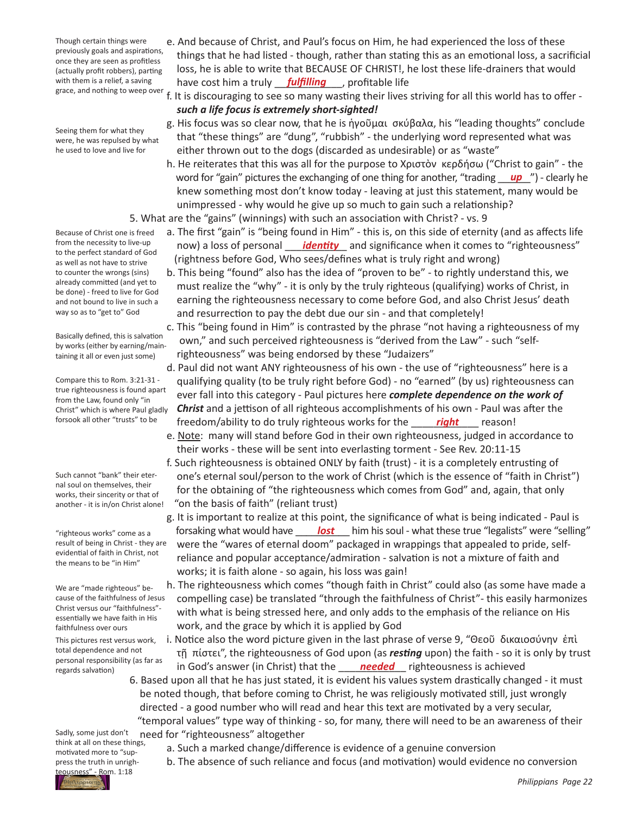Though certain things were previously goals and aspirations, once they are seen as profitless (actually profit robbers), parting with them is a relief, a saving grace, and nothing to weep over

Seeing them for what they were, he was repulsed by what

- he used to love and live for
- Because of Christ one is freed from the necessity to live-up to the perfect standard of God as well as not have to strive to counter the wrongs (sins) already committed (and yet to be done) - freed to live for God and not bound to live in such a

Basically defined, this is salvation by works (either by earning/maintaining it all or even just some)

way so as to "get to" God

Compare this to Rom. 3:21-31 true righteousness is found apart from the Law, found only "in Christ" which is where Paul gladly forsook all other "trusts" to be

Such cannot "bank" their eternal soul on themselves, their works, their sincerity or that of another - it is in/on Christ alone!

"righteous works" come as a result of being in Christ - they are evidential of faith in Christ, not the means to be "in Him"

We are "made righteous" because of the faithfulness of Jesus Christ versus our "faithfulness" essentially we have faith in His faithfulness over ours

This pictures rest versus work, total dependence and not personal responsibility (as far as regards salvation)

- e. And because of Christ, and Paul's focus on Him, he had experienced the loss of these things that he had listed - though, rather than stating this as an emotional loss, a sacrificial loss, he is able to write that BECAUSE OF CHRIST!, he lost these life-drainers that would with them is a relief, a saving have cost him a truly **fulfilling**, profitable life
	- f. It is discouraging to see so many wasting their lives striving for all this world has to offer *such a life focus is extremely short-sighted!*
	- g. His focus was so clear now, that he is ἡγοῦμαι σκύβαλα, his "leading thoughts" conclude that "these things" are "dung", "rubbish" - the underlying word represented what was either thrown out to the dogs (discarded as undesirable) or as "waste"
- h. He reiterates that this was all for the purpose to Χριστὸν κερδήσω ("Christ to gain" the word for "gain" pictures the exchanging of one thing for another, "trading *\_\_\_\_\_\_*") - clearly he knew something most don't know today - leaving at just this statement, many would be unimpressed - why would he give up so much to gain such a relationship?
	- 5. What are the "gains" (winnings) with such an association with Christ? vs. 9
- a. The first "gain" is "being found in Him" this is, on this side of eternity (and as affects life trom the necessity to live-up **how)** a loss of personal **explorently** and significance when it comes to "righteousness" (rightness before God, Who sees/defines what is truly right and wrong)
	- b. This being "found" also has the idea of "proven to be" to rightly understand this, we must realize the "why" - it is only by the truly righteous (qualifying) works of Christ, in earning the righteousness necessary to come before God, and also Christ Jesus' death and resurrection to pay the debt due our sin - and that completely!
	- c. This "being found in Him" is contrasted by the phrase "not having a righteousness of my own," and such perceived righteousness is "derived from the Law" - such "self- righteousness" was being endorsed by these "Judaizers"
- d. Paul did not want ANY righteousness of his own the use of "righteousness" here is a qualifying quality (to be truly right before God) - no "earned" (by us) righteousness can ever fall into this category - Paul pictures here *complete dependence on the work of Christ* and a jettison of all righteous accomplishments of his own - Paul was after the <sup>forsook all other "trusts" to be freedom/ability to do truly righteous works for the \_\_\_\_\_<mark>right</mark> \_\_\_\_ reason!</sup>
	- e. Note: many will stand before God in their own righteousness, judged in accordance to their works - these will be sent into everlasting torment - See Rev. 20:11-15
	- f. Such righteousness is obtained ONLY by faith (trust) it is a completely entrusting of one's eternal soul/person to the work of Christ (which is the essence of "faith in Christ") for the obtaining of "the righteousness which comes from God" and, again, that only "on the basis of faith" (reliant trust)
- g. It is important to realize at this point, the significance of what is being indicated Paul is "righteous works" come as a loof forsaking what would have **ships is boat** him his soul - what these true "legalists" were "selling" were the "wares of eternal doom" packaged in wrappings that appealed to pride, self- reliance and popular acceptance/admiration - salvation is not a mixture of faith and works; it is faith alone - so again, his loss was gain!
	- h. The righteousness which comes "though faith in Christ" could also (as some have made a compelling case) be translated "through the faithfulness of Christ"- this easily harmonizes with what is being stressed here, and only adds to the emphasis of the reliance on His work, and the grace by which it is applied by God
- i. Notice also the word picture given in the last phrase of verse 9, "Θεοῦ δικαιοσύνην ἐπὶ τῇ πίστει", the righteousness of God upon (as *resting* upon) the faith - so it is only by trust regards salvation) (as idi as an idial God's answer (in Christ) that the *needed* righteousness is achieved
	- 6. Based upon all that he has just stated, it is evident his values system drastically changed it must be noted though, that before coming to Christ, he was religiously motivated still, just wrongly directed - a good number who will read and hear this text are motivated by a very secular, "temporal values" type way of thinking - so, for many, there will need to be an awareness of their need for "righteousness" altogether

Sadly, some just don't think at all on these things, motivated more to "suppress the truth in unrigheousness" - Rom. 1:18

- a. Such a marked change/difference is evidence of a genuine conversion
- b. The absence of such reliance and focus (and motivation) would evidence no conversion

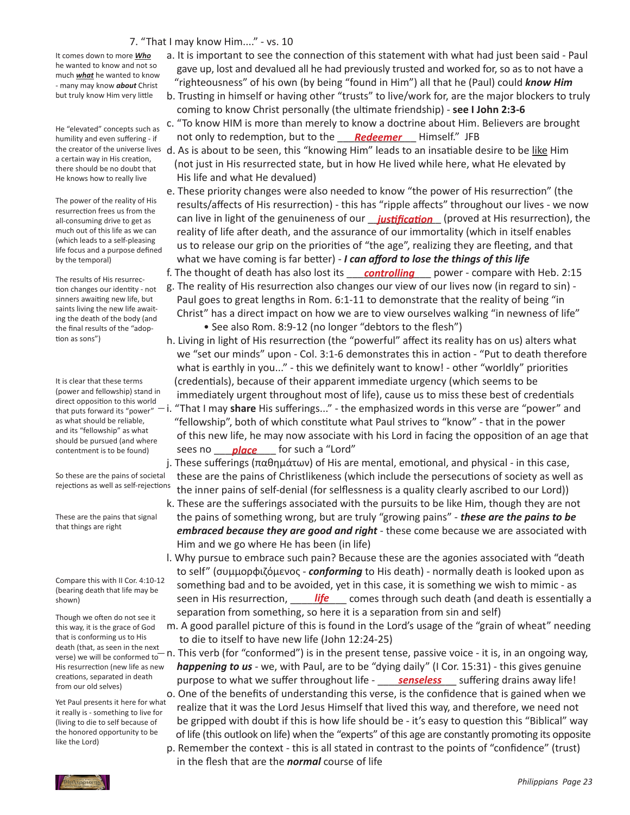## 7. "That I may know Him...." - vs. 10

It comes down to more *Who* he wanted to know and not so much *what* he wanted to know - many may know *about* Christ but truly know Him very little

He "elevated" concepts such as humility and even suffering - if the creator of the universe lives a certain way in His creation, there should be no doubt that He knows how to really live

The power of the reality of His resurrection frees us from the all-consuming drive to get as much out of this life as we can (which leads to a self-pleasing life focus and a purpose defined by the temporal)

The results of His resurrection changes our identity - not sinners awaiting new life, but saints living the new life awaiting the death of the body (and the final results of the "adoption as sons")

It is clear that these terms (power and fellowship) stand in direct opposition to this world that puts forward its "power" as what should be reliable, and its "fellowship" as what should be pursued (and where contentment is to be found)

So these are the pains of societal rejections as well as self-rejections

These are the pains that signal that things are right

Compare this with II Cor. 4:10-12 (bearing death that life may be shown)

Though we often do not see it this way, it is the grace of God that is conforming us to His death (that, as seen in the next verse) we will be conformed to His resurrection (new life as new creations, separated in death from our old selves)

Yet Paul presents it here for what it really is - something to live for (living to die to self because of the honored opportunity to be like the Lord)

- a. It is important to see the connection of this statement with what had just been said Paul gave up, lost and devalued all he had previously trusted and worked for, so as to not have a "righteousness" of his own (by being "found in Him") all that he (Paul) could *know Him*
- b. Trusting in himself or having other "trusts" to live/work for, are the major blockers to truly coming to know Christ personally (the ultimate friendship) - **see I John 2:3-6**
- c. "To know HIM is more than merely to know a doctrine about Him. Believers are brought humility and even suffering - if **contained by to redemption**, but to the <u>called **Redeemer**</u> Himself." JFB
	- d. As is about to be seen, this "knowing Him" leads to an insatiable desire to be like Him (not just in His resurrected state, but in how He lived while here, what He elevated by His life and what He devalued)
- e. These priority changes were also needed to know "the power of His resurrection" (the results/affects of His resurrection) - this has "ripple affects" throughout our lives - we now all-consuming drive to get as **can live in light of the genuineness of our <u>justification</u> (proved at His resurrection), the**  reality of life after death, and the assurance of our immortality (which in itself enables us to release our grip on the priorities of "the age", realizing they are fleeting, and that what we have coming is far better) - *I can afford to lose the things of this life*
- <sup>The recults of His recurses **of the thought of death has also lost its** *controlling* power compare with Heb. 2:15</sup> g. The reality of His resurrection also changes our view of our lives now (in regard to sin) -
	- Paul goes to great lengths in Rom. 6:1-11 to demonstrate that the reality of being "in Christ" has a direct impact on how we are to view ourselves walking "in newness of life" • See also Rom. 8:9-12 (no longer "debtors to the flesh")
- h. Living in light of His resurrection (the "powerful" affect its reality has on us) alters what we "set our minds" upon - Col. 3:1-6 demonstrates this in action - "Put to death therefore what is earthly in you..." - this we definitely want to know! - other "worldly" priorities (credentials), because of their apparent immediate urgency (which seems to be immediately urgent throughout most of life), cause us to miss these best of credentials i. "That I may **share** His sufferings..." - the emphasized words in this verse are "power" and "fellowship", both of which constitute what Paul strives to "know" - that in the power of this new life, he may now associate with his Lord in facing the opposition of an age that contentment is to be found) Sees no \_\_\_\_\_<mark>place</mark>\_\_\_\_\_ for such a "Lord"

 j. These sufferings (παθημάτων) of His are mental, emotional, and physical - in this case, these are the pains of Christlikeness (which include the persecutions of society as well as the inner pains of self-denial (for selflessness is a quality clearly ascribed to our Lord))

- k. These are the sufferings associated with the pursuits to be like Him, though they are not the pains of something wrong, but are truly "growing pains" - *these are the pains to be embraced because they are good and right* - these come because we are associated with Him and we go where He has been (in life)
- l. Why pursue to embrace such pain? Because these are the agonies associated with "death to self" (συμμορφιζόμενος - *conforming* to His death) - normally death is looked upon as something bad and to be avoided, yet in this case, it is something we wish to mimic - as shown) seen in His resurrection, **life** comes through such death (and death is essentially a shown) separation from something, so here it is a separation from sin and self)
	- m. A good parallel picture of this is found in the Lord's usage of the "grain of wheat" needing to die to itself to have new life (John 12:24-25)
- n. This verb (for "conformed") is in the present tense, passive voice it is, in an ongoing way, *happening to us* - we, with Paul, are to be "dying daily" (I Cor. 15:31) - this gives genuine <sup>creations, separated in death</sup> purpose to what we suffer throughout life - <u>senseless</u> suffering drains away life!
	- o. One of the benefits of understanding this verse, is the confidence that is gained when we realize that it was the Lord Jesus Himself that lived this way, and therefore, we need not be gripped with doubt if this is how life should be - it's easy to question this "Biblical" way of life (this outlook on life) when the "experts" of this age are constantly promoting its opposite
	- p. Remember the context this is all stated in contrast to the points of "confidence" (trust) in the flesh that are the *normal* course of life

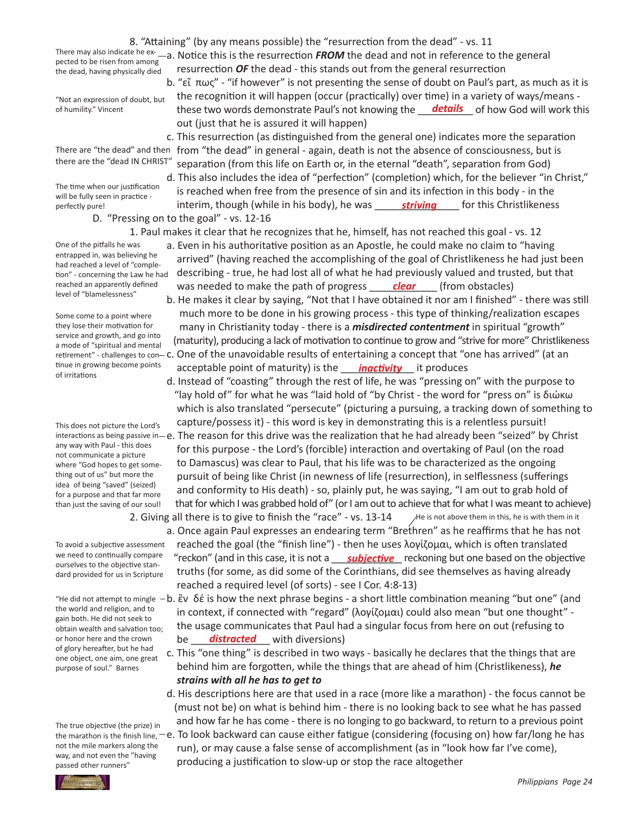way, and not even the "having passed other runners"

of humility." Vincent **hese two words demonstrate Paul's not knowing the <mark>details</mark>** of how God will work this of humility." Vincent

perfectly pure! **interim, though (while in his body), he** was \_\_\_\_\_\_\_<u>striving</u> \_\_\_\_\_ for this Christlikeness

 1. Paul makes it clear that he recognizes that he, himself, has not reached this goal - vs. 12

 a. Even in his authoritative position as an Apostle, he could make no claim to "having arrived" (having reached the accomplishing of the goal of Christlikeness he had just been describing - true, he had lost all of what he had previously valued and trusted, but that reached an apparently defined was needed to make the path of progress **clear** (from obstacles) had reached a level of "completion" - concerning the Law he had

 b. He makes it clear by saying, "Not that I have obtained it nor am I finished" - there was still much more to be done in his growing process - this type of thinking/realization escapes many in Christianity today - there is a *misdirected contentment* in spiritual "growth" (maturity), producing a lack of motivation to continue to grow and "strive for more" Christlikeness retirement" - challenges to con-- C. One of the unavoidable results of entertaining a concept that "one has arrived" (at an tinue in growing become points acceptable point of maturity) is the <u>nactivity</u> it produces

 d. Instead of "coasting" through the rest of life, he was "pressing on" with the purpose to "lay hold of" for what he was "laid hold of "by Christ - the word for "press on" is διώκω which is also translated "persecute" (picturing a pursuing, a tracking down of something to capture/possess it) - this word is key in demonstrating this is a relentless pursuit! interactions as being passive in $-$ e. The reason for this drive was the realization that he had already been "seized" by Christ for this purpose - the Lord's (forcible) interaction and overtaking of Paul (on the road to Damascus) was clear to Paul, that his life was to be characterized as the ongoing pursuit of being like Christ (in newness of life (resurrection), in selflessness (sufferings and conformity to His death) - so, plainly put, he was saying, "I am out to grab hold of that for which I was grabbed hold of" (or I am out to achieve that for what I was meant to achieve) 2. Giving all there is to give to finish the "race" - vs. 13-14 This does not picture the Lord's where "God hopes to get somefor a purpose and that far more than just the saving of our soul! He is not above them in this, he is with them in it

 a. Once again Paul expresses an endearing term "Brethren" as he reaffirms that he has not reached the goal (the "finish line") - then he uses λογίζομαι, which is often translated we need to continually compare "reckon" (and in this case, it is not a <u>subjective</u> reckoning but one based on the objective and a surrely compare truths (for some, as did some of the Corinthians, did see themselves as having already reached a required level (of sorts) - see I Cor. 4:8-13) To avoid a subjective assessment we need to continually compare dard provided for us in Scripture

"He did not attempt to mingle  $-b$ . ἓν δέ is how the next phrase begins - a short little combination meaning "but one" (and in context, if connected with "regard" (λογίζομαι) could also mean "but one thought" - the usage communicates that Paul had a singular focus from here on out (refusing to or honor here and the crown be **distracted** with diversions) obtain wealth and salvation too;

> c. This "one thing" is described in two ways - basically he declares that the things that are behind him are forgotten, while the things that are ahead of him (Christlikeness), *he strains with all he has to get to*

 d. His descriptions here are that used in a race (more like a marathon) - the focus cannot be (must not be) on what is behind him - there is no looking back to see what he has passed and how far he has come - there is no longing to go backward, to return to a previous point

the marathon is the finish line,  $-$  e. To look backward can cause either fatigue (considering (focusing on) how far/long he has run), or may cause a false sense of accomplishment (as in "look how far I've come), producing a justification to slow-up or stop the race altogether

*Philippians Page 24*

There are "the dead" and then from "the dead" in general - again, death is not the absence of consciousness, but is separation (from this life on Earth or, in the eternal "death", separation from God) there are the "dead IN CHRIST"

The time when our justification will be fully seen in practice perfectly pure!

entrapped in, was believing he

reached an apparently defined level of "blamelessness"

Some come to a point where they lose their motivation for service and growth, and go into a mode of "spiritual and mental

tinue in growing become points

any way with Paul - this does not communicate a picture

thing out of us" but more the idea of being "saved" (seized)

ourselves to the objective stan-

the world and religion, and to gain both. He did not seek to

or honor here and the crown of glory hereafter, but he had one object, one aim, one great purpose of soul." Barnes

The true objective (the prize) in not the mile markers along the

of irritations

 D. "Pressing on to the goal" - vs. 12-16

One of the pitfalls he was

### pected to be risen from among the dead, having physically died

 out (just that he is assured it will happen)

 8. "Attaining" (by any means possible) the "resurrection from the dead" - vs. 11

 resurrection *OF* the dead - this stands out from the general resurrection

There may also indicate he ex-<br>notted to be risen from among —a. Notice this is the resurrection FROM the dead and not in reference to the general

 c. This resurrection (as distinguished from the general one) indicates more the separation

 d. This also includes the idea of "perfection" (completion) which, for the believer "in Christ," is reached when free from the presence of sin and its infection in this body - in the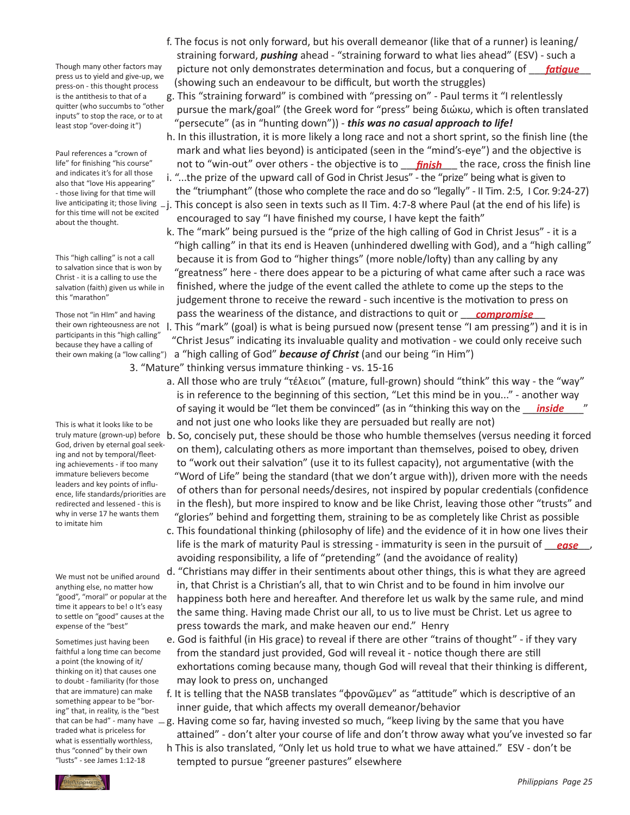Though many other factors may press us to yield and give-up, we press-on - this thought process is the antithesis to that of a quitter (who succumbs to "other inputs" to stop the race, or to at least stop "over-doing it")

Paul references a "crown of life" for finishing "his course" and indicates it's for all those also that "love His appearing" - those living for that time will for this time will not be excited about the thought.

This "high calling" is not a call to salvation since that is won by Christ - it is a calling to use the salvation (faith) given us while in this "marathon"

Those not "in HIm" and having their own righteousness are not participants in this "high calling" because they have a calling of their own making (a "low calling")

This is what it looks like to be God, driven by eternal goal seeking and not by temporal/fleeting achievements - if too many immature believers become leaders and key points of influence, life standards/priorities are redirected and lessened - this is why in verse 17 he wants them to imitate him

We must not be unified around anything else, no matter how "good", "moral" or popular at the time it appears to be! o It's easy to settle on "good" causes at the expense of the "best"

Sometimes just having been faithful a long time can become a point (the knowing of it/ thinking on it) that causes one to doubt - familiarity (for those that are immature) can make something appear to be "boring" that, in reality, is the "best traded what is priceless for what is essentially worthless, thus "conned" by their own "lusts" - see James 1:12-18

- f. The focus is not only forward, but his overall demeanor (like that of a runner) is leaning/ straining forward, *pushing* ahead - "straining forward to what lies ahead" (ESV) - such a Though many other factors may picture not only demonstrates determination and focus, but a conquering of <u>fatigue</u> (showing such an endeavour to be difficult, but worth the struggles)
	- g. This "straining forward" is combined with "pressing on" Paul terms it "I relentlessly pursue the mark/goal" (the Greek word for "press" being διώκω, which is often translated "persecute" (as in "hunting down")) - *this was no casual approach to life!*
- h. In this illustration, it is more likely a long race and not a short sprint, so the finish line (the mark and what lies beyond) is anticipated (seen in the "mind's-eye") and the objective is life" for finishing "his course" anot to "win-out" over others - the objective is to <u>finish</u> the race, cross the finish line
- i. "...the prize of the upward call of God in Christ Jesus" the "prize" being what is given to the "triumphant" (those who complete the race and do so "legally" - II Tim. 2:5, I Cor. 9:24-27) live anticipating it; those living  $-$  j. This concept is also seen in texts such as II Tim. 4:7-8 where Paul (at the end of his life) is encouraged to say "I have finished my course, I have kept the faith"
- k. The "mark" being pursued is the "prize of the high calling of God in Christ Jesus" it is a "high calling" in that its end is Heaven (unhindered dwelling with God), and a "high calling" because it is from God to "higher things" (more noble/lofty) than any calling by any "greatness" here - there does appear to be a picturing of what came after such a race was finished, where the judge of the event called the athlete to come up the steps to the judgement throne to receive the reward - such incentive is the motivation to press on Those not "in HIm" and having pass the weariness of the distance, and distractions to quit or *\_\_\_ compromise*

 l. This "mark" (goal) is what is being pursued now (present tense "I am pressing") and it is in "Christ Jesus" indicating its invaluable quality and motivation - we could only receive such a "high calling of God" *because of Christ* (and our being "in Him")

- 3. "Mature" thinking versus immature thinking vs. 15-16
- a. All those who are truly "τέλειοι" (mature, full-grown) should "think" this way the "way" is in reference to the beginning of this section, "Let this mind be in you..." - another way of saying it would be "let them be convinced" (as in "thinking this way on the *\_\_\_ inside\_\_\_\_*" and not just one who looks like they are persuaded but really are not)
- truly mature (grown-up) before b. So, concisely put, these should be those who humble themselves (versus needing it forced on them), calculating others as more important than themselves, poised to obey, driven to "work out their salvation" (use it to its fullest capacity), not argumentative (with the "Word of Life" being the standard (that we don't argue with)), driven more with the needs of others than for personal needs/desires, not inspired by popular credentials (confidence in the flesh), but more inspired to know and be like Christ, leaving those other "trusts" and "glories" behind and forgetting them, straining to be as completely like Christ as possible
- c. This foundational thinking (philosophy of life) and the evidence of it in how one lives their life is the mark of maturity Paul is stressing - immaturity is seen in the pursuit of *\_\_\_ease\_\_\_,*  avoiding responsibility, a life of "pretending" (and the avoidance of reality)
	- d. "Christians may differ in their sentiments about other things, this is what they are agreed in, that Christ is a Christian's all, that to win Christ and to be found in him involve our happiness both here and hereafter. And therefore let us walk by the same rule, and mind the same thing. Having made Christ our all, to us to live must be Christ. Let us agree to press towards the mark, and make heaven our end." Henry
	- e. God is faithful (in His grace) to reveal if there are other "trains of thought" if they vary from the standard just provided, God will reveal it - notice though there are still exhortations coming because many, though God will reveal that their thinking is different, may look to press on, unchanged
	- f. It is telling that the NASB translates "φρονῶμεν" as "attitude" which is descriptive of an inner guide, that which affects my overall demeanor/behavior
- that can be had" many have  $-g$ . Having come so far, having invested so much, "keep living by the same that you have attained" - don't alter your course of life and don't throw away what you've invested so far
	- h This is also translated, "Only let us hold true to what we have attained." ESV don't be tempted to pursue "greener pastures" elsewhere

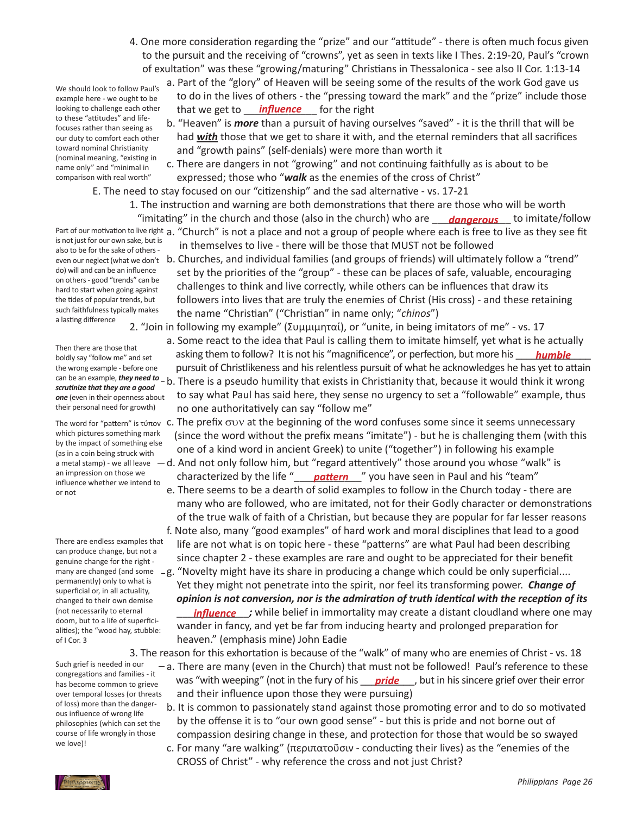4. One more consideration regarding the "prize" and our "attitude" - there is often much focus given to the pursuit and the receiving of "crowns", yet as seen in texts like I Thes. 2:19-20, Paul's "crown of exultation" was these "growing/maturing" Christians in Thessalonica - see also II Cor. 1:13-14

We should look to follow Paul's example here - we ought to be looking to challenge each other to these "attitudes" and lifefocuses rather than seeing as our duty to comfort each other toward nominal Christianity (nominal meaning, "existing in name only" and "minimal in comparison with real worth"

- a. Part of the "glory" of Heaven will be seeing some of the results of the work God gave us to do in the lives of others - the "pressing toward the mark" and the "prize" include those that we get to \_\_\_\_\_\_\_\_\_\_\_\_\_ for the right *influence*
	- b. "Heaven" is *more* than a pursuit of having ourselves "saved" it is the thrill that will be had *with* those that we get to share it with, and the eternal reminders that all sacrifices and "growth pains" (self-denials) were more than worth it
	- c. There are dangers in not "growing" and not continuing faithfully as is about to be expressed; those who "*walk* as the enemies of the cross of Christ"
	- E. The need to stay focused on our "citizenship" and the sad alternative vs. 17-21
- 1. The instruction and warning are both demonstrations that there are those who will be worth "imitating" in the church and those (also in the church) who are **\_\_\_\_<u>dangerous</u>\_\_\_** to imitate/follow
- Part of our motivation to live right a. "Church" is not a place and not a group of people where each is free to live as they see fit in themselves to live - there will be those that MUST not be followed
	- b. Churches, and individual families (and groups of friends) will ultimately follow a "trend" set by the priorities of the "group" - these can be places of safe, valuable, encouraging challenges to think and live correctly, while others can be influences that draw its followers into lives that are truly the enemies of Christ (His cross) - and these retaining the name "Christian" ("Christian" in name only; "*chinos*")

 2. "Join in following my example" (Συμμιμηταί), or "unite, in being imitators of me" - vs. 17

- a. Some react to the idea that Paul is calling them to imitate himself, yet what is he actually holdly say "follow me" and set and **asking them to follow?** It is not his "magnificence", or perfection, but more his <u>and **numble**</u> pursuit of Christlikeness and hisrelentless pursuit of what he acknowledges he has yet to attain can be an example, *they need to* – b. There is a pseudo humility that exists in Christianity that, because it would think it wrong
	- to say what Paul has said here, they sense no urgency to set a "followable" example, thus no one authoritatively can say "follow me"
- The word for "pattern" is τύπον c. The prefix συν at the beginning of the word confuses some since it seems unnecessary (since the word without the prefix means "imitate") - but he is challenging them (with this one of a kind word in ancient Greek) to unite ("together") in following his example
- a metal stamp) we all leave  $\,$   $-$  d. And not only follow him, but "regard attentively" those around you whose "walk" is an impression on those we characterized by the life "**\_\_\_<u>\_pattern</u>** \_\_" you have seen in Paul and his "team"
	- e. There seems to be a dearth of solid examples to follow in the Church today there are many who are followed, who are imitated, not for their Godly character or demonstrations of the true walk of faith of a Christian, but because they are popular for far lesser reasons f. Note also, many "good examples" of hard work and moral disciplines that lead to a good
	- life are not what is on topic here these "patterns" are what Paul had been describing since chapter 2 - these examples are rare and ought to be appreciated for their benefit
- many are changed (and some -g. "Novelty might have its share in producing a change which could be only superficial.... Yet they might not penetrate into the spirit, nor feel its transforming power. *Change of opinion is not conversion, nor is the admiration of truth identical with the reception of its*  (not necessarily to eternal **influence ;** while belief in immortality may create a distant cloudland where one may wander in fancy, and yet be far from inducing hearty and prolonged preparation for heaven." (emphasis mine) John Eadie

 3. The reason for this exhortation is because of the "walk" of many who are enemies of Christ - vs. 18

- a. There are many (even in the Church) that must not be followed! Paul's reference to these bas become common to grieve was "with weeping" (not in the fury of his <u>pride</u>, but in his sincere grief over their error and their influence upon those they were pursuing)
	- b. It is common to passionately stand against those promoting error and to do so motivated by the offense it is to "our own good sense" - but this is pride and not borne out of compassion desiring change in these, and protection for those that would be so swayed
	- c. For many "are walking" (περιπατοῦσιν conducting their lives) as the "enemies of the CROSS of Christ" - why reference the cross and not just Christ?

is not just for our own sake, but is also to be for the sake of otherseven our neglect (what we don't do) will and can be an influence on others- good "trends" can be hard to start when going against the tides of popular trends, but such faithfulness typically makes a lasting difference

Then there are those that boldly say "follow me" and set the wrong example - before one *scrutinize that they are a good one* (even in their openness about their personal need for growth)

which pictures something mark by the impact of something else (as in a coin being struck with an impression on those we influence whether we intend to or not

There are endless examples that can produce change, but not a genuine change for the right permanently) only to what is superficial or, in all actuality, changed to their own demise (not necessarily to eternal doom, but to a life of superficialities); the "wood hay, stubble: of I Cor. 3

Such grief is needed in our congregations and families - it has become common to grieve over temporal losses (or threats of loss) more than the dangerous influence of wrong life philosophies (which can set the course of life wrongly in those we love)!

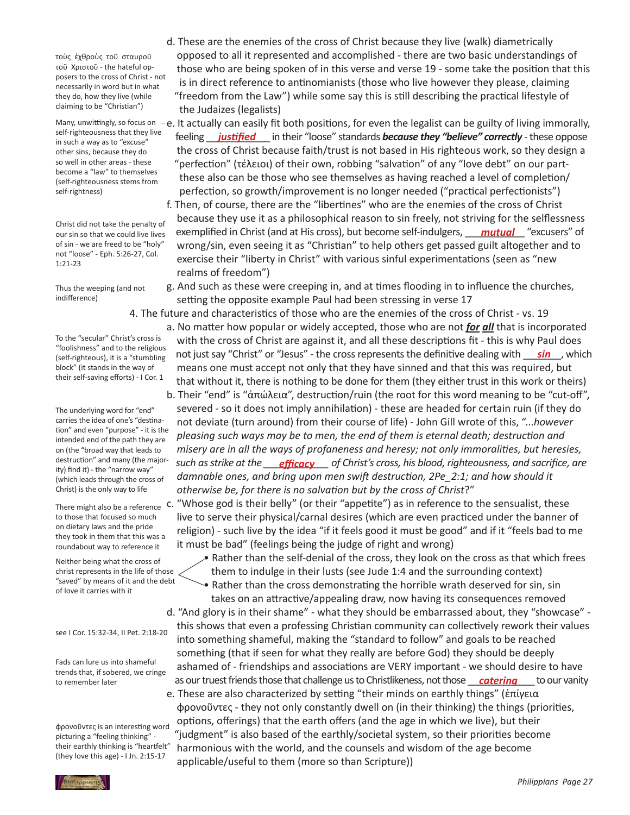τοὺς ἐχθροὺς τοῦ σταυροῦ τοῦ Χριστοῦ - the hateful opposers to the cross of Christ - not necessarily in word but in what they do, how they live (while claiming to be "Christian")

self-righteousness that they live in such a way as to "excuse" other sins, because they do so well in other areas - these become a "law" to themselves (self-righteousness stems from self-rightness)

Christ did not take the penalty of our sin so that we could live lives of sin - we are freed to be "holy" not "loose" - Eph. 5:26-27, Col. 1:21-23

Thus the weeping (and not indifference)

To the "secular" Christ's cross is "foolishness" and to the religious (self-righteous), it is a "stumbling block" (it stands in the way of their self-saving efforts) - I Cor. 1

The underlying word for "end" carries the idea of one's "destination" and even "purpose" - it is the intended end of the path they are on (the "broad way that leads to destruction" and many (the majority) find it) - the "narrow way" (which leads through the cross of Christ) is the only way to life

There might also be a reference to those that focused so much on dietary laws and the pride they took in them that this was a roundabout way to reference it

Neither being what the cross of christ represents in the life of those "saved" by means of it and the debt of love it carries with it

## see I Cor. 15:32-34, II Pet. 2:18-20

Fads can lure us into shameful trends that, if sobered, we cringe to remember later

φρονοῦντες is an interesting word picturing a "feeling thinking" their earthly thinking is "heartfelt" (they love this age) - I Jn. 2:15-17

 d. These are the enemies of the cross of Christ because they live (walk) diametrically opposed to all it represented and accomplished - there are two basic understandings of those who are being spoken of in this verse and verse 19 - some take the position that this is in direct reference to antinomianists (those who live however they please, claiming "freedom from the Law") while some say this is still describing the practical lifestyle of the Judaizes (legalists)

Many, unwittingly, so focus on  $-e$ . It actually can easily fit both positions, for even the legalist can be guilty of living immorally, sen-righteousness that they live feeling <u>justified</u> in their "loose" standards **because they "believe" correctly** - these oppose the cross of Christ because faith/trust is not based in His righteous work, so they design a "perfection" (τέλειοι) of their own, robbing "salvation" of any "love debt" on our part- these also can be those who see themselves as having reached a level of completion/ perfection, so growth/improvement is no longer needed ("practical perfectionists")

 f. Then, of course, there are the "libertines" who are the enemies of the cross of Christ because they use it as a philosophical reason to sin freely, not striving for the selflessness our sin so that we could live lives exemplified in Christ (and at His cross), but become self-indulgers, **\_\_\_\_mutual** \_\_\_"excusers" of wrong/sin, even seeing it as "Christian" to help others get passed guilt altogether and to exercise their "liberty in Christ" with various sinful experimentations (seen as "new realms of freedom")

> g. And such as these were creeping in, and at times flooding in to influence the churches, setting the opposite example Paul had been stressing in verse 17

 4. The future and characteristics of those who are the enemies of the cross of Christ - vs. 19

 a. No matter how popular or widely accepted, those who are not *for all* that is incorporated with the cross of Christ are against it, and all these descriptions fit - this is why Paul does Iself-righteous), it is a "stumbling not just say "Christ" or "Jesus" - the cross represents the definitive dealing with <u>sin</u>, which means one must accept not only that they have sinned and that this was required, but that without it, there is nothing to be done for them (they either trust in this work or theirs)

 b. Their "end" is "ἀπώλεια", destruction/ruin (the root for this word meaning to be "cut-off", severed - so it does not imply annihilation) - these are headed for certain ruin (if they do not deviate (turn around) from their course of life) - John Gill wrote of this, "...*however pleasing such ways may be to men, the end of them is eternal death; destruction and misery are in all the ways of profaneness and heresy; not only immoralities, but heresies, such asstrike at the \_\_\_\_\_\_\_\_\_\_\_\_ of Christ's cross, his blood, righteousness, and sacrifice, are efficacy damnable ones, and bring upon men swift destruction, 2Pe\_2:1; and how should it otherwise be, for there is no salvation but by the cross of Christ*?"

> c. "Whose god is their belly" (or their "appetite") as in reference to the sensualist, these live to serve their physical/carnal desires (which are even practiced under the banner of religion) - such live by the idea "if it feels good it must be good" and if it "feels bad to me it must be bad" (feelings being the judge of right and wrong)

 • Rather than the self-denial of the cross, they look on the cross as that which frees them to indulge in their lusts (see Jude 1:4 and the surrounding context) • Rather than the cross demonstrating the horrible wrath deserved for sin, sin

 takes on an attractive/appealing draw, now having its consequences removed d. "And glory is in their shame" - what they should be embarrassed about, they "showcase" - this shows that even a professing Christian community can collectively rework their values into something shameful, making the "standard to follow" and goals to be reached something (that if seen for what they really are before God) they should be deeply ashamed of - friendships and associations are VERY important - we should desire to have to remember later **the contract of the contrients** as our truest friends those that challenge us to Christlikeness, not those <u>catering</u> to our vanity

 e. These are also characterized by setting "their minds on earthly things" (ἐπίγεια φρονοῦντες - they not only constantly dwell on (in their thinking) the things (priorities, options, offerings) that the earth offers (and the age in which we live), but their "judgment" is also based of the earthly/societal system, so their priorities become harmonious with the world, and the counsels and wisdom of the age become applicable/useful to them (more so than Scripture))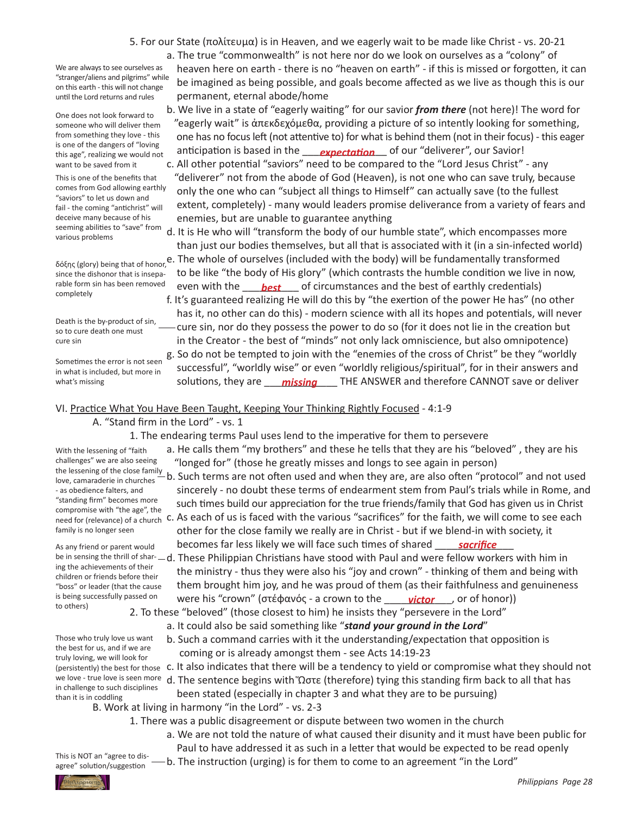5. For our State (πολίτευμα) is in Heaven, and we eagerly wait to be made like Christ - vs. 20-21

We are always to see ourselves as "stranger/aliens and pilgrims" while on this earth - this will not change until the Lord returns and rules

One does not look forward to someone who will deliver them from something they love - this is one of the dangers of "loving this age", realizing we would not want to be saved from it

This is one of the benefits that comes from God allowing earthly "saviors" to let us down and fail - the coming "antichrist" will deceive many because of his seeming abilities to "save" from various problems

since the dishonor that is inseparable form sin has been removed completely

Death is the by-product of sin, so to cure death one must cure sin

Sometimes the error is not seen in what is included, but more in what's missing

With the lessening of "faith challenges" we are also seeing love, camaraderie in churches - as obedience falters, and "standing firm" becomes more compromise with "the age", the

family is no longer seen As any friend or parent would

to others)

ing the achievements of their children or friends before their "boss" or leader (that the cause is being successfully passed on

Those who truly love us want the best for us, and if we are truly loving, we will look for

- a. The true "commonwealth" is not here nor do we look on ourselves as a "colony" of heaven here on earth - there is no "heaven on earth" - if this is missed or forgotten, it can be imagined as being possible, and goals become affected as we live as though this is our permanent, eternal abode/home
- b. We live in a state of "eagerly waiting" for our savior *from there* (not here)! The word for "eagerly wait" is ἀπεκδεχόμεθα, providing a picture of so intently looking for something, one has no focusleft (not attentive to) for what is behind them (not in their focus) - this eager this age", realizing we would not anticipation is based in the <u>sapectation</u> of our "deliverer", our Savior!
	- c. All other potential "saviors" need to be compared to the "Lord Jesus Christ" any "deliverer" not from the abode of God (Heaven), is not one who can save truly, because only the one who can "subject all things to Himself" can actually save (to the fullest extent, completely) - many would leaders promise deliverance from a variety of fears and enemies, but are unable to guarantee anything
- d. It is He who will "transform the body of our humble state", which encompasses more than just our bodies themselves, but all that is associated with it (in a sin-infected world) δόξης (glory) being that of honor, e. The whole of ourselves (included with the body) will be fundamentally transformed

 to be like "the body of His glory" (which contrasts the humble condition we live in now, rable form sin has been removed even with the <u>sack forest</u> of circumstances and the best of earthly credentials)

 f. It's guaranteed realizing He will do this by "the exertion of the power He has" (no other has it, no other can do this) - modern science with all its hopes and potentials, will never cure sin, nor do they possess the power to do so (for it does not lie in the creation but in the Creator - the best of "minds" not only lack omniscience, but also omnipotence) g. So do not be tempted to join with the "enemies of the cross of Christ" be they "worldly successful", "worldly wise" or even "worldly religious/spiritual", for in their answers and

what's missing **solutions, they are himilary and THE ANSWER** and therefore CANNOT save or deliver

## VI. Practice What You Have Been Taught, Keeping Your Thinking Rightly Focused - 4:1-9

 A. "Stand firm in the Lord" - vs. 1

 1. The endearing terms Paul uses lend to the imperative for them to persevere

 a. He calls them "my brothers" and these he tells that they are his "beloved" , they are his "longed for" (those he greatly misses and longs to see again in person)

the lessening of the close family<br>love, camaraderie in churches – b. Such terms are not often used and when they are, are also often "protocol" and not used sincerely - no doubt these terms of endearment stem from Paul's trials while in Rome, and such times build our appreciation for the true friends/family that God has given us in Christ

ead for (relevance) of a church C. As each of us is faced with the various "sacrifices" for the faith, we will come to see each other for the close family we really are in Christ - but if we blend-in with society, it As any friend or parent would becomes far less likely we will face such times of shared <u>sacrifice</u>

be in sensing the thrill of shar- — d. These Philippian Christians have stood with Paul and were fellow workers with him in the ministry - thus they were also his "joy and crown" - thinking of them and being with them brought him joy, and he was proud of them (as their faithfulness and genuineness is being successfully passed on were his "crown" (στέφανός - a crown to the <u>wictor</u>, or of honor))

 2. To these "beloved" (those closest to him) he insists they "persevere in the Lord"

 a. It could also be said something like "*stand your ground in the Lord*"

- b. Such a command carries with it the understanding/expectation that opposition is coming or is already amongst them - see Acts 14:19-23
- (persistently) the best for those c. It also indicates that there will be a tendency to yield or compromise what they should not
- we love true love is seen more d. The sentence begins with "Ωστε (therefore) tying this standing firm back to all that has

 been stated (especially in chapter 3 and what they are to be pursuing) B. Work at living in harmony "in the Lord" - vs. 2-3 in challenge to such disciplines

- 1. There was a public disagreement or dispute between two women in the church
	- a. We are not told the nature of what caused their disunity and it must have been public for Paul to have addressed it as such in a letter that would be expected to be read openly

 b. The instruction (urging) is for them to come to an agreement "in the Lord"



than it is in coddling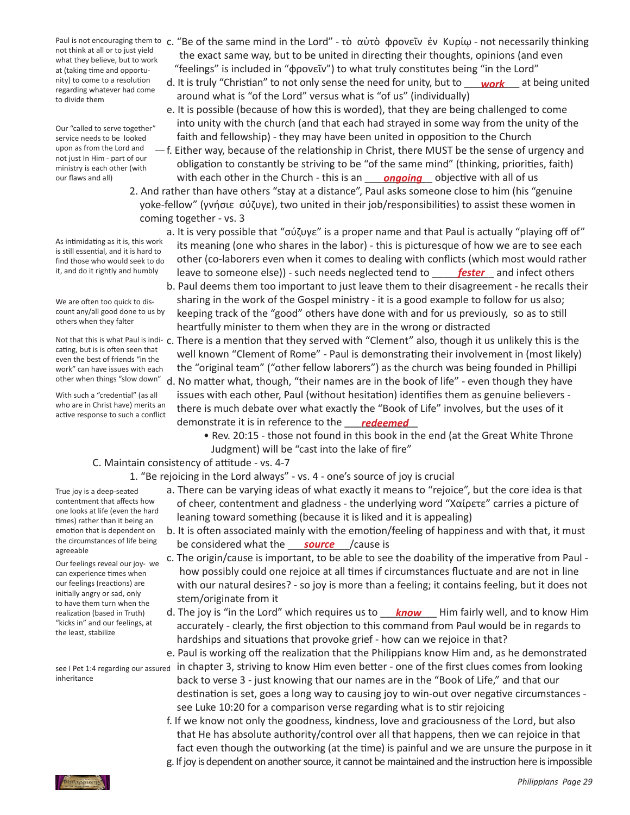not think at all or to just yield what they believe, but to work at (taking time and opportunity) to come to a resolution regarding whatever had come to divide them

Our "called to serve together" service needs to be looked upon as from the Lord and not just In Him - part of our ministry is each other (with our flaws and all)

As intimidating as it is, this work is still essential, and it is hard to find those who would seek to do it, and do it rightly and humbly

We are often too quick to discount any/all good done to us by others when they falter

cating, but is is often seen that even the best of friends "in the work" can have issues with each other when things "slow down"

With such a "credential" (as all who are in Christ have) merits an active response to such a conflict

- Paul is not encouraging them to c. "Be of the same mind in the Lord" τὸ αὐτὸ φρονεῖν ἐν Κυρίῳ not necessarily thinking the exact same way, but to be united in directing their thoughts, opinions (and even "feelings" is included in "φρονεῖν") to what truly constitutes being "in the Lord"
- nity) to come to a resolution d. It is truly "Christian" to not only sense the need for unity, but to <u>work</u> at being united around what is "of the Lord" versus what is "of us" (individually)
	- e. It is possible (because of how this is worded), that they are being challenged to come into unity with the church (and that each had strayed in some way from the unity of the faith and fellowship) - they may have been united in opposition to the Church
- $-f.$  Either way, because of the relationship in Christ, there MUST be the sense of urgency and obligation to constantly be striving to be "of the same mind" (thinking, priorities, faith) our flaws and all) **with each other in the Church - this is an** san particle objective with all of us our flaws and the same that the church - this is an same objective with all of us
	- 2. And rather than have others "stay at a distance", Paul asks someone close to him (his "genuine yoke-fellow" (γνήσιε σύζυγε), two united in their job/responsibilities) to assist these women in coming together - vs. 3
- a. It is very possible that "σύζυγε" is a proper name and that Paul is actually "playing off of" its meaning (one who shares in the labor) - this is picturesque of how we are to see each other (co-laborers even when it comes to dealing with conflicts (which most would rather it, and do it rightly and humbly leave to someone else)) - such needs neglected tend to wallect and infect others
	- b. Paul deems them too important to just leave them to their disagreement he recalls their sharing in the work of the Gospel ministry - it is a good example to follow for us also; keeping track of the "good" others have done with and for us previously, so as to still heartfully minister to them when they are in the wrong or distracted
- Not that this is what Paul is indi-c. There is a mention that they served with "Clement" also, though it us unlikely this is the well known "Clement of Rome" - Paul is demonstrating their involvement in (most likely) the "original team" ("other fellow laborers") as the church was being founded in Phillipi d. No matter what, though, "their names are in the book of life" - even though they have issues with each other, Paul (without hesitation) identifies them as genuine believers - there is much debate over what exactly the "Book of Life" involves, but the uses of it demonstrate it is in reference to the <u>redeemed</u>
	- Rev. 20:15 those not found in this book in the end (at the Great White Throne Judgment) will be "cast into the lake of fire"

## C. Maintain consistency of attitude - vs. 4-7

 1. "Be rejoicing in the Lord always" - vs. 4 - one's source of joy is crucial

- a. There can be varying ideas of what exactly it means to "rejoice", but the core idea is that of cheer, contentment and gladness - the underlying word "Χαίρετε" carries a picture of leaning toward something (because it is liked and it is appealing)
- b. It is often associated mainly with the emotion/feeling of happiness and with that, it must the circumstances of life being be considered what the <u>source</u> / cause is
	- c. The origin/cause is important, to be able to see the doability of the imperative from Paul how possibly could one rejoice at all times if circumstances fluctuate and are not in line with our natural desires? - so joy is more than a feeling; it contains feeling, but it does not stem/originate from it
- realization (based in Truth) and. The j<mark>oy is "in the Lord" which requires us to <u>an anow</u> and fairly well, and to know Him realization (based in Truth) and to know Him and to know Him and to know Him and to know Him and t</mark> accurately - clearly, the first objection to this command from Paul would be in regards to hardships and situations that provoke grief - how can we rejoice in that?
- e. Paul is working off the realization that the Philippians know Him and, as he demonstrated see I Pet 1:4 regarding our assured in chapter 3, striving to know Him even better - one of the first clues comes from looking back to verse 3 - just knowing that our names are in the "Book of Life," and that our destination is set, goes a long way to causing joy to win-out over negative circumstances - see Luke 10:20 for a comparison verse regarding what is to stir rejoicing
	- f. If we know not only the goodness, kindness, love and graciousness of the Lord, but also that He has absolute authority/control over all that happens, then we can rejoice in that fact even though the outworking (at the time) is painful and we are unsure the purpose in it
	- g. If joy is dependent on another source, it cannot be maintained and the instruction here is impossible

True joy is a deep-seated contentment that affects how one looks at life (even the hard times) rather than it being an emotion that is dependent on the circumstances of life being agreeable

Our feelings reveal our joy- we can experience times when our feelings (reactions) are initially angry or sad, only to have them turn when the realization (based in Truth) "kicks in" and our feelings, at the least, stabilize

inheritance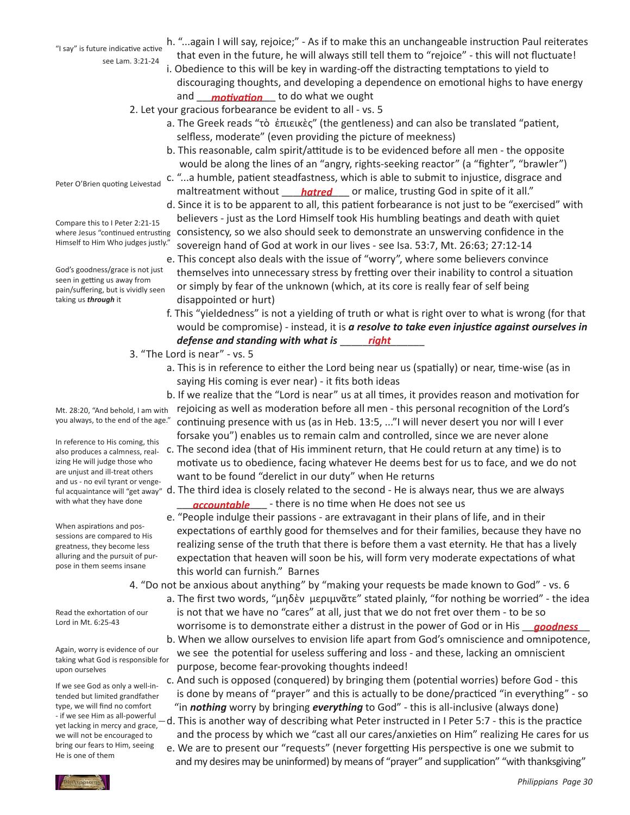see Lam. 3:21-24 "I say" is future indicative active

- h. "...again I will say, rejoice;" As if to make this an unchangeable instruction Paul reiterates that even in the future, he will always still tell them to "rejoice" - this will not fluctuate!
- i. Obedience to this will be key in warding-off the distracting temptations to yield to discouraging thoughts, and developing a dependence on emotional highs to have energy and <u>motivation</u> to do what we ought
	- 2. Let your gracious forbearance be evident to all vs. 5
		- a. The Greek reads "τὸ ἐπιεικὲς" (the gentleness) and can also be translated "patient, selfless, moderate" (even providing the picture of meekness)
		- b. This reasonable, calm spirit/attitude is to be evidenced before all men the opposite would be along the lines of an "angry, rights-seeking reactor" (a "fighter", "brawler")
- c. "...a humble, patient steadfastness, which is able to submit to injustice, disgrace and maltreatment without \_\_\_\_\_\_\_\_\_\_\_\_ or malice, trusting God in spite of it all." *hatred*
- d. Since it is to be apparent to all, this patient forbearance is not just to be "exercised" with believers - just as the Lord Himself took His humbling beatings and death with quiet where Jesus "continued entrusting consistency, so we also should seek to demonstrate an unswerving confidence in the sovereign hand of God at work in our lives - see Isa. 53:7, Mt. 26:63; 27:12-14
	- e. This concept also deals with the issue of "worry", where some believers convince themselves into unnecessary stress by fretting over their inability to control a situation or simply by fear of the unknown (which, at its core is really fear of self being disappointed or hurt)
- f. This "yieldedness" is not a yielding of truth or what is right over to what is wrong (for that would be compromise) - instead, it is *a resolve to take even injustice against ourselves in defense and standing with what is* \_\_\_\_\_\_\_\_\_\_\_\_\_\_\_ *right*
	- 3. "The Lord is near" vs. 5
		- a. This is in reference to either the Lord being near us (spatially) or near, time-wise (as in saying His coming is ever near) - it fits both ideas
		- b. If we realize that the "Lord is near" us at all times, it provides reason and motivation for rejoicing as well as moderation before all men - this personal recognition of the Lord's continuing presence with us (as in Heb. 13:5, ..."I will never desert you nor will I ever forsake you") enables us to remain calm and controlled, since we are never alone
- also produces a calmness, real- c. The second idea (that of His imminent return, that He could return at any time) is to motivate us to obedience, facing whatever He deems best for us to face, and we do not want to be found "derelict in our duty" when He returns
- ful acquaintance will "get away" d. The third idea is closely related to the second He is always near, thus we are always with what they have done **the contrable** there is no time when He does not see us
	- e. "People indulge their passions are extravagant in their plans of life, and in their expectations of earthly good for themselves and for their families, because they have no realizing sense of the truth that there is before them a vast eternity. He that has a lively expectation that heaven will soon be his, will form very moderate expectations of what this world can furnish." Barnes
	- 4. "Do not be anxious about anything" by "making your requests be made known to God" vs. 6
- a. The first two words, "μηδὲν μεριμνᾶτε" stated plainly, "for nothing be worried" the idea is not that we have no "cares" at all, just that we do not fret over them - to be so Lord in Mt. 6:25-43 *worrisome is to demonstrate either a distrust in the power of God or in His**<u>goodness</u>* 
	- b. When we allow ourselves to envision life apart from God's omniscience and omnipotence, we see the potential for useless suffering and loss - and these, lacking an omniscient purpose, become fear-provoking thoughts indeed!
	- c. And such is opposed (conquered) by bringing them (potential worries) before God this is done by means of "prayer" and this is actually to be done/practiced "in everything" - so "in *nothing* worry by bringing *everything* to God" - this is all-inclusive (always done)
	- $-d$ . This is another way of describing what Peter instructed in I Peter 5:7 this is the practice and the process by which we "cast all our cares/anxieties on Him" realizing He cares for us
	- e. We are to present our "requests" (never forgetting His perspective is one we submit to and my desires may be uninformed) by means of "prayer" and supplication" "with thanksgiving"

Peter O'Brien quoting Leivestad

Compare this to I Peter 2:21-15 Himself to Him Who judges justly."

God's goodness/grace is not just seen in getting us away from pain/suffering, but is vividly seen taking us *through* it

Mt. 28:20, "And behold, I am with you always, to the end of the age."

In reference to His coming, this izing He will judge those who are unjust and ill-treat others and us - no evil tyrant or vengewith what they have done

When aspirations and possessions are compared to His greatness, they become less alluring and the pursuit of purpose in them seems insane

Read the exhortation of our Lord in Mt. 6:25-43

Again, worry is evidence of our taking what God is responsible for upon ourselves

If we see God as only a well-intended but limited grandfather type, we will find no comfort - if we see Him as all-powerful yet lacking in mercy and grace, we will not be encouraged to bring our fears to Him, seeing He is one of them

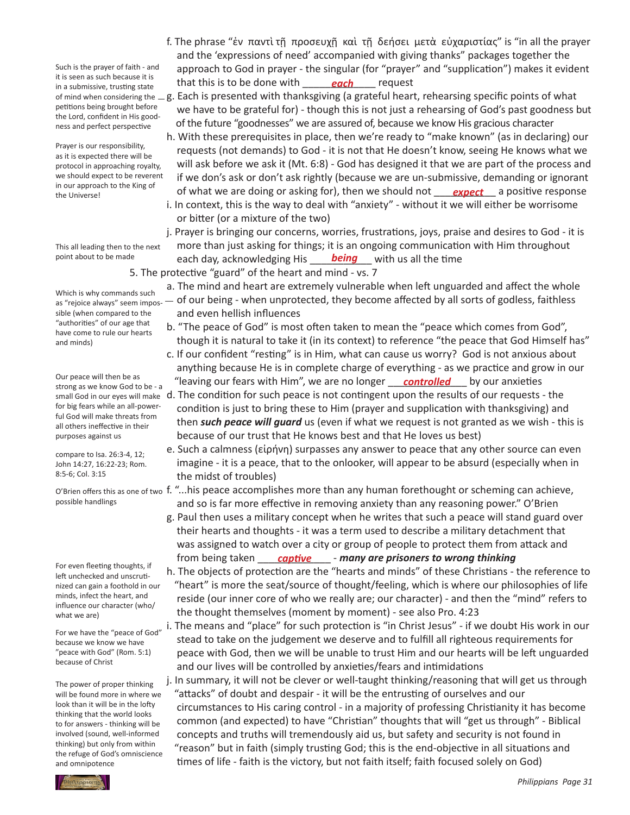Such is the prayer of faith - and it is seen as such because it is in a submissive, trusting state petitions being brought before the Lord, confident in His goodness and perfect perspective

Prayer is our responsibility, as it is expected there will be protocol in approaching royalty, we should expect to be reverent in our approach to the King of the Universe!

This all leading then to the next point about to be made

Which is why commands such as "rejoice always" seem impossible (when compared to the "authorities" of our age that have come to rule our hearts and minds)

Our peace will then be as strong as we know God to be - a for big fears while an all-powerful God will make threats from all others ineffective in their purposes against us

compare to Isa. 26:3-4, 12; John 14:27, 16:22-23; Rom. 8:5-6; Col. 3:15

possible handlings

For even fleeting thoughts, if left unchecked and unscrutinized can gain a foothold in our minds, infect the heart, and influence our character (who/ what we are)

For we have the "peace of God" because we know we have "peace with God" (Rom. 5:1) because of Christ

The power of proper thinking will be found more in where we look than it will be in the lofty thinking that the world looks to for answers - thinking will be involved (sound, well-informed thinking) but only from within the refuge of God's omniscience and omnipotence

 f. The phrase "ἐν παντὶ τῇ προσευχῇ καὶ τῇ δεήσει μετὰ εὐχαριστίας" is "in all the prayer and the 'expressions of need' accompanied with giving thanks" packages together the approach to God in prayer - the singular (for "prayer" and "supplication") makes it evident that this is to be done with **each** request

of mind when considering the  $\bot$ g. Each is presented with thanksgiving (a grateful heart, rehearsing specific points of what we have to be grateful for) - though this is not just a rehearsing of God's past goodness but of the future "goodnesses" we are assured of, because we know His gracious character

 h. With these prerequisites in place, then we're ready to "make known" (as in declaring) our requests (not demands) to God - it is not that He doesn't know, seeing He knows what we will ask before we ask it (Mt. 6:8) - God has designed it that we are part of the process and if we don's ask or don't ask rightly (because we are un-submissive, demanding or ignorant the Universe! We the King of **of what we are doing or asking for**), then we should not <u>expect</u> a positive response i. In context, this is the way to deal with "anxiety" - without it we will either be worrisome or bitter (or a mixture of the two)

 j. Prayer is bringing our concerns, worries, frustrations, joys, praise and desires to God - it is more than just asking for things; it is an ongoing communication with Him throughout point about to be made **contact and any, acknowledging His Land Lives of the vime with us all the time** 

 5. The protective "guard" of the heart and mind - vs. 7

- a. The mind and heart are extremely vulnerable when left unguarded and affect the whole
	- of our being when unprotected, they become affected by all sorts of godless, faithless and even hellish influences
	- b. "The peace of God" is most often taken to mean the "peace which comes from God", though it is natural to take it (in its context) to reference "the peace that God Himself has"
- c. If our confident "resting" is in Him, what can cause us worry? God is not anxious about anything because He is in complete charge of everything - as we practice and grow in our Cur peace will then be as<br>strong as we know God to be - a structured but fears with Him", we are no longer structured by our anxieties
- small God in our eyes will make d. The condition for such peace is not contingent upon the results of our requests the condition is just to bring these to Him (prayer and supplication with thanksgiving) and then *such peace will guard* us (even if what we request is not granted as we wish - this is because of our trust that He knows best and that He loves us best)
	- e. Such a calmness (εἰρήνη) surpasses any answer to peace that any other source can even imagine - it is a peace, that to the onlooker, will appear to be absurd (especially when in the midst of troubles)

O'Brien offers this as one of two f. "...his peace accomplishes more than any human forethought or scheming can achieve, and so is far more effective in removing anxiety than any reasoning power." O'Brien

- g. Paul then uses a military concept when he writes that such a peace will stand guard over their hearts and thoughts - it was a term used to describe a military detachment that was assigned to watch over a city or group of people to protect them from attack and **Example 12 of the state of the being taken** <u>**captive** the nany are prisoners to wrong thinking</u>
	- h. The objects of protection are the "hearts and minds" of these Christians the reference to "heart" is more the seat/source of thought/feeling, which is where our philosophies of life reside (our inner core of who we really are; our character) - and then the "mind" refers to the thought themselves (moment by moment) - see also Pro. 4:23
	- i. The means and "place" for such protection is "in Christ Jesus" if we doubt His work in our stead to take on the judgement we deserve and to fulfill all righteous requirements for peace with God, then we will be unable to trust Him and our hearts will be left unguarded and our lives will be controlled by anxieties/fears and intimidations
	- j. In summary, it will not be clever or well-taught thinking/reasoning that will get us through "attacks" of doubt and despair - it will be the entrusting of ourselves and our circumstances to His caring control - in a majority of professing Christianity it has become common (and expected) to have "Christian" thoughts that will "get us through" - Biblical concepts and truths will tremendously aid us, but safety and security is not found in "reason" but in faith (simply trusting God; this is the end-objective in all situations and times of life - faith is the victory, but not faith itself; faith focused solely on God)

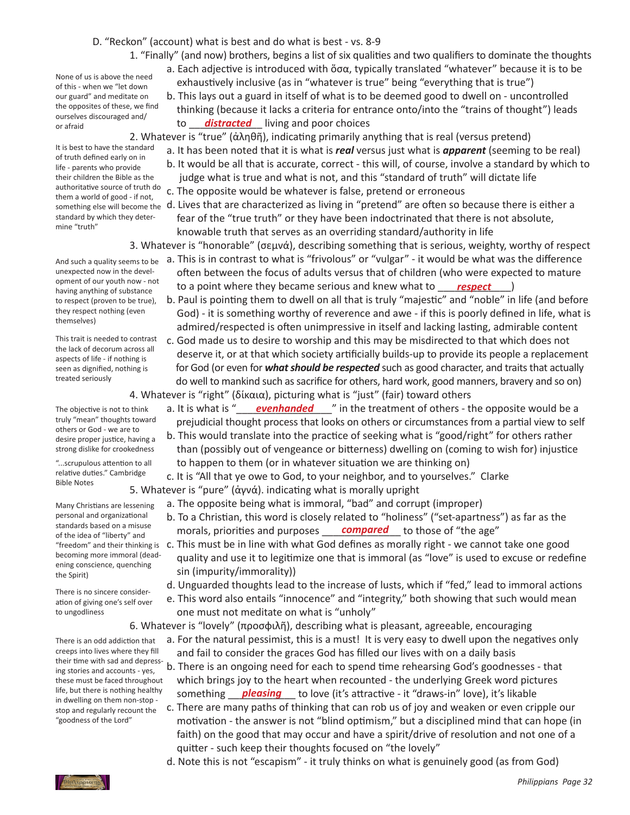## D. "Reckon" (account) what is best and do what is best - vs. 8-9

 1. "Finally" (and now) brothers, begins a list of six qualities and two qualifiers to dominate the thoughts

 a. Each adjective is introduced with ὅσα, typically translated "whatever" because it is to be exhaustively inclusive (as in "whatever is true" being "everything that is true")

 b. This lays out a guard in itself of what is to be deemed good to dwell on - uncontrolled thinking (because it lacks a criteria for entrance onto/into the "trains of thought") leads or afraid and poor choices also alleged and *to* **distracted** living and poor choices

 2. Whatever is "true" (ἀληθῆ), indicating primarily anything that is real (versus pretend)

- a. It has been noted that it is what is *real* versus just what is *apparent* (seeming to be real)
	- b. It would be all that is accurate, correct this will, of course, involve a standard by which to judge what is true and what is not, and this "standard of truth" will dictate life
	- c. The opposite would be whatever is false, pretend or erroneous
- d. Lives that are characterized as living in "pretend" are often so because there is either a fear of the "true truth" or they have been indoctrinated that there is not absolute, knowable truth that serves as an overriding standard/authority in life
- 3. Whatever is "honorable" (σεμνά), describing something that is serious, weighty, worthy of respect
- And such a quality seems to be a. This is in contrast to what is "frivolous" or "vulgar" it would be what was the difference often between the focus of adults versus that of children (who were expected to mature opilied to our yourh low - lot a point where they became serious and knew what to <u>respect</u> (and it and the serious and knew what to a **respect** 
	- b. Paul is pointing them to dwell on all that is truly "majestic" and "noble" in life (and before God) - it is something worthy of reverence and awe - if this is poorly defined in life, what is admired/respected is often unimpressive in itself and lacking lasting, admirable content
	- c. God made us to desire to worship and this may be misdirected to that which does not deserve it, or at that which society artificially builds-up to provide its people a replacement for God (or even for *what should be respected* such as good character, and traits that actually do well to mankind such as sacrifice for others, hard work, good manners, bravery and so on) 4. Whatever is "right" (δίκαια), picturing what is "just" (fair) toward others
- The objective is not to think a. It is what is "<u>evenhanded</u> we in the treatment of others the opposite would be a prejudicial thought process that looks on others or circumstances from a partial view to self
	- b. This would translate into the practice of seeking what is "good/right" for others rather than (possibly out of vengeance or bitterness) dwelling on (coming to wish for) injustice to happen to them (or in whatever situation we are thinking on)
	- c. It is "All that ye owe to God, to your neighbor, and to yourselves." Clarke
	- 5. Whatever is "pure" (ἁγνά). indicating what is morally upright
		- a. The opposite being what is immoral, "bad" and corrupt (improper)
- b. To a Christian, this word is closely related to "holiness" ("set-apartness") as far as the stangargs pased on a misuse the morals, priorities and purposes **compared** to those of "the age"
- "freedom" and their thinking is c. This must be in line with what God defines as morally right we cannot take one good quality and use it to legitimize one that is immoral (as "love" is used to excuse or redefine sin (impurity/immorality))
	- d. Unguarded thoughts lead to the increase of lusts, which if "fed," lead to immoral actions
	- e. This word also entails "innocence" and "integrity," both showing that such would mean one must not meditate on what is "unholy"
	- 6. Whatever is "lovely" (προσφιλῆ), describing what is pleasant, agreeable, encouraging
		- a. For the natural pessimist, this is a must! It is very easy to dwell upon the negatives only and fail to consider the graces God has filled our lives with on a daily basis
- b. There is an ongoing need for each to spend time rehearsing God's goodnesses that which brings joy to the heart when recounted - the underlying Greek word pictures life, but there is nothing healthy something **pleasing** to love (it's attractive - it "draws-in" love), it's likable
	- c. There are many paths of thinking that can rob us of joy and weaken or even cripple our motivation - the answer is not "blind optimism," but a disciplined mind that can hope (in faith) on the good that may occur and have a spirit/drive of resolution and not one of a quitter - such keep their thoughts focused on "the lovely"
	- d. Note this is not "escapism" it truly thinks on what is genuinely good (as from God)

None of us is above the need of this - when we "let down our guard" and meditate on the opposites of these, we find ourselves discouraged and/ or afraid

It is best to have the standard of truth defined early on in life - parents who provide their children the Bible as the authoritative source of truth do them a world of good - if not, something else will become the standard by which they determine "truth"

unexpected now in the development of our youth now - not having anything of substance to respect (proven to be true), they respect nothing (even themselves)

This trait is needed to contrast the lack of decorum across all aspects of life - if nothing is seen as dignified, nothing is treated seriously

The objective is not to think truly "mean" thoughts toward others or God - we are to desire proper justice, having a strong dislike for crookedness

"...scrupulous attention to all relative duties." Cambridge Bible Notes

Many Christians are lessening personal and organizational standards based on a misuse of the idea of "liberty" and becoming more immoral (deadening conscience, quenching the Spirit)

There is no sincere consideration of giving one's self over to ungodliness

There is an odd addiction that creeps into lives where they fill their time with sad and depressing stories and accounts - yes, these must be faced throughout life, but there is nothing healthy in dwelling on them non-stop stop and regularly recount the "goodness of the Lord"

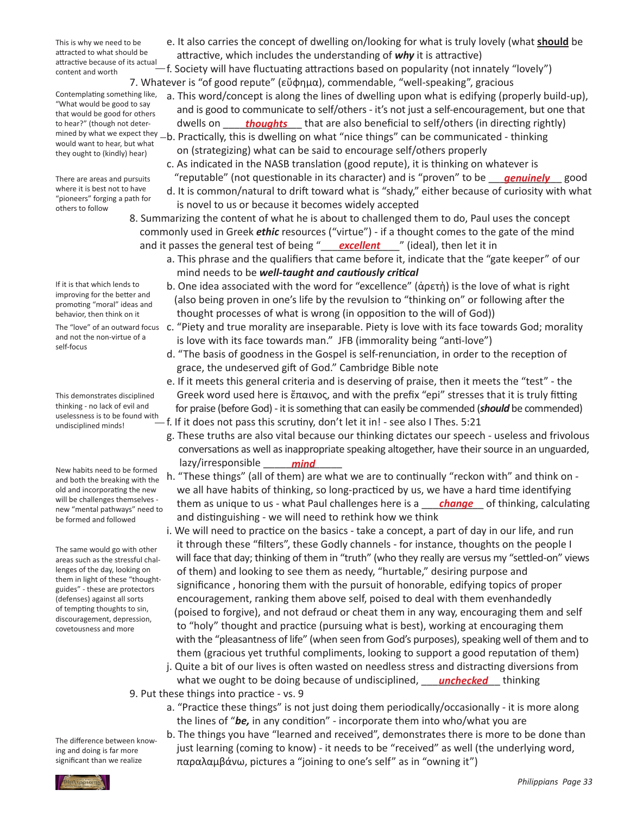This is why we need to be attracted to what should be attractive because of its actual content and worth

Contemplating something like, "What would be good to say that would be good for others to hear?" (though not deterwould want to hear, but what they ought to (kindly) hear)

There are areas and pursuits where it is best not to have "pioneers" forging a path for others to follow

If it is that which lends to improving for the better and promoting "moral" ideas and behavior, then think on it and not the non-virtue of a self-focus

This demonstrates disciplined thinking - no lack of evil and uselessness is to be found with undisciplined minds!

New habits need to be formed and both the breaking with the old and incorporating the new will be challenges themselves new "mental pathways" need to be formed and followed

The same would go with other areas such as the stressful challenges of the day, looking on them in light of these "thoughtguides" - these are protectors (defenses) against all sorts of tempting thoughts to sin, discouragement, depression, covetousness and more

- e. It also carries the concept of dwelling on/looking for what is truly lovely (what **should** be attractive, which includes the understanding of *why* it is attractive)
- f. Society will have fluctuating attractions based on popularity (not innately "lovely") 7. Whatever is "of good repute" (εὔφημα), commendable, "well-speaking", gracious
- a. This word/concept is along the lines of dwelling upon what is edifying (properly build-up), and is good to communicate to self/others - it's not just a self-encouragement, but one that to hear?" (though not deter- dwells on <u>fhoughts</u> that are also beneficial to self/others (in directing rightly) mined by what we expect they -b. Practically, this is dwelling on what "nice things" can be communicated - thinking on (strategizing) what can be said to encourage self/others properly
- c. As indicated in the NASB translation (good repute), it is thinking on whatever is There are areas and pursuits "reputable" (not questionable in its character) and is "proven" to be <u>genuinely</u> good
	- d. It is common/natural to drift toward what is "shady," either because of curiosity with what is novel to us or because it becomes widely accepted
- 8. Summarizing the content of what he is about to challenged them to do, Paul uses the concept commonly used in Greek *ethic* resources ("virtue") - if a thought comes to the gate of the mind and it passes the general test of being "**\_\_\_\_\_excellent** \_\_\_\_" (ideal), then let it in
	- a. This phrase and the qualifiers that came before it, indicate that the "gate keeper" of our mind needs to be *well-taught and cautiously critical*
	- b. One idea associated with the word for "excellence" (ἀρετὴ) is the love of what is right (also being proven in one's life by the revulsion to "thinking on" or following after the thought processes of what is wrong (in opposition to the will of God))
- The "love" of an outward focus c. "Piety and true morality are inseparable. Piety is love with its face towards God; morality is love with its face towards man." JFB (immorality being "anti-love")
	- d. "The basis of goodness in the Gospel is self-renunciation, in order to the reception of grace, the undeserved gift of God." Cambridge Bible note
	- e. If it meets this general criteria and is deserving of praise, then it meets the "test" the Greek word used here is ἔπαινος, and with the prefix "epi" stresses that it is truly fitting for praise (before God) - it is something that can easily be commended (*should* be commended) f. If it does not pass this scrutiny, don't let it in! - see also I Thes. 5:21
- g. These truths are also vital because our thinking dictates our speech useless and frivolous conversations as well as inappropriate speaking altogether, have their source in an unguarded, lazy/irresponsible \_\_\_\_\_\_\_\_\_\_\_\_\_\_ *mind*
- h. "These things" (all of them) are what we are to continually "reckon with" and think on we all have habits of thinking, so long-practiced by us, we have a hard time identifying will be challenges themselves - them as unique to us - what Paul challenges here is a <u>change</u> of thinking, calculating and distinguishing - we will need to rethink how we think
	- i. We will need to practice on the basics take a concept, a part of day in our life, and run it through these "filters", these Godly channels - for instance, thoughts on the people I will face that day; thinking of them in "truth" (who they really are versus my "settled-on" views of them) and looking to see them as needy, "hurtable," desiring purpose and significance , honoring them with the pursuit of honorable, edifying topics of proper encouragement, ranking them above self, poised to deal with them evenhandedly (poised to forgive), and not defraud or cheat them in any way, encouraging them and self to "holy" thought and practice (pursuing what is best), working at encouraging them with the "pleasantness of life" (when seen from God's purposes), speaking well of them and to them (gracious yet truthful compliments, looking to support a good reputation of them)
- j. Quite a bit of our lives is often wasted on needless stress and distracting diversions from what we ought to be doing because of undisciplined, *\_\_\_\_ unchecked* \_\_ thinking

 9. Put these things into practice - vs. 9

- a. "Practice these things" is not just doing them periodically/occasionally it is more along the lines of "*be,* in any condition" - incorporate them into who/what you are
- b. The things you have "learned and received", demonstrates there is more to be done than just learning (coming to know) - it needs to be "received" as well (the underlying word, παραλαμβάνω, pictures a "joining to one's self" as in "owning it")

The difference between knowing and doing is far more significant than we realize

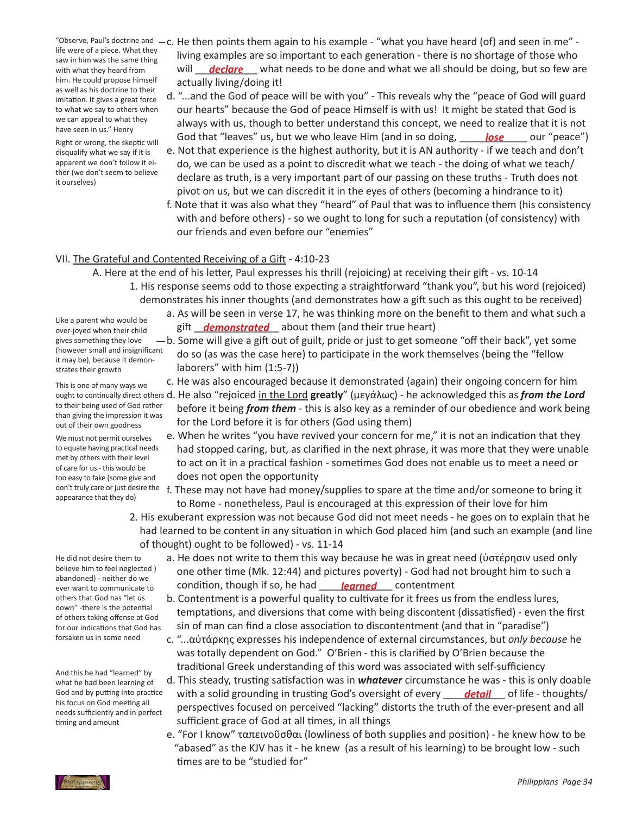life were of a piece. What they saw in him was the same thing with what they heard from him. He could propose himself as well as his doctrine to their imitation. It gives a great force to what we say to others when we can appeal to what they have seen in us." Henry

Right or wrong, the skeptic will disqualify what we say if it is apparent we don't follow it either (we don't seem to believe it ourselves)

- "Observe, Paul's doctrine and  $-c$ . He then points them again to his example "what you have heard (of) and seen in me" - living examples are so important to each generation - there is no shortage of those who with what they heard from  $\overline{ }$  will <u>declare</u> what needs to be done and what we all should be doing, but so few are actually living/doing it!
- d. "...and the God of peace will be with you" This reveals why the "peace of God will guard our hearts" because the God of peace Himself is with us! It might be stated that God is always with us, though to better understand this concept, we need to realize that it is not Right or wrong the skeptic will **God that "leaves" us, but we who leave** Him (and in so doing, **\_\_\_\_\_<u>lose</u> \_\_\_\_** our "peace")
	- e. Not that experience is the highest authority, but it is AN authority if we teach and don't do, we can be used as a point to discredit what we teach - the doing of what we teach/ declare as truth, is a very important part of our passing on these truths - Truth does not pivot on us, but we can discredit it in the eyes of others (becoming a hindrance to it)
	- f. Note that it was also what they "heard" of Paul that was to influence them (his consistency with and before others) - so we ought to long for such a reputation (of consistency) with our friends and even before our "enemies"

## VII. The Grateful and Contented Receiving of a Gift - 4:10-23

- A. Here at the end of his letter, Paul expresses his thrill (rejoicing) at receiving their gift vs. 10-14 1. His response seems odd to those expecting a straightforward "thank you", but his word (rejoiced) demonstrates his inner thoughts (and demonstrates how a gift such as this ought to be received)
- a. As will be seen in verse 17, he was thinking more on the benefit to them and what such a all the dipertic whole would be **gift all interpreties about** them (and their true heart) over-joved when their child
	- $-b$ . Some will give a gift out of guilt, pride or just to get someone "off their back", yet some do so (as was the case here) to participate in the work themselves (being the "fellow laborers" with him (1:5-7))
		- c. He was also encouraged because it demonstrated (again) their ongoing concern for him
- ought to continually direct others d. He also "rejoiced <u>in the Lord</u> **greatly**" (μεγάλως) he acknowledged this as *from the Lord*  before it being *from them* - this is also key as a reminder of our obedience and work being for the Lord before it is for others (God using them)
	- e. When he writes "you have revived your concern for me," it is not an indication that they had stopped caring, but, as clarified in the next phrase, it was more that they were unable to act on it in a practical fashion - sometimes God does not enable us to meet a need or does not open the opportunity
	- f. These may not have had money/supplies to spare at the time and/or someone to bring it to Rome - nonetheless, Paul is encouraged at this expression of their love for him
	- 2. His exuberant expression was not because God did not meet needs he goes on to explain that he had learned to be content in any situation in which God placed him (and such an example (and line of thought) ought to be followed) - vs. 11-14
- He did not desire them to believe him to feel neglected ) abandoned) - neither do we ever want to communicate to others that God has "let us down" -there is the potential of others taking offense at God for our indications that God has forsaken us in some need

And this he had "learned" by what he had been learning of God and by putting into practice his focus on God meeting all needs sufficiently and in perfect timing and amount

- a. He does not write to them this way because he was in great need (ὑστέρησιν used only one other time (Mk. 12:44) and pictures poverty) - God had not brought him to such a ever want to communicate to **condition**, though if so, he had **content and contentment** 
	- b. Contentment is a powerful quality to cultivate for it frees us from the endless lures, temptations, and diversions that come with being discontent (dissatisfied) - even the first sin of man can find a close association to discontentment (and that in "paradise")
	- c. "...αὐτάρκης expresses his independence of external circumstances, but *only because* he was totally dependent on God." O'Brien - this is clarified by O'Brien because the traditional Greek understanding of this word was associated with self-sufficiency
- d. This steady, trusting satisfaction was in *whatever* circumstance he was this is only doable God and by putting into practice with a solid grounding in trusting God's oversight of every <u>edetail</u> of life - thoughts/ perspectives focused on perceived "lacking" distorts the truth of the ever-present and all sufficient grace of God at all times, in all things
	- e. "For I know" ταπεινοῦσθαι (lowliness of both supplies and position) he knew how to be "abased" as the KJV has it - he knew (as a result of his learning) to be brought low - such times are to be "studied for"

Like a parent who would be over-joyed when their child gives something they love (however small and insignificant it may be), because it demonstrates their growth

This is one of many ways we to their being used of God rather than giving the impression it was out of their own goodness

We must not permit ourselves to equate having practical needs met by others with their level of care for us- this would be too easy to fake (some give and don't truly care or just desire the appearance that they do)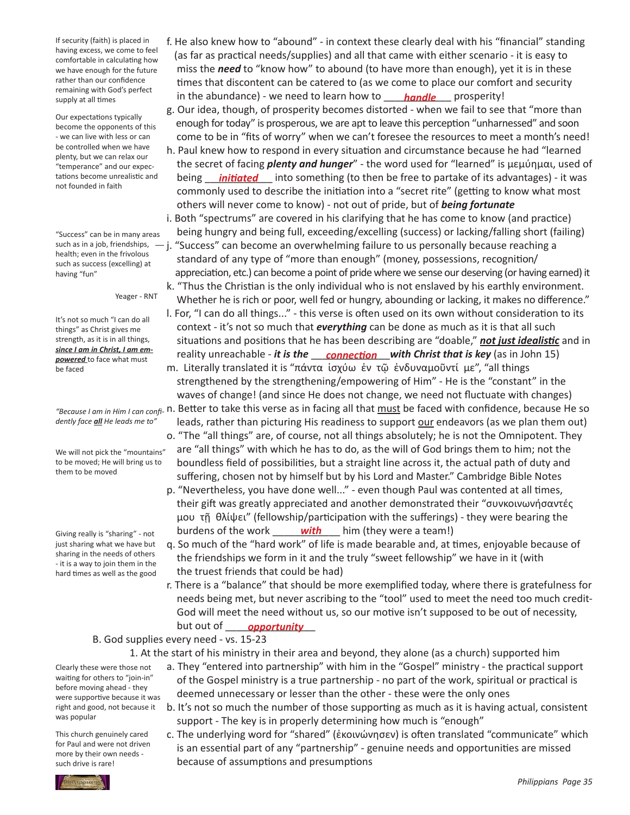If security (faith) is placed in having excess, we come to feel comfortable in calculating how we have enough for the future rather than our confidence remaining with God's perfect supply at all times

Our expectations typically become the opponents of this - we can live with less or can be controlled when we have plenty, but we can relax our "temperance" and our expectations become unrealistic and not founded in faith

"Success" can be in many areas health; even in the frivolous such as success (excelling) at having "fun"

Yeager - RNT

It's not so much "I can do all things" as Christ gives me strength, as it is in all things, *since I am in Christ, I am empowered* to face what must be faced

*dently face all He leads me to"*

We will not pick the "mountains" to be moved; He will bring us to them to be moved

Giving really is "sharing" - not just sharing what we have but sharing in the needs of others - it is a way to join them in the hard times as well as the good

 f. He also knew how to "abound" - in context these clearly deal with his "financial" standing (as far as practical needs/supplies) and all that came with either scenario - it is easy to miss the *need* to "know how" to abound (to have more than enough), yet it is in these times that discontent can be catered to (as we come to place our comfort and security supply at all times **the abundance**) - we need to learn how to **\_\_\_\_\_<u>handle</u>** \_\_\_ prosperity!

 g. Our idea, though, of prosperity becomes distorted - when we fail to see that "more than enough for today" is prosperous, we are apt to leave this perception "unharnessed" and soon come to be in "fits of worry" when we can't foresee the resources to meet a month's need! h. Paul knew how to respond in every situation and circumstance because he had "learned

- the secret of facing *plenty and hunger*" the word used for "learned" is μεμύημαι, used of tations become unrealistic and coveing <u>initiated</u> into something (to then be free to partake of its advantages) - it was commonly used to describe the initiation into a "secret rite" (getting to know what most others will never come to know) - not out of pride, but of *being fortunate* i. Both "spectrums" are covered in his clarifying that he has come to know (and practice)
- being hungry and being full, exceeding/excelling (success) or lacking/falling short (failing) such as in a job, friendships,  $-$  j. "Success" can become an overwhelming failure to us personally because reaching a standard of any type of "more than enough" (money, possessions, recognition/ appreciation, etc.) can become a point of pride where we sense our deserving (or having earned) it k. "Thus the Christian is the only individual who is not enslaved by his earthly environment.
	- Whether he is rich or poor, well fed or hungry, abounding or lacking, it makes no difference." l. For, "I can do all things..." - this verse is often used on its own without consideration to its

 context - it's not so much that *everything* can be done as much as it is that all such situations and positions that he has been describing are "doable," *not just idealistic* and in since *ram in Christ, ram em-*<br>powered to face what must **containty** reality unreachable - it is the <u>connection</u> with Christ that is key (as in John 15) m. Literally translated it is "πάντα ἰσχύω ἐν τῷ ἐνδυναμοῦντί με", "all things

 strengthened by the strengthening/empowering of Him" - He is the "constant" in the waves of change! (and since He does not change, we need not fluctuate with changes) "Because *I* am in Him *I* can confi- n. Better to take this verse as in facing all that must be faced with confidence, because He so leads, rather than picturing His readiness to support our endeavors (as we plan them out)

- o. "The "all things" are, of course, not all things absolutely; he is not the Omnipotent. They are "all things" with which he has to do, as the will of God brings them to him; not the boundless field of possibilities, but a straight line across it, the actual path of duty and suffering, chosen not by himself but by his Lord and Master." Cambridge Bible Notes
- p. "Nevertheless, you have done well..." even though Paul was contented at all times, their gift was greatly appreciated and another demonstrated their "συνκοινωνήσαντές μου τῇ θλίψει" (fellowship/participation with the sufferings) - they were bearing the Giving really is "sharing" - not burdens of the work **\_\_\_\_\_ with** \_\_\_ him (they were a team!)
	- q. So much of the "hard work" of life is made bearable and, at times, enjoyable because of the friendships we form in it and the truly "sweet fellowship" we have in it (with the truest friends that could be had)
- r. There is a "balance" that should be more exemplified today, where there is gratefulness for needs being met, but never ascribing to the "tool" used to meet the need too much credit- God will meet the need without us, so our motive isn't supposed to be out of necessity, but out of \_\_\_\_\_\_\_\_\_\_\_\_\_\_\_\_ *opportunity*

## B. God supplies every need - vs. 15-23

 1. At the start of his ministry in their area and beyond, they alone (as a church) supported him

- a. They "entered into partnership" with him in the "Gospel" ministry the practical support of the Gospel ministry is a true partnership - no part of the work, spiritual or practical is deemed unnecessary or lesser than the other - these were the only ones
- b. It's not so much the number of those supporting as much as it is having actual, consistent support - The key is in properly determining how much is "enough"
- c. The underlying word for "shared" (ἐκοινώνησεν) is often translated "communicate" which is an essential part of any "partnership" - genuine needs and opportunities are missed because of assumptions and presumptions

Clearly these were those not waiting for others to "join-in" before moving ahead - they were supportive because it was right and good, not because it was popular

This church genuinely cared for Paul and were not driven more by their own needs such drive is rare!

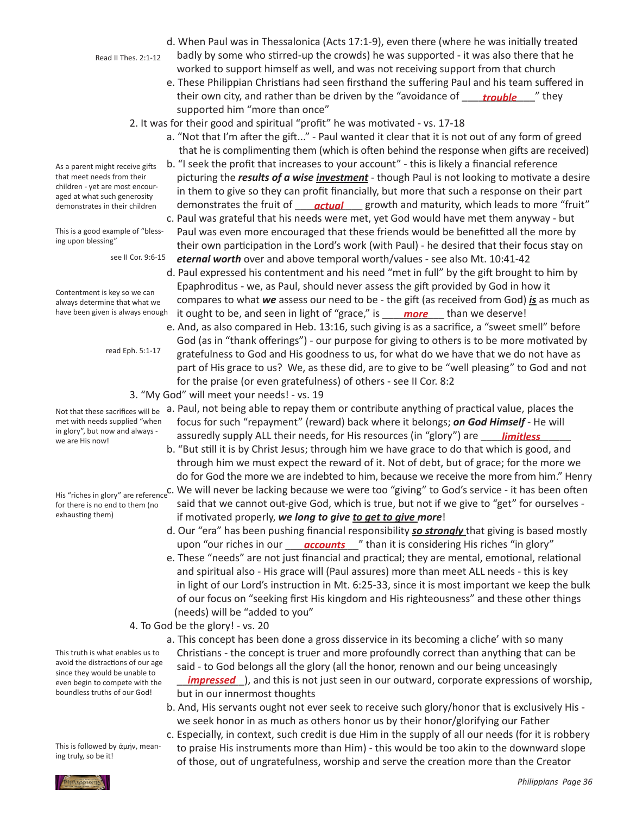- Read II Thes. 2:1-12
- d. When Paul was in Thessalonica (Acts 17:1-9), even there (where he was initially treated
- badly by some who stirred-up the crowds) he was supported it was also there that he worked to support himself as well, and was not receiving support from that church
- e. These Philippian Christians had seen firsthand the suffering Paul and his team suffered in their own city, and rather than be driven by the "avoidance of were both they supported him "more than once"
	- 2. It was for their good and spiritual "profit" he was motivated vs. 17-18
		- a. "Not that I'm after the gift..." Paul wanted it clear that it is not out of any form of greed that he is complimenting them (which is often behind the response when gifts are received)
- b. "I seek the profit that increases to your account" this is likely a financial reference picturing the *results of a wise investment* - though Paul is not looking to motivate a desire in them to give so they can profit financially, but more that such a response on their part demonstrates in their children **demonstrates the fruit of <u>eactual</u>** growth and maturity, which leads to more "fruit" c. Paul was grateful that his needs were met, yet God would have met them anyway - but Paul was even more encouraged that these friends would be benefitted all the more by
	- their own participation in the Lord's work (with Paul) he desired that their focus stay on *eternal worth* over and above temporal worth/values - see also Mt. 10:41-42
- d. Paul expressed his contentment and his need "met in full" by the gift brought to him by Epaphroditus - we, as Paul, should never assess the gift provided by God in how it compares to what *we* assess our need to be - the gift (as received from God) *is* as much as have been given is always enough it ought to be, and seen in light of "grace," is \_\_\_\_ more \_\_\_ than we deserve!
	- e. And, as also compared in Heb. 13:16, such giving is as a sacrifice, a "sweet smell" before God (as in "thank offerings") - our purpose for giving to others is to be more motivated by gratefulness to God and His goodness to us, for what do we have that we do not have as part of His grace to us? We, as these did, are to give to be "well pleasing" to God and not for the praise (or even gratefulness) of others - see II Cor. 8:2
	- 3. "My God" will meet your needs! vs. 19
- a. Paul, not being able to repay them or contribute anything of practical value, places the focus for such "repayment" (reward) back where it belongs; *on God Himself* - He will In glory, but how and always - assuredly supply ALL their needs, for His resources (in "glory") are <u>\_\_\_\_**limitless**</u>
	- b. "But still it is by Christ Jesus; through him we have grace to do that which is good, and through him we must expect the reward of it. Not of debt, but of grace; for the more we do for God the more we are indebted to him, because we receive the more from him." Henry
- His "riches in glory" are reference<sup>C</sup>. We will never be lacking because we were too "giving" to God's service it has been often said that we cannot out-give God, which is true, but not if we give to "get" for ourselves - if motivated properly, *we long to give to get to give more*!
- d. Our "era" has been pushing financial responsibility *so strongly* that giving is based mostly upon "our riches in our *\_\_\_\_<mark>accounts</mark>\_\_\_*" than it is considering His riches "in glory"
	- e. These "needs" are not just financial and practical; they are mental, emotional, relational and spiritual also - His grace will (Paul assures) more than meet ALL needs - this is key in light of our Lord's instruction in Mt. 6:25-33, since it is most important we keep the bulk of our focus on "seeking first His kingdom and His righteousness" and these other things (needs) will be "added to you"
	- 4. To God be the glory! vs. 20
- a. This concept has been done a gross disservice in its becoming a cliche' with so many Christians - the concept is truer and more profoundly correct than anything that can be said - to God belongs all the glory (all the honor, renown and our being unceasingly \_\_\_\_\_\_\_\_\_\_\_\_), and this is not just seen in our outward, corporate expressions of worship, *impressed* but in our innermost thoughts
	- b. And, His servants ought not ever seek to receive such glory/honor that is exclusively His we seek honor in as much as others honor us by their honor/glorifying our Father
	- c. Especially, in context, such credit is due Him in the supply of all our needs (for it is robbery to praise His instruments more than Him) - this would be too akin to the downward slope of those, out of ungratefulness, worship and serve the creation more than the Creator

As a parent might receive gifts that meet needs from their children - yet are most encouraged at what such generosity demonstrates in their children

This is a good example of "blessing upon blessing"

see II Cor. 9:6-15

Contentment is key so we can always determine that what we have been given is always enough

read Eph. 5:1-17

Not that these sacrifices will be met with needs supplied "when in glory", but now and always we are His now!

for there is no end to them (no exhausting them)

This truth is what enables us to avoid the distractions of our age since they would be unable to even begin to compete with the boundless truths of our God!

This is followed by ἀμήν, meaning truly, so be it!